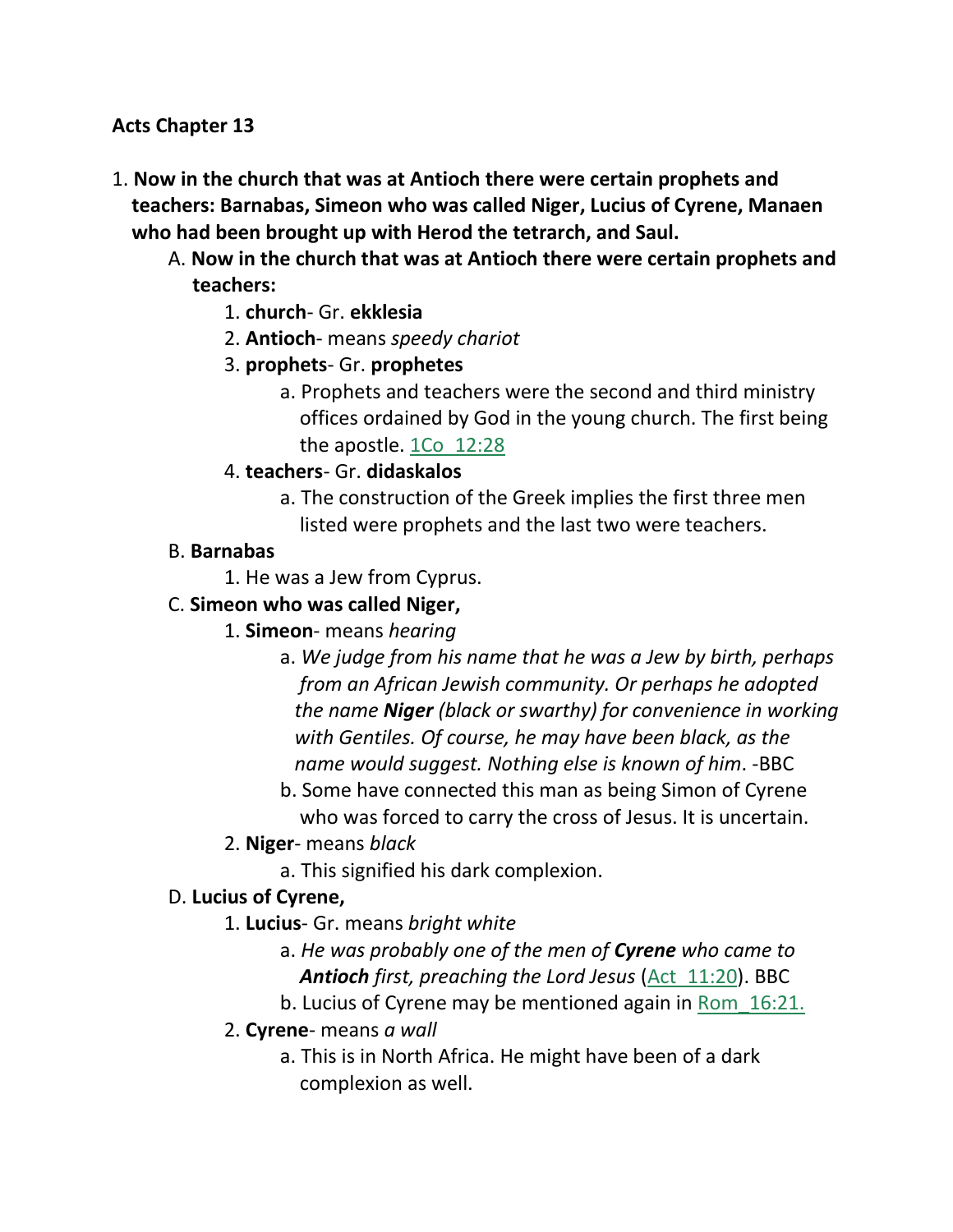#### **Acts Chapter 13**

- 1. **Now in the church that was at Antioch there were certain prophets and teachers: Barnabas, Simeon who was called Niger, Lucius of Cyrene, Manaen who had been brought up with Herod the tetrarch, and Saul.** 
	- A. **Now in the church that was at Antioch there were certain prophets and teachers:**
		- 1. **church** Gr. **ekklesia**
		- 2. **Antioch** means *speedy chariot*
		- 3. **prophets** Gr. **prophetes**
			- a. Prophets and teachers were the second and third ministry offices ordained by God in the young church. The first being the apostle. 1Co\_12:28
		- 4. **teachers** Gr. **didaskalos**
			- a. The construction of the Greek implies the first three men listed were prophets and the last two were teachers.

#### B. **Barnabas**

1. He was a Jew from Cyprus.

### C. **Simeon who was called Niger,**

- 1. **Simeon** means *hearing*
	- a. *We judge from his name that he was a Jew by birth, perhaps from an African Jewish community. Or perhaps he adopted the name Niger (black or swarthy) for convenience in working with Gentiles. Of course, he may have been black, as the name would suggest. Nothing else is known of him*. -BBC
	- b. Some have connected this man as being Simon of Cyrene who was forced to carry the cross of Jesus. It is uncertain.
- 2. **Niger** means *black*
	- a. This signified his dark complexion.

#### D. **Lucius of Cyrene,**

- 1. **Lucius** Gr. means *bright white*
	- a. *He was probably one of the men of Cyrene who came to Antioch first, preaching the Lord Jesus* (Act\_11:20). BBC
	- b. Lucius of Cyrene may be mentioned again in Rom\_16:21.

#### 2. **Cyrene**- means *a wall*

a. This is in North Africa. He might have been of a dark complexion as well.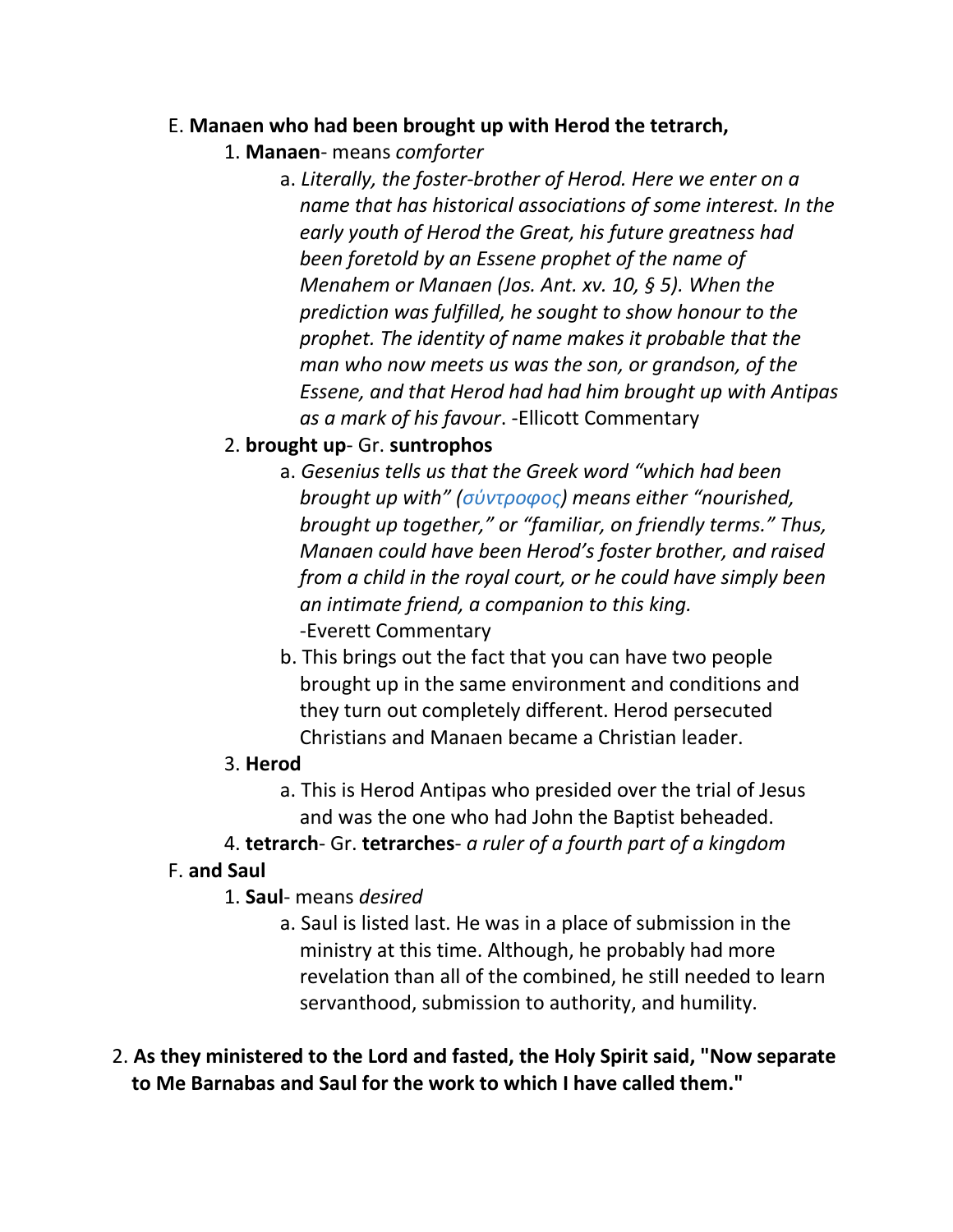#### E. **Manaen who had been brought up with Herod the tetrarch,**

- 1. **Manaen** means *comforter*
	- a. *Literally, the foster-brother of Herod. Here we enter on a name that has historical associations of some interest. In the early youth of Herod the Great, his future greatness had been foretold by an Essene prophet of the name of Menahem or Manaen (Jos. Ant. xv. 10, § 5). When the prediction was fulfilled, he sought to show honour to the prophet. The identity of name makes it probable that the man who now meets us was the son, or grandson, of the Essene, and that Herod had had him brought up with Antipas as a mark of his favour*. -Ellicott Commentary

### 2. **brought up**- Gr. **suntrophos**

- a. *Gesenius tells us that the Greek word "which had been brought up with" (σύντροφος) means either "nourished, brought up together," or "familiar, on friendly terms." Thus, Manaen could have been Herod's foster brother, and raised from a child in the royal court, or he could have simply been an intimate friend, a companion to this king.* -Everett Commentary
- b. This brings out the fact that you can have two people brought up in the same environment and conditions and they turn out completely different. Herod persecuted Christians and Manaen became a Christian leader.

#### 3. **Herod**

- a. This is Herod Antipas who presided over the trial of Jesus and was the one who had John the Baptist beheaded.
- 4. **tetrarch** Gr. **tetrarches** *a ruler of a fourth part of a kingdom*

#### F. **and Saul**

- 1. **Saul** means *desired*
	- a. Saul is listed last. He was in a place of submission in the ministry at this time. Although, he probably had more revelation than all of the combined, he still needed to learn servanthood, submission to authority, and humility.
- 2. **As they ministered to the Lord and fasted, the Holy Spirit said, "Now separate to Me Barnabas and Saul for the work to which I have called them."**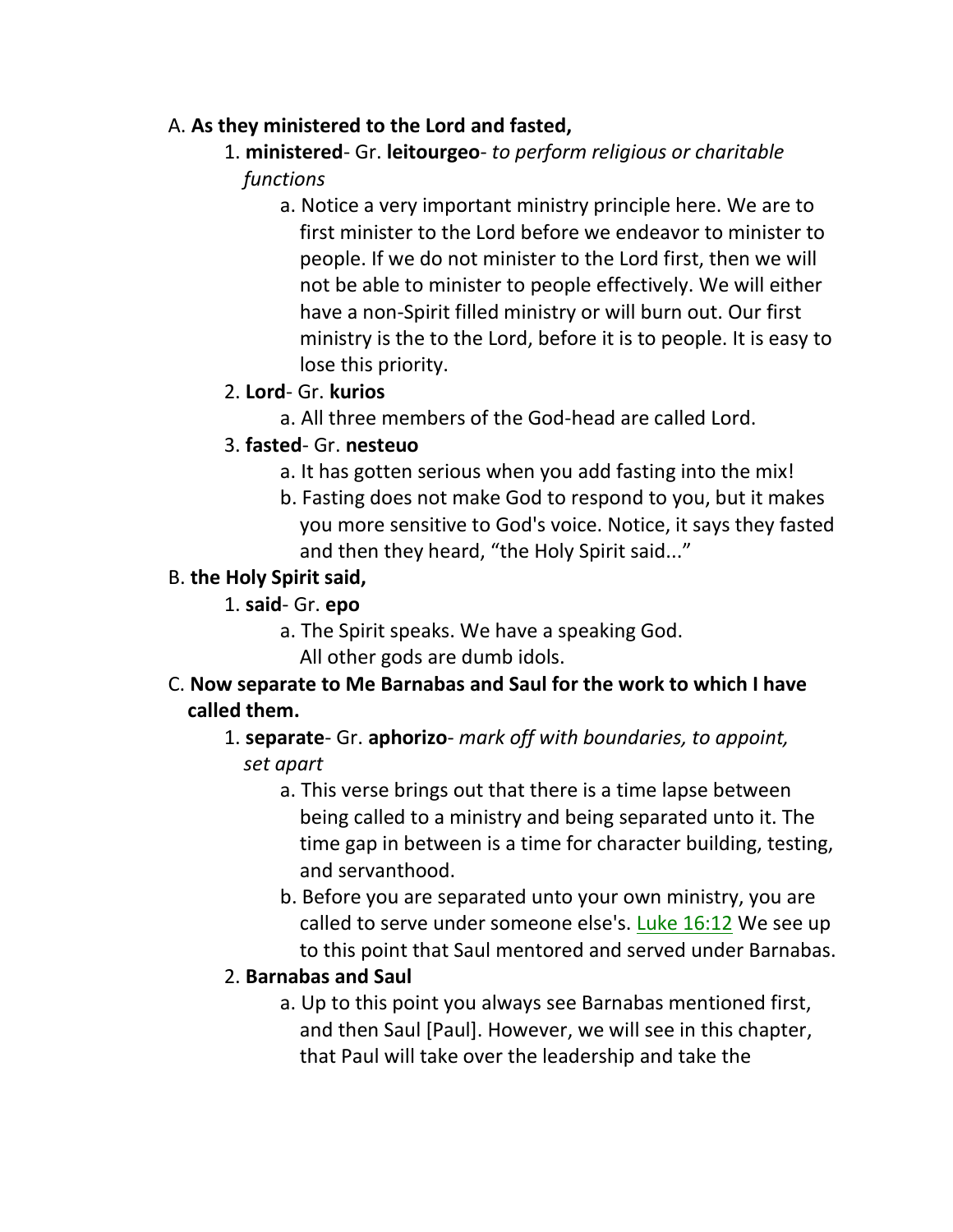### A. **As they ministered to the Lord and fasted,**

# 1. **ministered**- Gr. **leitourgeo**- *to perform religious or charitable functions*

a. Notice a very important ministry principle here. We are to first minister to the Lord before we endeavor to minister to people. If we do not minister to the Lord first, then we will not be able to minister to people effectively. We will either have a non-Spirit filled ministry or will burn out. Our first ministry is the to the Lord, before it is to people. It is easy to lose this priority.

## 2. **Lord**- Gr. **kurios**

a. All three members of the God-head are called Lord.

## 3. **fasted**- Gr. **nesteuo**

- a. It has gotten serious when you add fasting into the mix!
- b. Fasting does not make God to respond to you, but it makes you more sensitive to God's voice. Notice, it says they fasted and then they heard, "the Holy Spirit said..."

### B. **the Holy Spirit said,**

### 1. **said**- Gr. **epo**

a. The Spirit speaks. We have a speaking God.

All other gods are dumb idols.

## C. **Now separate to Me Barnabas and Saul for the work to which I have called them.**

- 1. **separate** Gr. **aphorizo** *mark off with boundaries, to appoint,*  *set apart*
	- a. This verse brings out that there is a time lapse between being called to a ministry and being separated unto it. The time gap in between is a time for character building, testing, and servanthood.
	- b. Before you are separated unto your own ministry, you are called to serve under someone else's. Luke 16:12 We see up to this point that Saul mentored and served under Barnabas.

## 2. **Barnabas and Saul**

a. Up to this point you always see Barnabas mentioned first, and then Saul [Paul]. However, we will see in this chapter, that Paul will take over the leadership and take the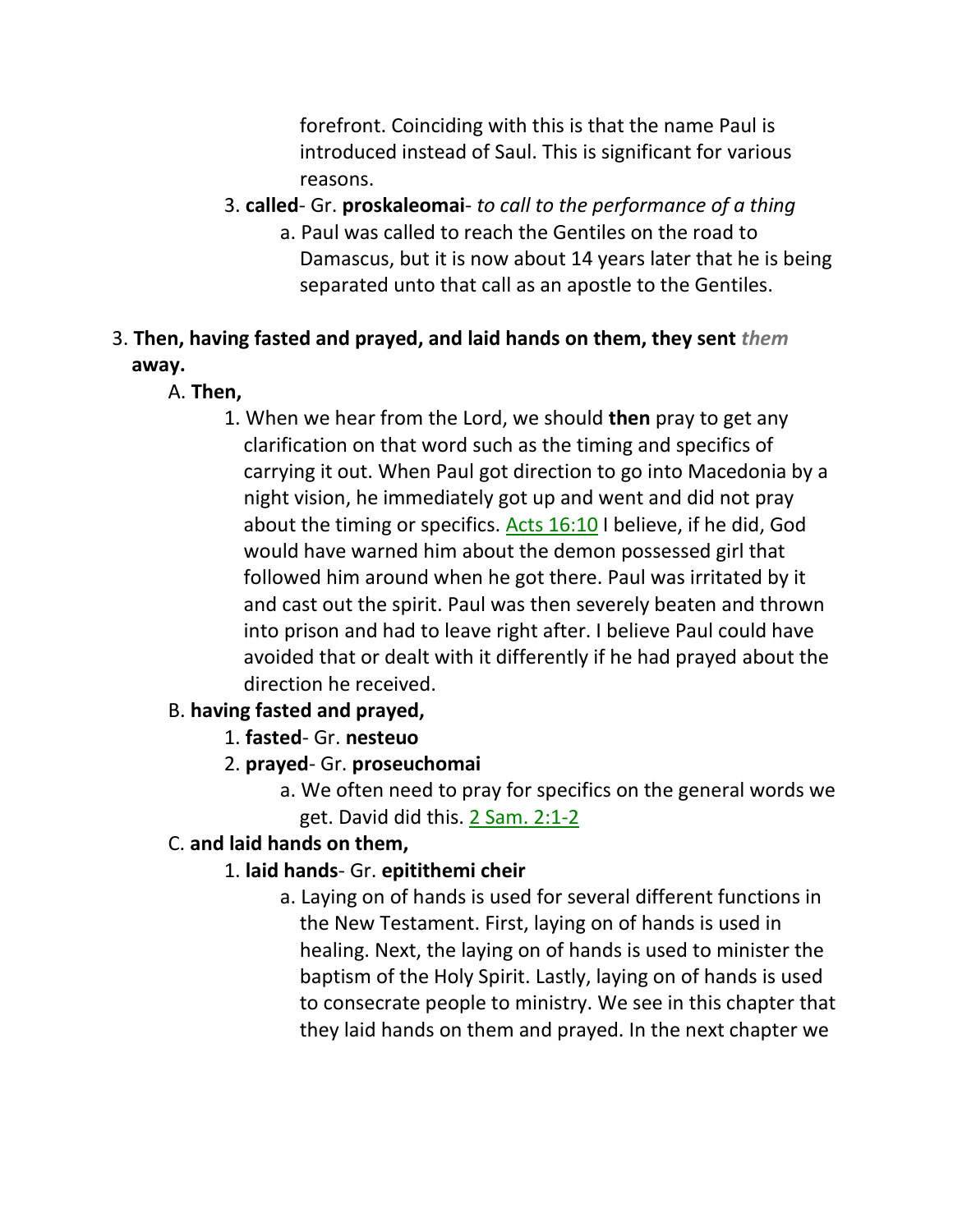forefront. Coinciding with this is that the name Paul is introduced instead of Saul. This is significant for various reasons.

- 3. **called** Gr. **proskaleomai** *to call to the performance of a thing*
	- a. Paul was called to reach the Gentiles on the road to Damascus, but it is now about 14 years later that he is being separated unto that call as an apostle to the Gentiles.

# 3. **Then, having fasted and prayed, and laid hands on them, they sent** *them*  **away.**

- A. **Then,**
	- 1. When we hear from the Lord, we should **then** pray to get any clarification on that word such as the timing and specifics of carrying it out. When Paul got direction to go into Macedonia by a night vision, he immediately got up and went and did not pray about the timing or specifics. Acts 16:10 I believe, if he did, God would have warned him about the demon possessed girl that followed him around when he got there. Paul was irritated by it and cast out the spirit. Paul was then severely beaten and thrown into prison and had to leave right after. I believe Paul could have avoided that or dealt with it differently if he had prayed about the direction he received.

# B. **having fasted and prayed,**

- 1. **fasted** Gr. **nesteuo**
- 2. **prayed** Gr. **proseuchomai**
	- a. We often need to pray for specifics on the general words we get. David did this. 2 Sam. 2:1-2

# C. **and laid hands on them,**

# 1. **laid hands**- Gr. **epitithemi cheir**

a. Laying on of hands is used for several different functions in the New Testament. First, laying on of hands is used in healing. Next, the laying on of hands is used to minister the baptism of the Holy Spirit. Lastly, laying on of hands is used to consecrate people to ministry. We see in this chapter that they laid hands on them and prayed. In the next chapter we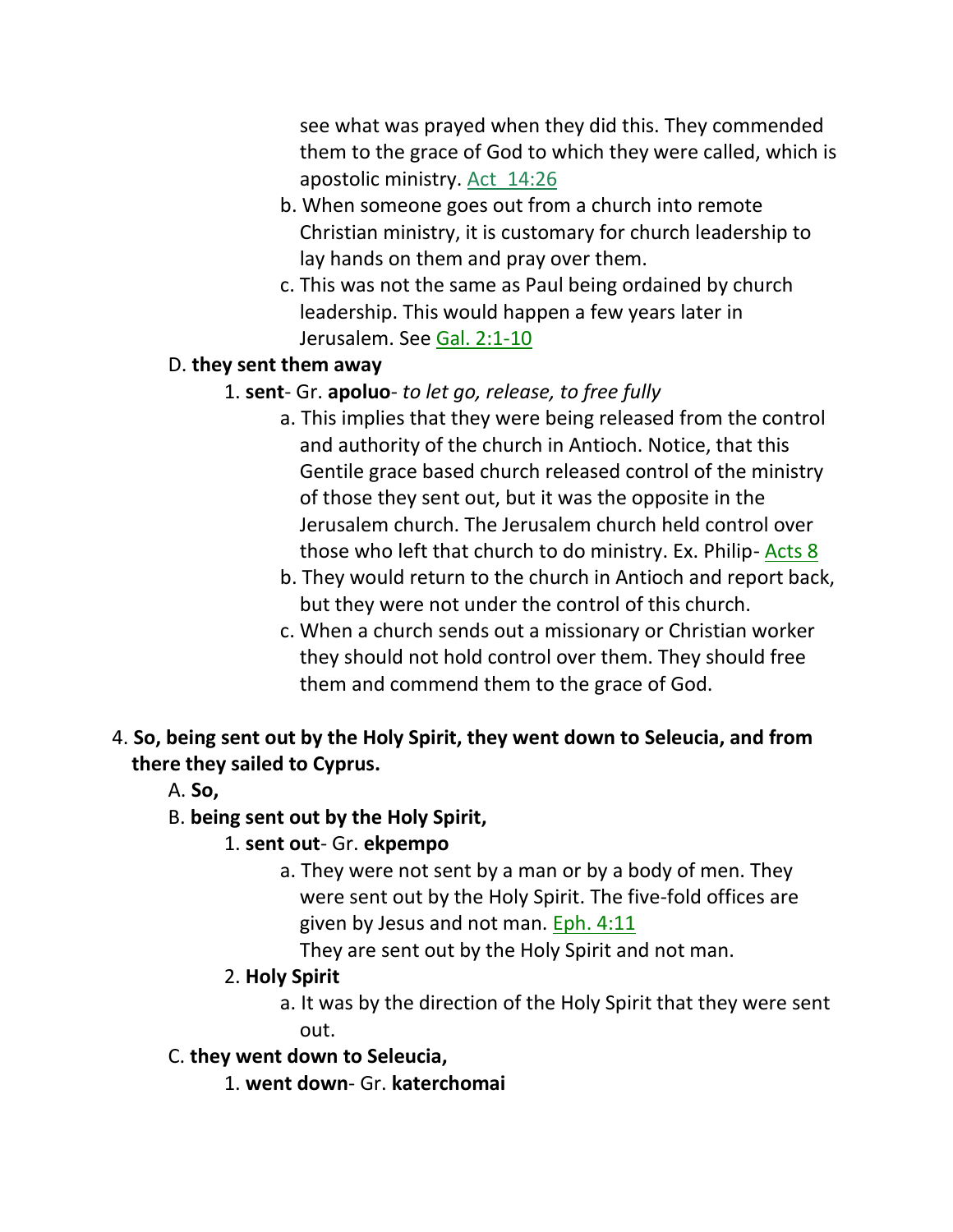see what was prayed when they did this. They commended them to the grace of God to which they were called, which is apostolic ministry. Act\_14:26

- b. When someone goes out from a church into remote Christian ministry, it is customary for church leadership to lay hands on them and pray over them.
- c. This was not the same as Paul being ordained by church leadership. This would happen a few years later in Jerusalem. See Gal. 2:1-10

#### D. **they sent them away**

#### 1. **sent**- Gr. **apoluo**- *to let go, release, to free fully*

- a. This implies that they were being released from the control and authority of the church in Antioch. Notice, that this Gentile grace based church released control of the ministry of those they sent out, but it was the opposite in the Jerusalem church. The Jerusalem church held control over those who left that church to do ministry. Ex. Philip- Acts 8
- b. They would return to the church in Antioch and report back, but they were not under the control of this church.
- c. When a church sends out a missionary or Christian worker they should not hold control over them. They should free them and commend them to the grace of God.
- 4. **So, being sent out by the Holy Spirit, they went down to Seleucia, and from there they sailed to Cyprus.** 
	- A. **So,**

#### B. **being sent out by the Holy Spirit,**

#### 1. **sent out**- Gr. **ekpempo**

a. They were not sent by a man or by a body of men. They were sent out by the Holy Spirit. The five-fold offices are given by Jesus and not man. Eph. 4:11

They are sent out by the Holy Spirit and not man.

#### 2. **Holy Spirit**

- a. It was by the direction of the Holy Spirit that they were sent out.
- C. **they went down to Seleucia,**
	- 1. **went down** Gr. **katerchomai**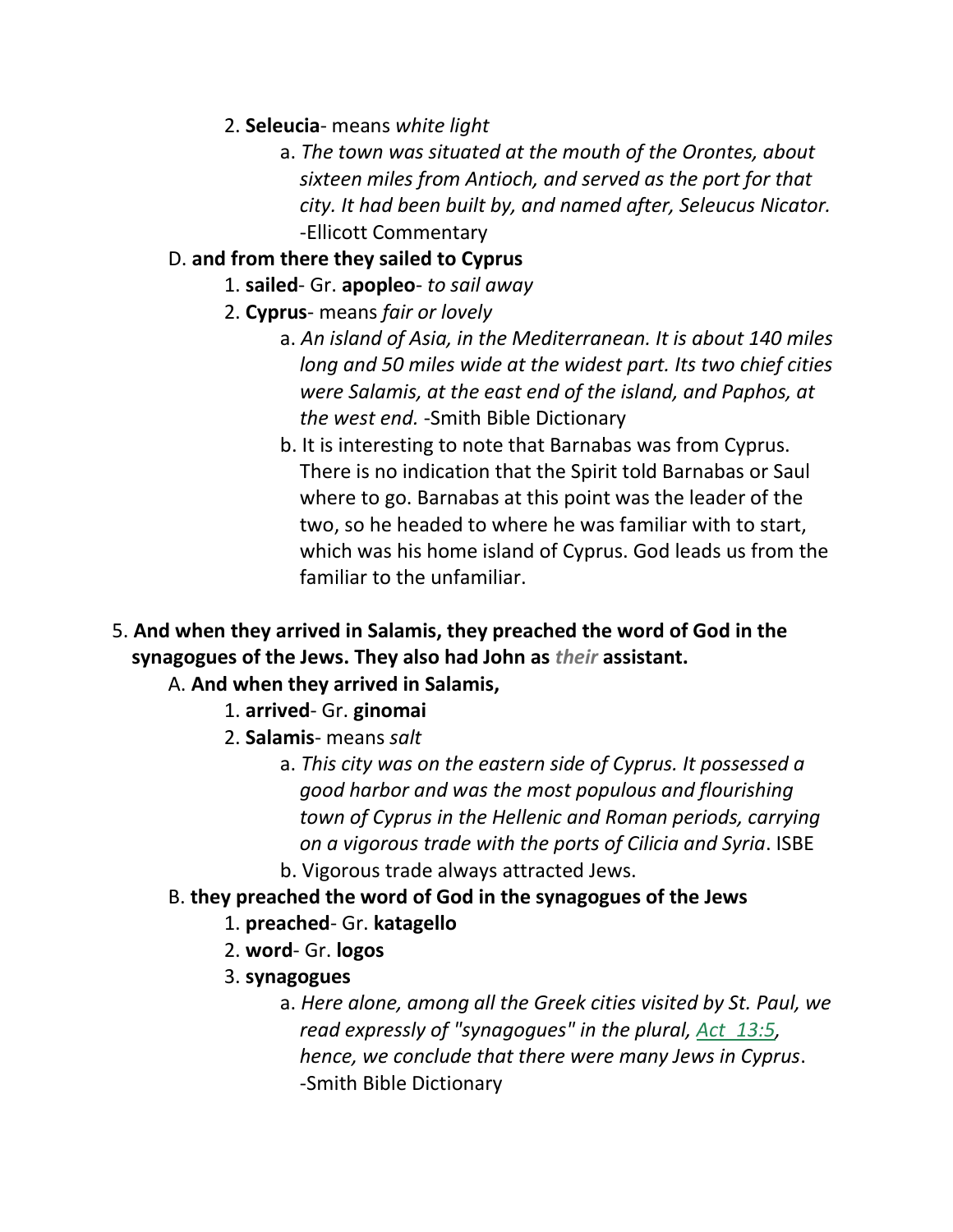- 2. **Seleucia** means *white light*
	- a. *The town was situated at the mouth of the Orontes, about sixteen miles from Antioch, and served as the port for that city. It had been built by, and named after, Seleucus Nicator.* -Ellicott Commentary

# D. **and from there they sailed to Cyprus**

- 1. **sailed** Gr. **apopleo** *to sail away*
- 2. **Cyprus** means *fair or lovely*
	- a. *An island of Asia, in the Mediterranean. It is about 140 miles long and 50 miles wide at the widest part. Its two chief cities were Salamis, at the east end of the island, and Paphos, at the west end.* -Smith Bible Dictionary
	- b. It is interesting to note that Barnabas was from Cyprus. There is no indication that the Spirit told Barnabas or Saul where to go. Barnabas at this point was the leader of the two, so he headed to where he was familiar with to start, which was his home island of Cyprus. God leads us from the familiar to the unfamiliar.
- 5. **And when they arrived in Salamis, they preached the word of God in the synagogues of the Jews. They also had John as** *their* **assistant.**

## A. **And when they arrived in Salamis,**

- 1. **arrived** Gr. **ginomai**
- 2. **Salamis** means *salt*
	- a. *This city was on the eastern side of Cyprus. It possessed a good harbor and was the most populous and flourishing town of Cyprus in the Hellenic and Roman periods, carrying on a vigorous trade with the ports of Cilicia and Syria*. ISBE b. Vigorous trade always attracted Jews.
- B. **they preached the word of God in the synagogues of the Jews**
	- 1. **preached** Gr. **katagello**
	- 2. **word** Gr. **logos**
	- 3. **synagogues**
		- a. *Here alone, among all the Greek cities visited by St. Paul, we read expressly of "synagogues" in the plural, Act\_13:5, hence, we conclude that there were many Jews in Cyprus*. -Smith Bible Dictionary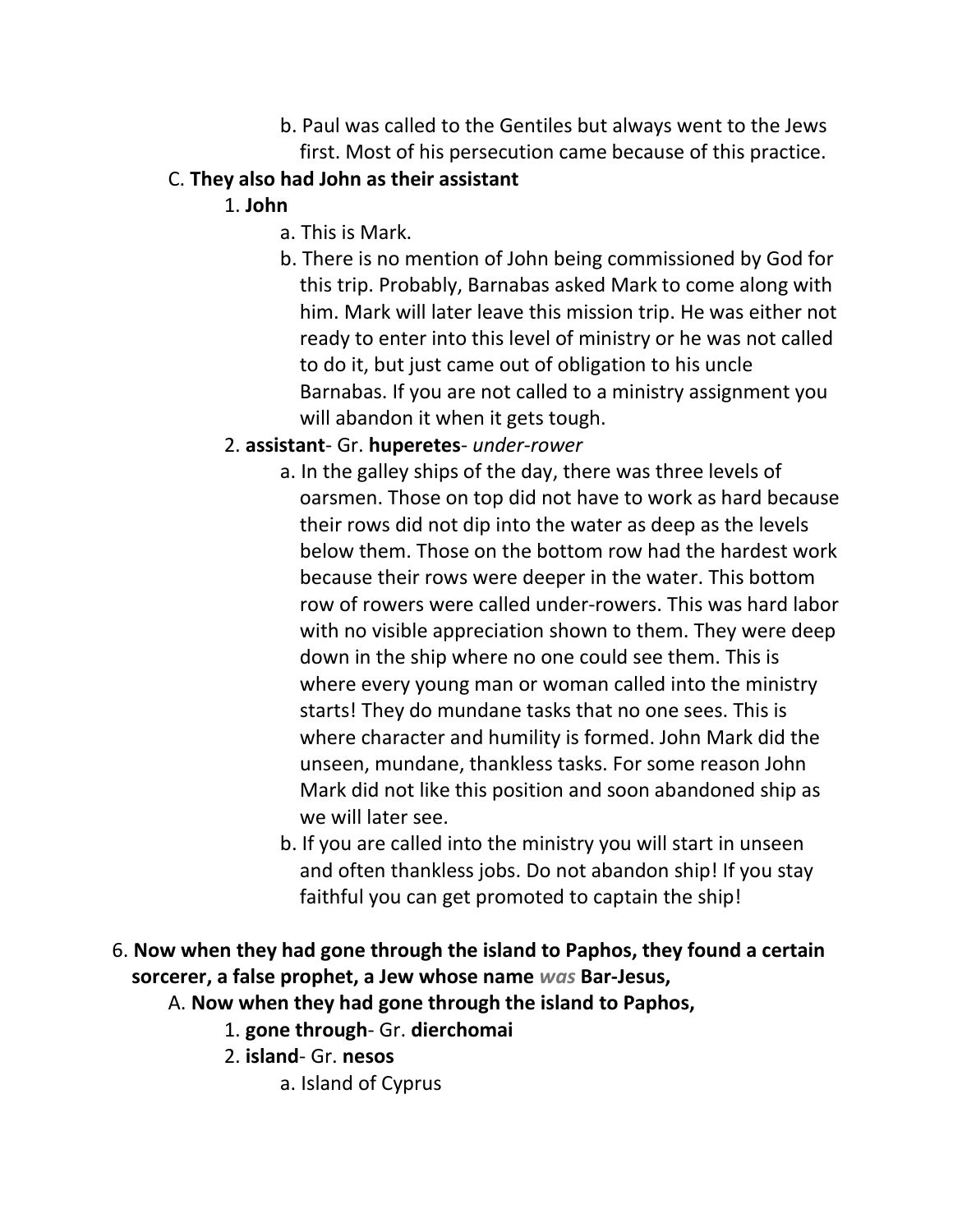- b. Paul was called to the Gentiles but always went to the Jews first. Most of his persecution came because of this practice.
- C. **They also had John as their assistant**
	- 1. **John**
		- a. This is Mark.
		- b. There is no mention of John being commissioned by God for this trip. Probably, Barnabas asked Mark to come along with him. Mark will later leave this mission trip. He was either not ready to enter into this level of ministry or he was not called to do it, but just came out of obligation to his uncle Barnabas. If you are not called to a ministry assignment you will abandon it when it gets tough.
	- 2. **assistant** Gr. **huperetes** *under-rower*
		- a. In the galley ships of the day, there was three levels of oarsmen. Those on top did not have to work as hard because their rows did not dip into the water as deep as the levels below them. Those on the bottom row had the hardest work because their rows were deeper in the water. This bottom row of rowers were called under-rowers. This was hard labor with no visible appreciation shown to them. They were deep down in the ship where no one could see them. This is where every young man or woman called into the ministry starts! They do mundane tasks that no one sees. This is where character and humility is formed. John Mark did the unseen, mundane, thankless tasks. For some reason John Mark did not like this position and soon abandoned ship as we will later see.
		- b. If you are called into the ministry you will start in unseen and often thankless jobs. Do not abandon ship! If you stay faithful you can get promoted to captain the ship!
- 6. **Now when they had gone through the island to Paphos, they found a certain sorcerer, a false prophet, a Jew whose name** *was* **Bar-Jesus,** 
	- A. **Now when they had gone through the island to Paphos,**
		- 1. **gone through** Gr. **dierchomai**
		- 2. **island** Gr. **nesos**
			- a. Island of Cyprus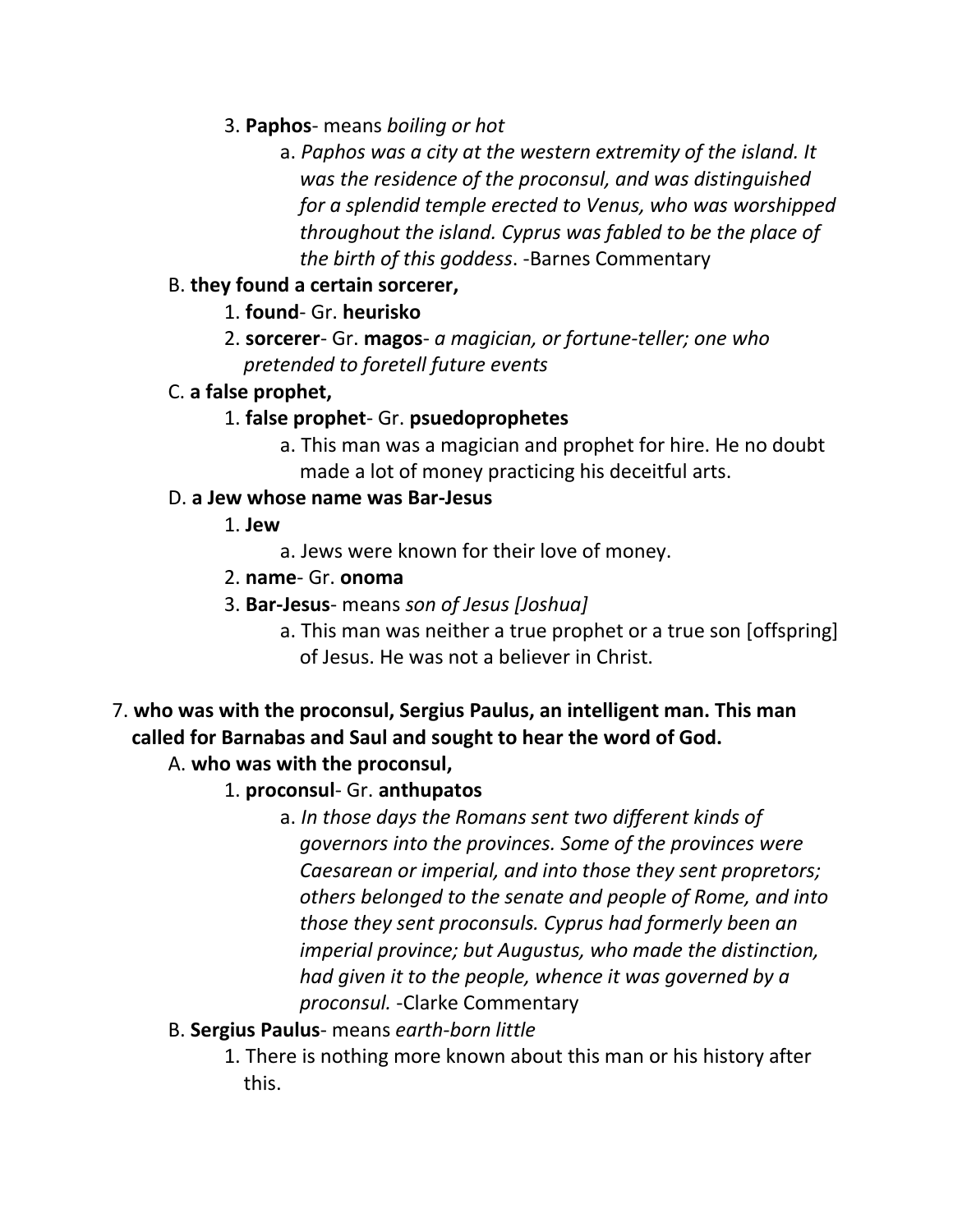- 3. **Paphos** means *boiling or hot*
	- a. *Paphos was a city at the western extremity of the island. It was the residence of the proconsul, and was distinguished for a splendid temple erected to Venus, who was worshipped throughout the island. Cyprus was fabled to be the place of the birth of this goddess*. -Barnes Commentary

### B. **they found a certain sorcerer,**

## 1. **found**- Gr. **heurisko**

2. **sorcerer**- Gr. **magos**- *a magician, or fortune-teller; one who pretended to foretell future events*

### C. **a false prophet,**

### 1. **false prophet**- Gr. **psuedoprophetes**

a. This man was a magician and prophet for hire. He no doubt made a lot of money practicing his deceitful arts.

### D. **a Jew whose name was Bar-Jesus**

## 1. **Jew**

- a. Jews were known for their love of money.
- 2. **name** Gr. **onoma**
- 3. **Bar-Jesus** means *son of Jesus [Joshua]*
	- a. This man was neither a true prophet or a true son [offspring] of Jesus. He was not a believer in Christ.
- 7. **who was with the proconsul, Sergius Paulus, an intelligent man. This man called for Barnabas and Saul and sought to hear the word of God.**

# A. **who was with the proconsul,**

- 1. **proconsul** Gr. **anthupatos**
	- a. *In those days the Romans sent two different kinds of governors into the provinces. Some of the provinces were Caesarean or imperial, and into those they sent propretors; others belonged to the senate and people of Rome, and into those they sent proconsuls. Cyprus had formerly been an imperial province; but Augustus, who made the distinction, had given it to the people, whence it was governed by a proconsul.* -Clarke Commentary
- B. **Sergius Paulus** means *earth-born little*
	- 1. There is nothing more known about this man or his history after this.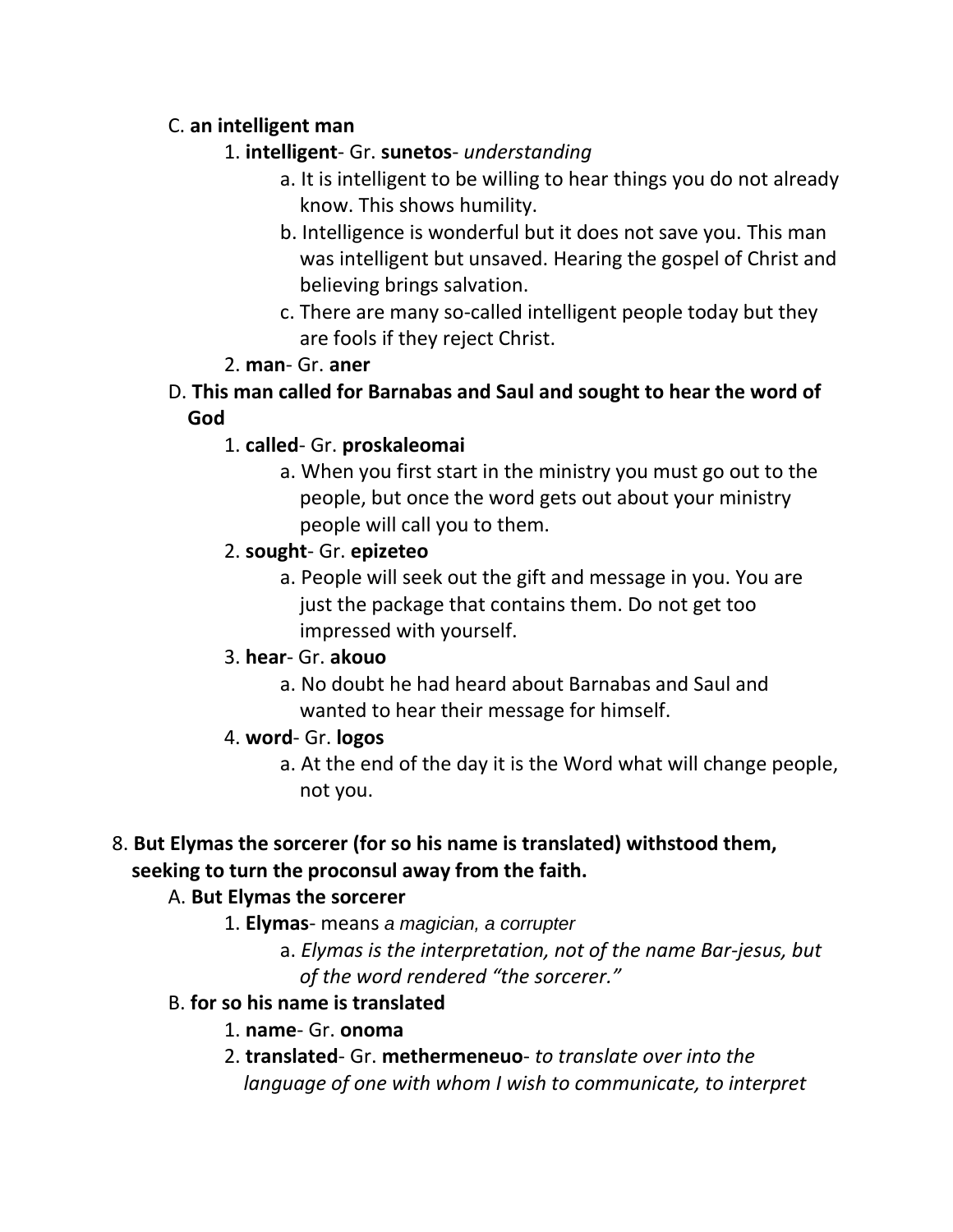## C. **an intelligent man**

# 1. **intelligent**- Gr. **sunetos**- *understanding*

- a. It is intelligent to be willing to hear things you do not already know. This shows humility.
- b. Intelligence is wonderful but it does not save you. This man was intelligent but unsaved. Hearing the gospel of Christ and believing brings salvation.
- c. There are many so-called intelligent people today but they are fools if they reject Christ.

## 2. **man**- Gr. **aner**

D. **This man called for Barnabas and Saul and sought to hear the word of God**

## 1. **called**- Gr. **proskaleomai**

a. When you first start in the ministry you must go out to the people, but once the word gets out about your ministry people will call you to them.

# 2. **sought**- Gr. **epizeteo**

a. People will seek out the gift and message in you. You are just the package that contains them. Do not get too impressed with yourself.

## 3. **hear**- Gr. **akouo**

a. No doubt he had heard about Barnabas and Saul and wanted to hear their message for himself.

## 4. **word**- Gr. **logos**

a. At the end of the day it is the Word what will change people, not you.

# 8. **But Elymas the sorcerer (for so his name is translated) withstood them, seeking to turn the proconsul away from the faith.**

## A. **But Elymas the sorcerer**

- 1. **Elymas** means *a magician, a corrupter*
	- a. *Elymas is the interpretation, not of the name Bar-jesus, but of the word rendered "the sorcerer."*

## B. **for so his name is translated**

- 1. **name** Gr. **onoma**
- 2. **translated** Gr. **methermeneuo** *to translate over into the language of one with whom I wish to communicate, to interpret*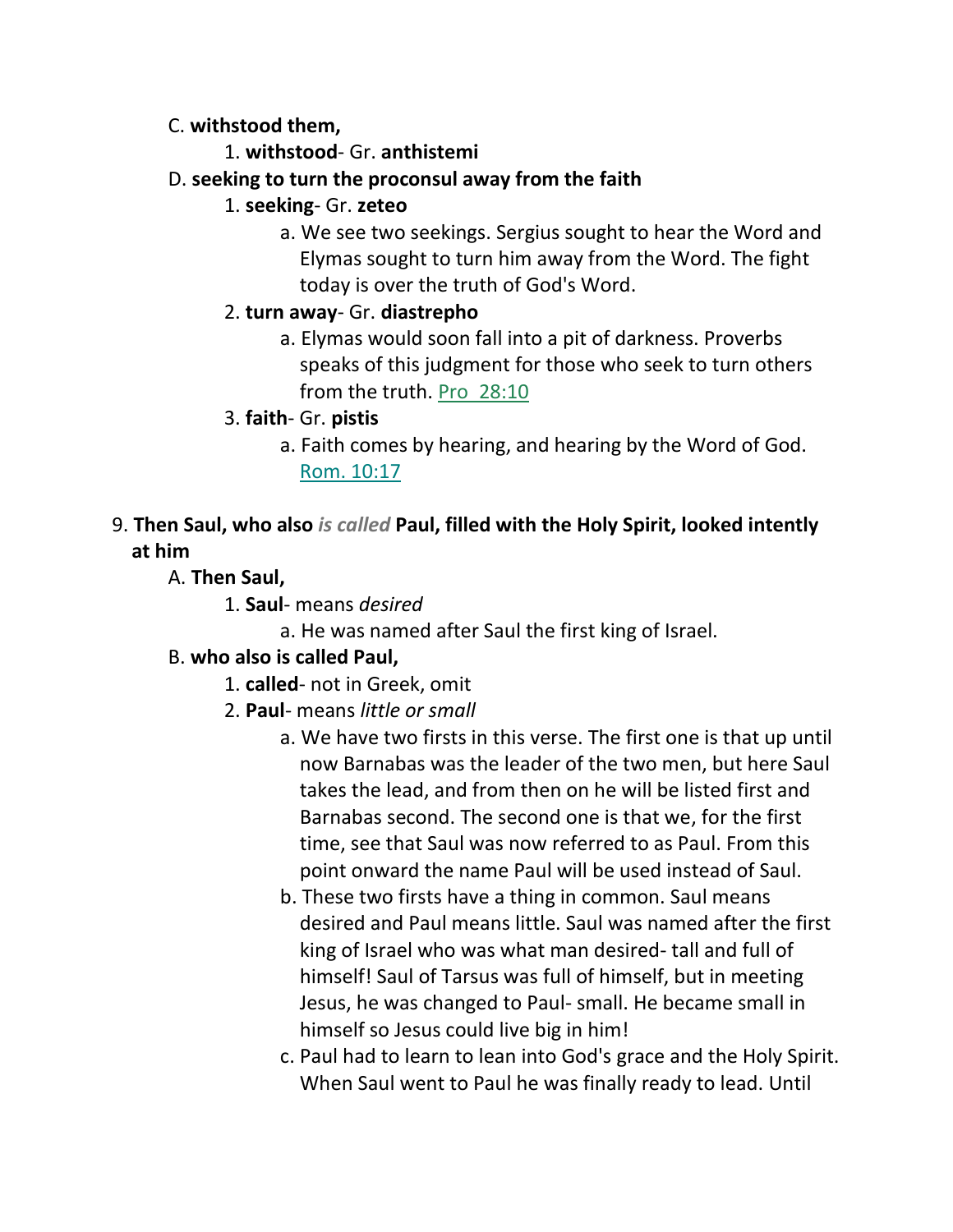### C. **withstood them,**

- 1. **withstood** Gr. **anthistemi**
- D. **seeking to turn the proconsul away from the faith**
	- 1. **seeking** Gr. **zeteo**
		- a. We see two seekings. Sergius sought to hear the Word and Elymas sought to turn him away from the Word. The fight today is over the truth of God's Word.
	- 2. **turn away** Gr. **diastrepho**
		- a. Elymas would soon fall into a pit of darkness. Proverbs speaks of this judgment for those who seek to turn others from the truth. Pro\_28:10
	- 3. **faith** Gr. **pistis**
		- a. Faith comes by hearing, and hearing by the Word of God. Rom. 10:17

# 9. **Then Saul, who also** *is called* **Paul, filled with the Holy Spirit, looked intently at him**

- A. **Then Saul,**
	- 1. **Saul** means *desired*
		- a. He was named after Saul the first king of Israel.

## B. **who also is called Paul,**

- 1. **called** not in Greek, omit
- 2. **Paul** means *little or small*
	- a. We have two firsts in this verse. The first one is that up until now Barnabas was the leader of the two men, but here Saul takes the lead, and from then on he will be listed first and Barnabas second. The second one is that we, for the first time, see that Saul was now referred to as Paul. From this point onward the name Paul will be used instead of Saul.
	- b. These two firsts have a thing in common. Saul means desired and Paul means little. Saul was named after the first king of Israel who was what man desired- tall and full of himself! Saul of Tarsus was full of himself, but in meeting Jesus, he was changed to Paul- small. He became small in himself so Jesus could live big in him!
	- c. Paul had to learn to lean into God's grace and the Holy Spirit. When Saul went to Paul he was finally ready to lead. Until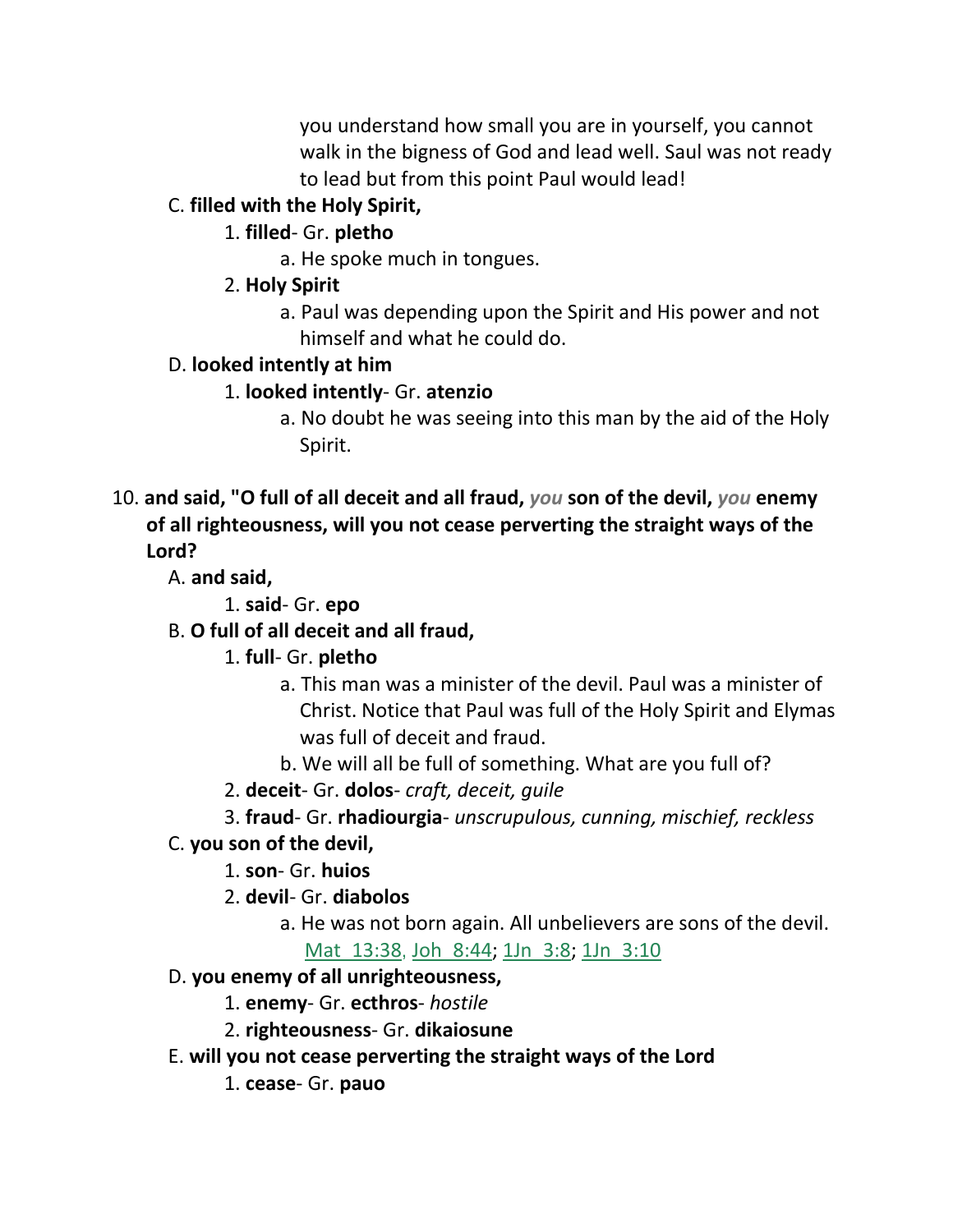you understand how small you are in yourself, you cannot walk in the bigness of God and lead well. Saul was not ready to lead but from this point Paul would lead!

# C. **filled with the Holy Spirit,**

# 1. **filled**- Gr. **pletho**

a. He spoke much in tongues.

# 2. **Holy Spirit**

a. Paul was depending upon the Spirit and His power and not himself and what he could do.

# D. **looked intently at him**

- 1. **looked intently** Gr. **atenzio**
	- a. No doubt he was seeing into this man by the aid of the Holy Spirit.
- 10. **and said, "O full of all deceit and all fraud,** *you* **son of the devil,** *you* **enemy of all righteousness, will you not cease perverting the straight ways of the Lord?**

A. **and said,**

1. **said**- Gr. **epo**

# B. **O full of all deceit and all fraud,**

1. **full**- Gr. **pletho**

- a. This man was a minister of the devil. Paul was a minister of Christ. Notice that Paul was full of the Holy Spirit and Elymas was full of deceit and fraud.
- b. We will all be full of something. What are you full of?
- 2. **deceit** Gr. **dolos** *craft, deceit, guile*
- 3. **fraud** Gr. **rhadiourgia** *unscrupulous, cunning, mischief, reckless*

# C. **you son of the devil,**

1. **son**- Gr. **huios**

2. **devil**- Gr. **diabolos**

a. He was not born again. All unbelievers are sons of the devil. Mat\_13:38, Joh\_8:44; 1Jn\_3:8; 1Jn\_3:10

# D. **you enemy of all unrighteousness,**

1. **enemy**- Gr. **ecthros**- *hostile*

- 2. **righteousness** Gr. **dikaiosune**
- E. **will you not cease perverting the straight ways of the Lord**

1. **cease**- Gr. **pauo**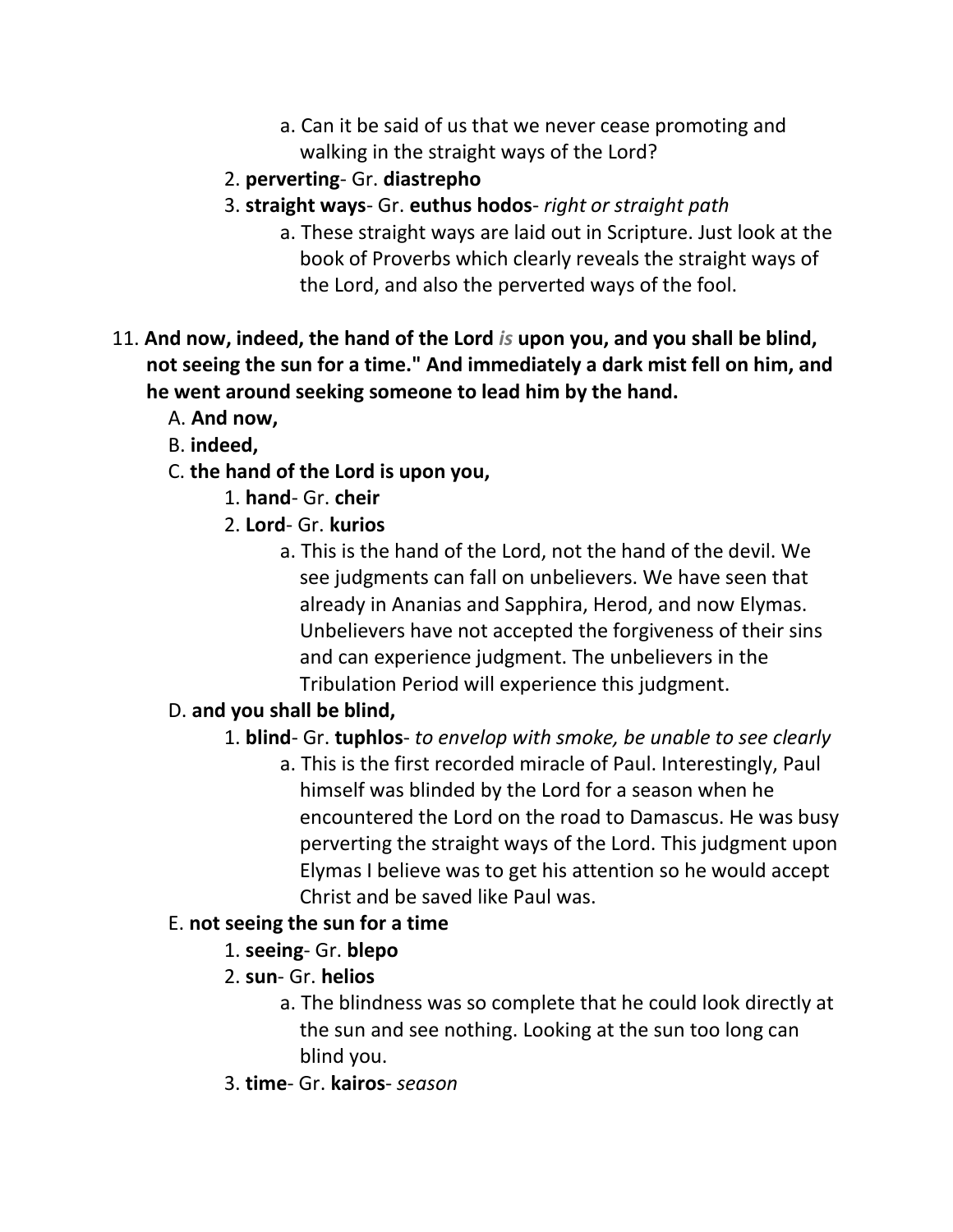- a. Can it be said of us that we never cease promoting and walking in the straight ways of the Lord?
- 2. **perverting** Gr. **diastrepho**
- 3. **straight ways** Gr. **euthus hodos** *right or straight path*
	- a. These straight ways are laid out in Scripture. Just look at the book of Proverbs which clearly reveals the straight ways of the Lord, and also the perverted ways of the fool.
- 11. **And now, indeed, the hand of the Lord** *is* **upon you, and you shall be blind, not seeing the sun for a time." And immediately a dark mist fell on him, and he went around seeking someone to lead him by the hand.** 
	- A. **And now,**
	- B. **indeed,**
	- C. **the hand of the Lord is upon you,**
		- 1. **hand** Gr. **cheir**
		- 2. **Lord** Gr. **kurios**
			- a. This is the hand of the Lord, not the hand of the devil. We see judgments can fall on unbelievers. We have seen that already in Ananias and Sapphira, Herod, and now Elymas. Unbelievers have not accepted the forgiveness of their sins and can experience judgment. The unbelievers in the Tribulation Period will experience this judgment.

# D. **and you shall be blind,**

- 1. **blind** Gr. **tuphlos** *to envelop with smoke, be unable to see clearly*
	- a. This is the first recorded miracle of Paul. Interestingly, Paul himself was blinded by the Lord for a season when he encountered the Lord on the road to Damascus. He was busy perverting the straight ways of the Lord. This judgment upon Elymas I believe was to get his attention so he would accept Christ and be saved like Paul was.

# E. **not seeing the sun for a time**

- 1. **seeing** Gr. **blepo**
- 2. **sun** Gr. **helios**
	- a. The blindness was so complete that he could look directly at the sun and see nothing. Looking at the sun too long can blind you.
- 3. **time** Gr. **kairos** *season*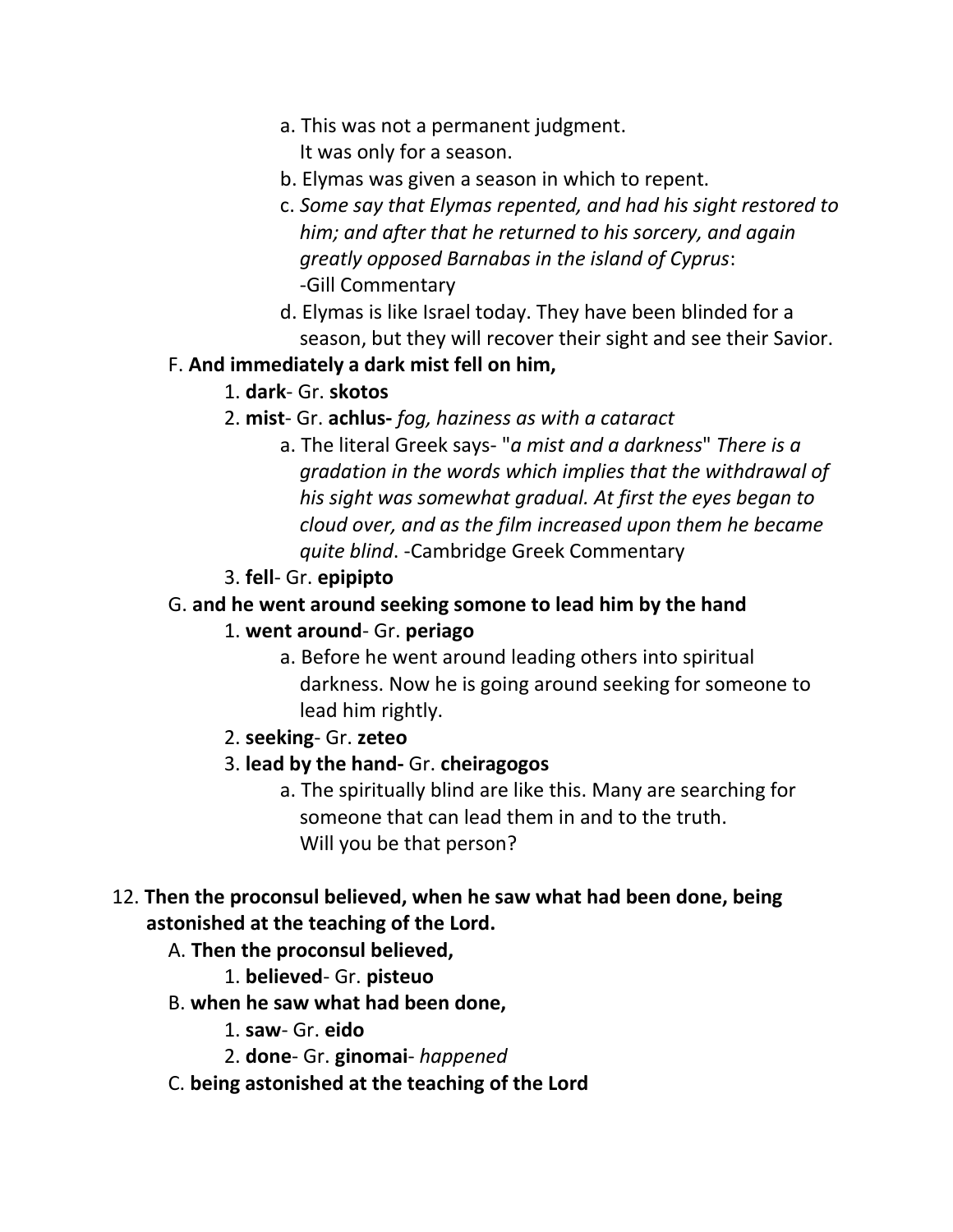- a. This was not a permanent judgment. It was only for a season.
- b. Elymas was given a season in which to repent.
- c. *Some say that Elymas repented, and had his sight restored to him; and after that he returned to his sorcery, and again greatly opposed Barnabas in the island of Cyprus*: -Gill Commentary
- d. Elymas is like Israel today. They have been blinded for a season, but they will recover their sight and see their Savior.

#### F. **And immediately a dark mist fell on him,**

- 1. **dark** Gr. **skotos**
- 2. **mist** Gr. **achlus-** *fog, haziness as with a cataract*
	- a. The literal Greek says- "*a mist and a darkness*" *There is a gradation in the words which implies that the withdrawal of his sight was somewhat gradual. At first the eyes began to cloud over, and as the film increased upon them he became quite blind*. -Cambridge Greek Commentary
- 3. **fell** Gr. **epipipto**

### G. **and he went around seeking somone to lead him by the hand**

#### 1. **went around**- Gr. **periago**

a. Before he went around leading others into spiritual darkness. Now he is going around seeking for someone to lead him rightly.

2. **seeking**- Gr. **zeteo**

## 3. **lead by the hand-** Gr. **cheiragogos**

a. The spiritually blind are like this. Many are searching for someone that can lead them in and to the truth. Will you be that person?

### 12. **Then the proconsul believed, when he saw what had been done, being astonished at the teaching of the Lord.**

- A. **Then the proconsul believed,**
	- 1. **believed** Gr. **pisteuo**
- B. **when he saw what had been done,**
	- 1. **saw** Gr. **eido**
	- 2. **done** Gr. **ginomai** *happened*
- C. **being astonished at the teaching of the Lord**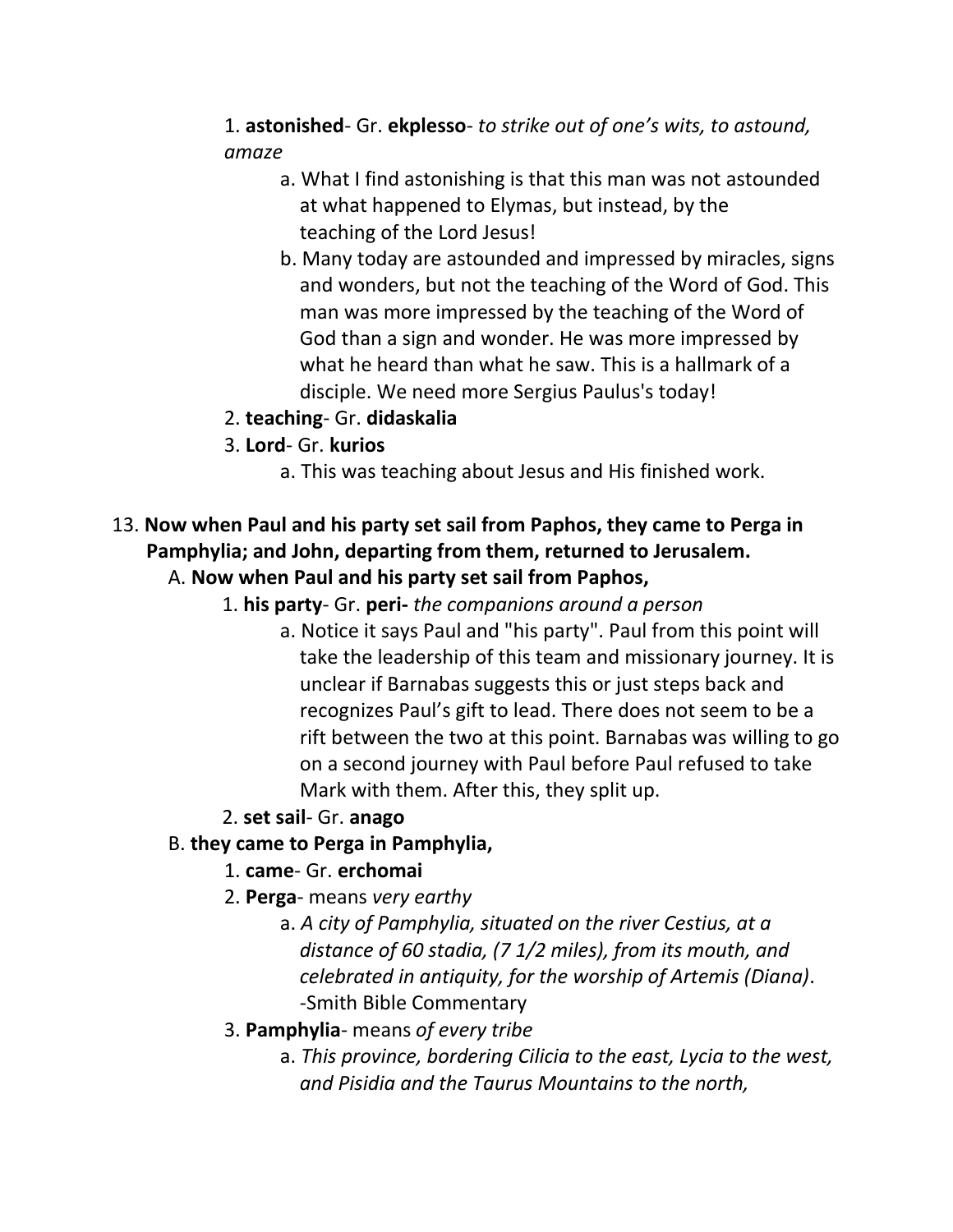# 1. **astonished**- Gr. **ekplesso**- *to strike out of one's wits, to astound, amaze*

- a. What I find astonishing is that this man was not astounded at what happened to Elymas, but instead, by the teaching of the Lord Jesus!
- b. Many today are astounded and impressed by miracles, signs and wonders, but not the teaching of the Word of God. This man was more impressed by the teaching of the Word of God than a sign and wonder. He was more impressed by what he heard than what he saw. This is a hallmark of a disciple. We need more Sergius Paulus's today!
- 2. **teaching** Gr. **didaskalia**
- 3. **Lord** Gr. **kurios**
	- a. This was teaching about Jesus and His finished work.

# 13. **Now when Paul and his party set sail from Paphos, they came to Perga in Pamphylia; and John, departing from them, returned to Jerusalem.**

# A. **Now when Paul and his party set sail from Paphos,**

- 1. **his party** Gr. **peri-** *the companions around a person*
	- a. Notice it says Paul and "his party". Paul from this point will take the leadership of this team and missionary journey. It is unclear if Barnabas suggests this or just steps back and recognizes Paul's gift to lead. There does not seem to be a rift between the two at this point. Barnabas was willing to go on a second journey with Paul before Paul refused to take Mark with them. After this, they split up.
- 2. **set sail** Gr. **anago**

# B. **they came to Perga in Pamphylia,**

- 1. **came** Gr. **erchomai**
- 2. **Perga** means *very earthy*
	- a. *A city of Pamphylia, situated on the river Cestius, at a distance of 60 stadia, (7 1/2 miles), from its mouth, and celebrated in antiquity, for the worship of Artemis (Diana)*. -Smith Bible Commentary
- 3. **Pamphylia** means *of every tribe*
	- a. *This province, bordering Cilicia to the east, Lycia to the west, and Pisidia and the Taurus Mountains to the north,*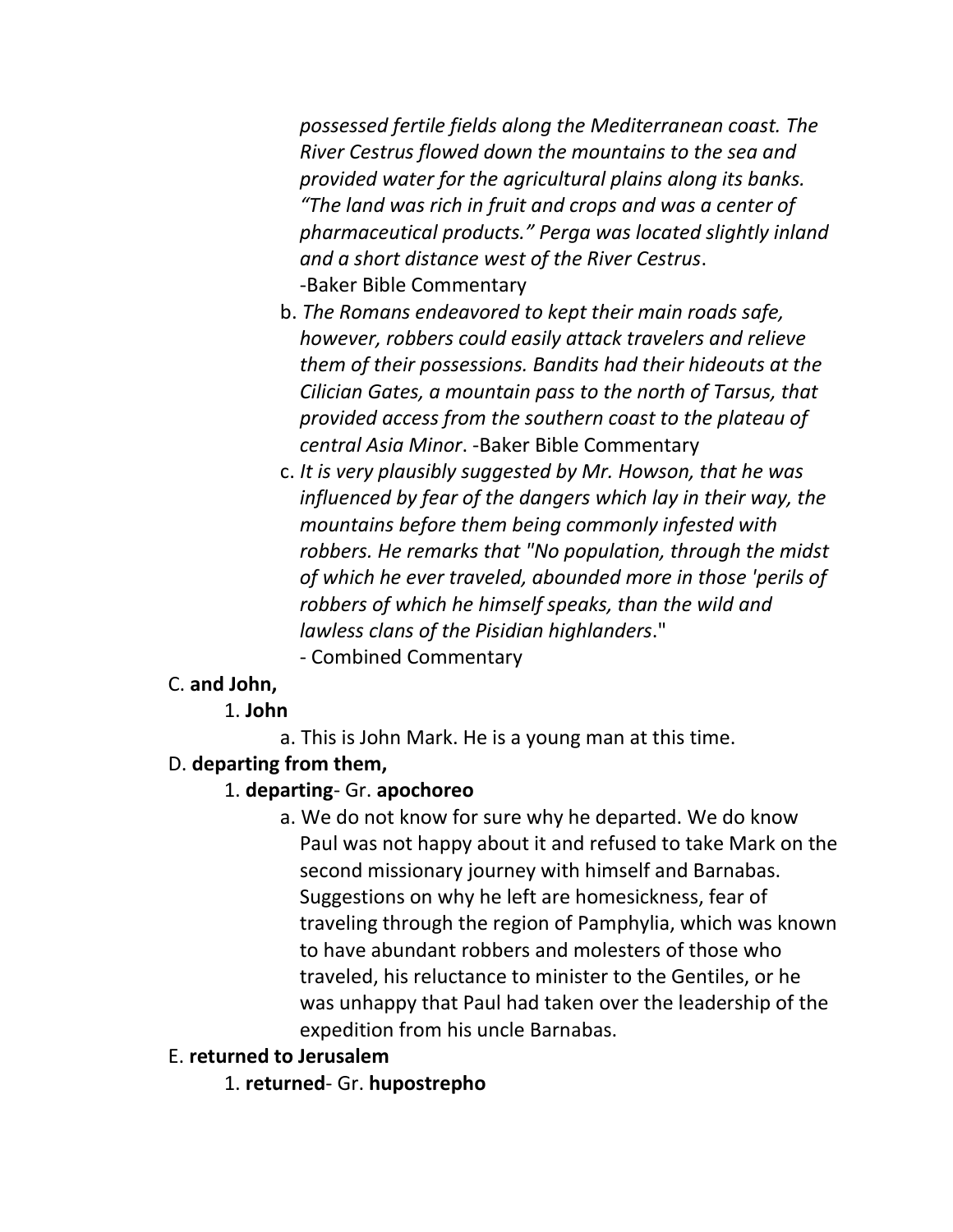*possessed fertile fields along the Mediterranean coast. The River Cestrus flowed down the mountains to the sea and provided water for the agricultural plains along its banks. "The land was rich in fruit and crops and was a center of pharmaceutical products." Perga was located slightly inland and a short distance west of the River Cestrus*. -Baker Bible Commentary

- b. *The Romans endeavored to kept their main roads safe, however, robbers could easily attack travelers and relieve them of their possessions. Bandits had their hideouts at the Cilician Gates, a mountain pass to the north of Tarsus, that provided access from the southern coast to the plateau of central Asia Minor*. -Baker Bible Commentary
- c. *It is very plausibly suggested by Mr. Howson, that he was influenced by fear of the dangers which lay in their way, the mountains before them being commonly infested with robbers. He remarks that "No population, through the midst of which he ever traveled, abounded more in those 'perils of robbers of which he himself speaks, than the wild and lawless clans of the Pisidian highlanders*."
	- Combined Commentary

## C. **and John,**

- 1. **John**
	- a. This is John Mark. He is a young man at this time.

# D. **departing from them,**

## 1. **departing**- Gr. **apochoreo**

a. We do not know for sure why he departed. We do know Paul was not happy about it and refused to take Mark on the second missionary journey with himself and Barnabas. Suggestions on why he left are homesickness, fear of traveling through the region of Pamphylia, which was known to have abundant robbers and molesters of those who traveled, his reluctance to minister to the Gentiles, or he was unhappy that Paul had taken over the leadership of the expedition from his uncle Barnabas.

# E. **returned to Jerusalem**

1. **returned**- Gr. **hupostrepho**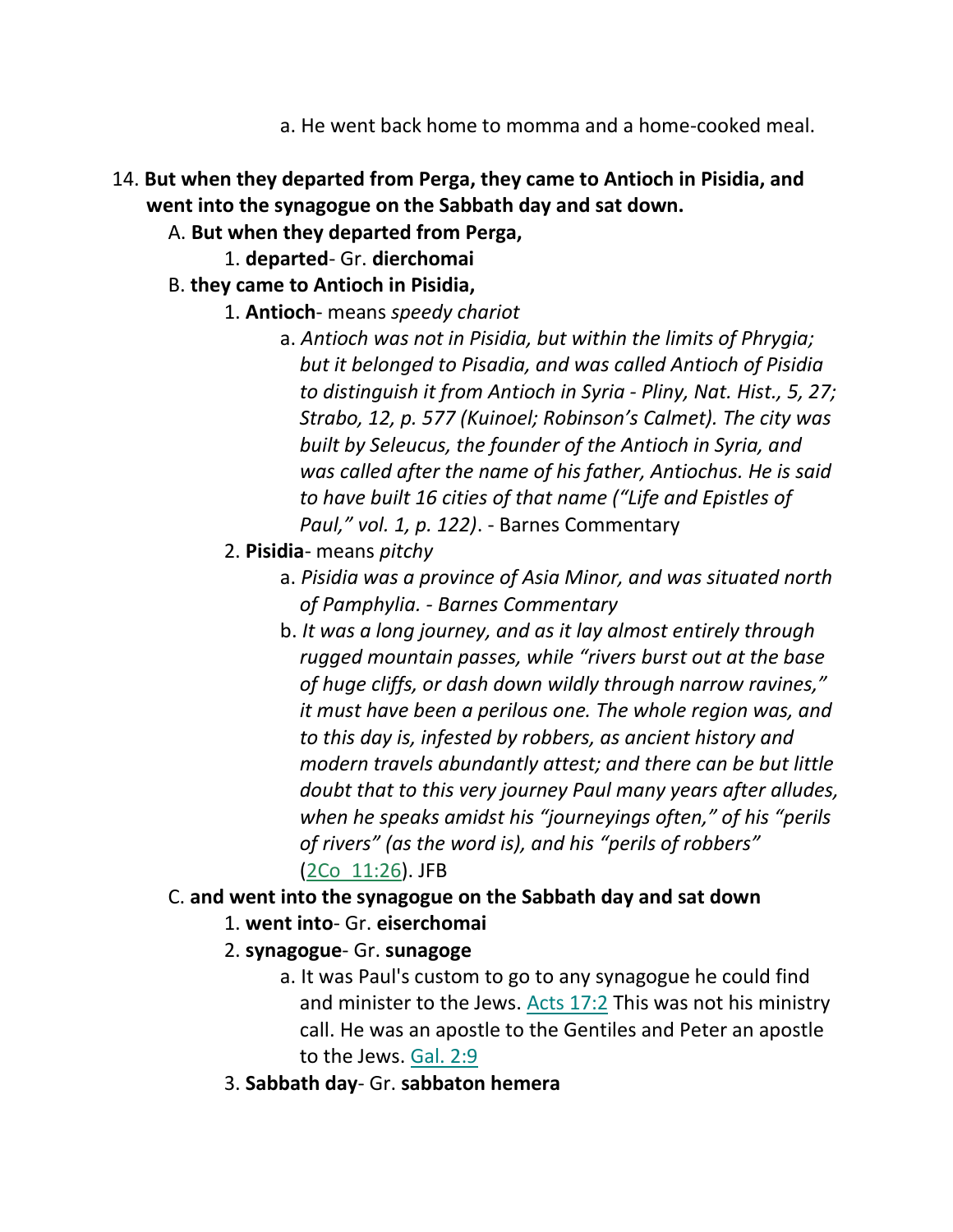- a. He went back home to momma and a home-cooked meal.
- 14. **But when they departed from Perga, they came to Antioch in Pisidia, and went into the synagogue on the Sabbath day and sat down.** 
	- A. **But when they departed from Perga,**
		- 1. **departed** Gr. **dierchomai**
	- B. **they came to Antioch in Pisidia,**
		- 1. **Antioch** means *speedy chariot*
			- a. *Antioch was not in Pisidia, but within the limits of Phrygia; but it belonged to Pisadia, and was called Antioch of Pisidia to distinguish it from Antioch in Syria - Pliny, Nat. Hist., 5, 27; Strabo, 12, p. 577 (Kuinoel; Robinson's Calmet). The city was built by Seleucus, the founder of the Antioch in Syria, and was called after the name of his father, Antiochus. He is said to have built 16 cities of that name ("Life and Epistles of Paul," vol. 1, p. 122)*. - Barnes Commentary
		- 2. **Pisidia** means *pitchy*
			- a. *Pisidia was a province of Asia Minor, and was situated north of Pamphylia. - Barnes Commentary*
			- b. *It was a long journey, and as it lay almost entirely through rugged mountain passes, while "rivers burst out at the base of huge cliffs, or dash down wildly through narrow ravines," it must have been a perilous one. The whole region was, and to this day is, infested by robbers, as ancient history and modern travels abundantly attest; and there can be but little doubt that to this very journey Paul many years after alludes, when he speaks amidst his "journeyings often," of his "perils of rivers" (as the word is), and his "perils of robbers"* (2Co\_11:26). JFB

## C. **and went into the synagogue on the Sabbath day and sat down**

- 1. **went into** Gr. **eiserchomai**
- 2. **synagogue** Gr. **sunagoge**
	- a. It was Paul's custom to go to any synagogue he could find and minister to the Jews. Acts 17:2 This was not his ministry call. He was an apostle to the Gentiles and Peter an apostle to the Jews. Gal. 2:9
- 3. **Sabbath day** Gr. **sabbaton hemera**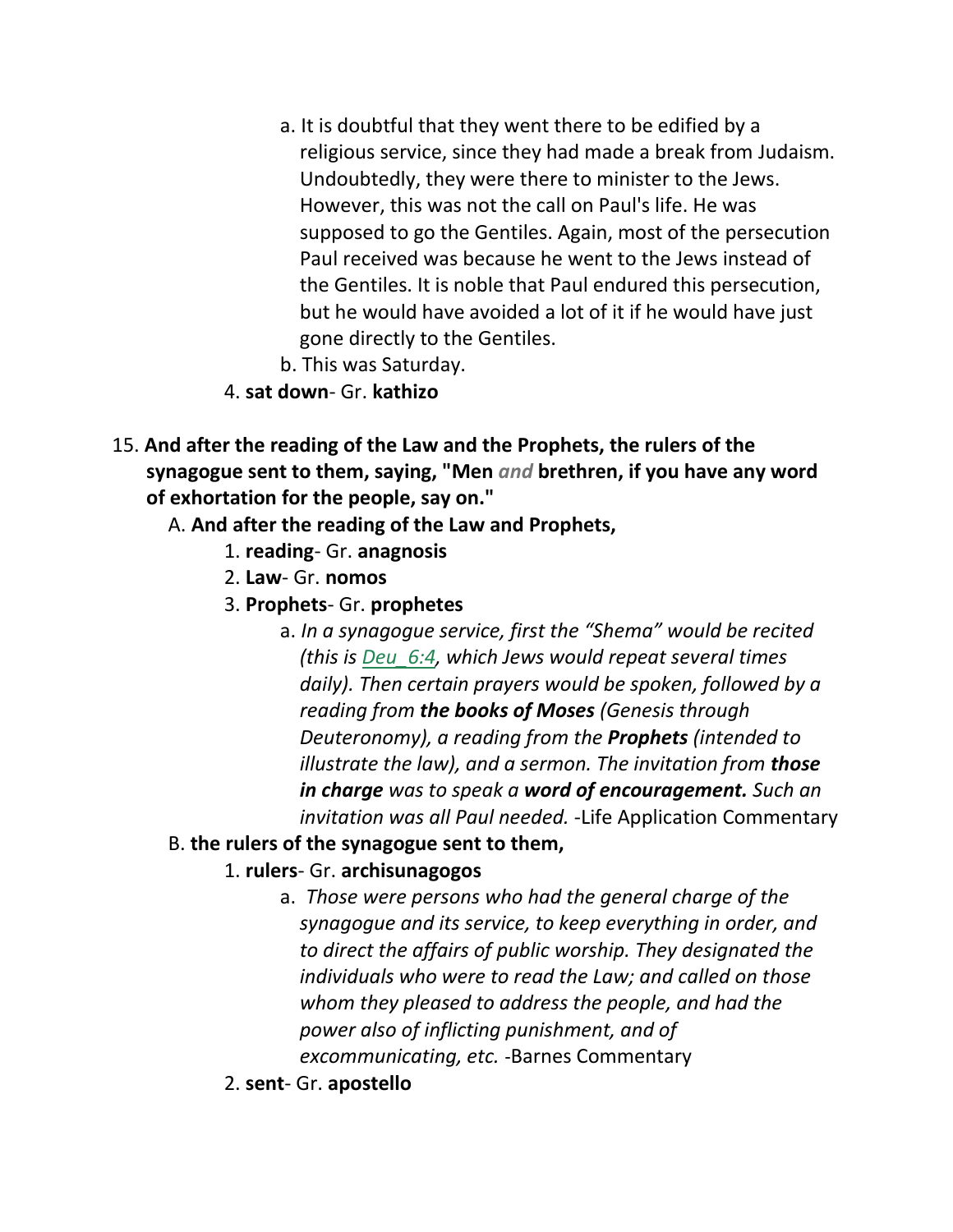- a. It is doubtful that they went there to be edified by a religious service, since they had made a break from Judaism. Undoubtedly, they were there to minister to the Jews. However, this was not the call on Paul's life. He was supposed to go the Gentiles. Again, most of the persecution Paul received was because he went to the Jews instead of the Gentiles. It is noble that Paul endured this persecution, but he would have avoided a lot of it if he would have just gone directly to the Gentiles.
- b. This was Saturday.
- 4. **sat down** Gr. **kathizo**
- 15. **And after the reading of the Law and the Prophets, the rulers of the synagogue sent to them, saying, "Men** *and* **brethren, if you have any word of exhortation for the people, say on."** 
	- A. **And after the reading of the Law and Prophets,**
		- 1. **reading** Gr. **anagnosis**
		- 2. **Law** Gr. **nomos**
		- 3. **Prophets** Gr. **prophetes**
			- a. *In a synagogue service, first the "Shema" would be recited (this is Deu\_6:4, which Jews would repeat several times daily). Then certain prayers would be spoken, followed by a reading from the books of Moses (Genesis through Deuteronomy), a reading from the Prophets (intended to illustrate the law), and a sermon. The invitation from those in charge was to speak a word of encouragement. Such an invitation was all Paul needed.* -Life Application Commentary
	- B. **the rulers of the synagogue sent to them,**
		- 1. **rulers** Gr. **archisunagogos**
			- a. *Those were persons who had the general charge of the synagogue and its service, to keep everything in order, and to direct the affairs of public worship. They designated the individuals who were to read the Law; and called on those whom they pleased to address the people, and had the power also of inflicting punishment, and of excommunicating, etc.* -Barnes Commentary
		- 2. **sent** Gr. **apostello**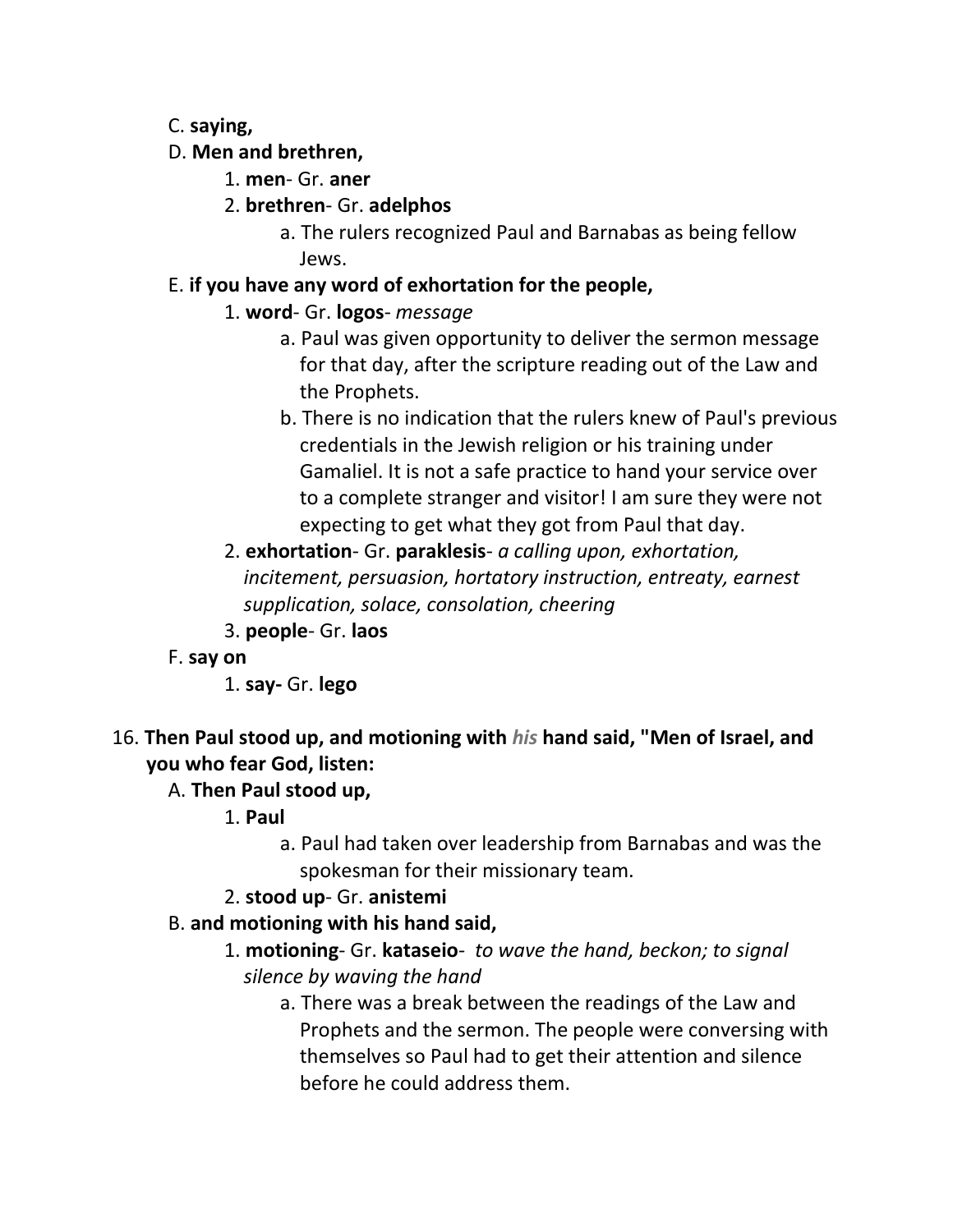## C. **saying,**

## D. **Men and brethren,**

- 1. **men** Gr. **aner**
- 2. **brethren** Gr. **adelphos**
	- a. The rulers recognized Paul and Barnabas as being fellow Jews.

# E. **if you have any word of exhortation for the people,**

# 1. **word**- Gr. **logos**- *message*

- a. Paul was given opportunity to deliver the sermon message for that day, after the scripture reading out of the Law and the Prophets.
- b. There is no indication that the rulers knew of Paul's previous credentials in the Jewish religion or his training under Gamaliel. It is not a safe practice to hand your service over to a complete stranger and visitor! I am sure they were not expecting to get what they got from Paul that day.
- 2. **exhortation** Gr. **paraklesis** *a calling upon, exhortation, incitement, persuasion, hortatory instruction, entreaty, earnest supplication, solace, consolation, cheering*
- 3. **people** Gr. **laos**
- F. **say on**
	- 1. **say-** Gr. **lego**
- 16. **Then Paul stood up, and motioning with** *his* **hand said, "Men of Israel, and you who fear God, listen:**

# A. **Then Paul stood up,**

- 1. **Paul**
	- a. Paul had taken over leadership from Barnabas and was the spokesman for their missionary team.

# 2. **stood up**- Gr. **anistemi**

- B. **and motioning with his hand said,**
	- 1. **motioning** Gr. **kataseio** *to wave the hand, beckon; to signal silence by waving the hand*
		- a. There was a break between the readings of the Law and Prophets and the sermon. The people were conversing with themselves so Paul had to get their attention and silence before he could address them.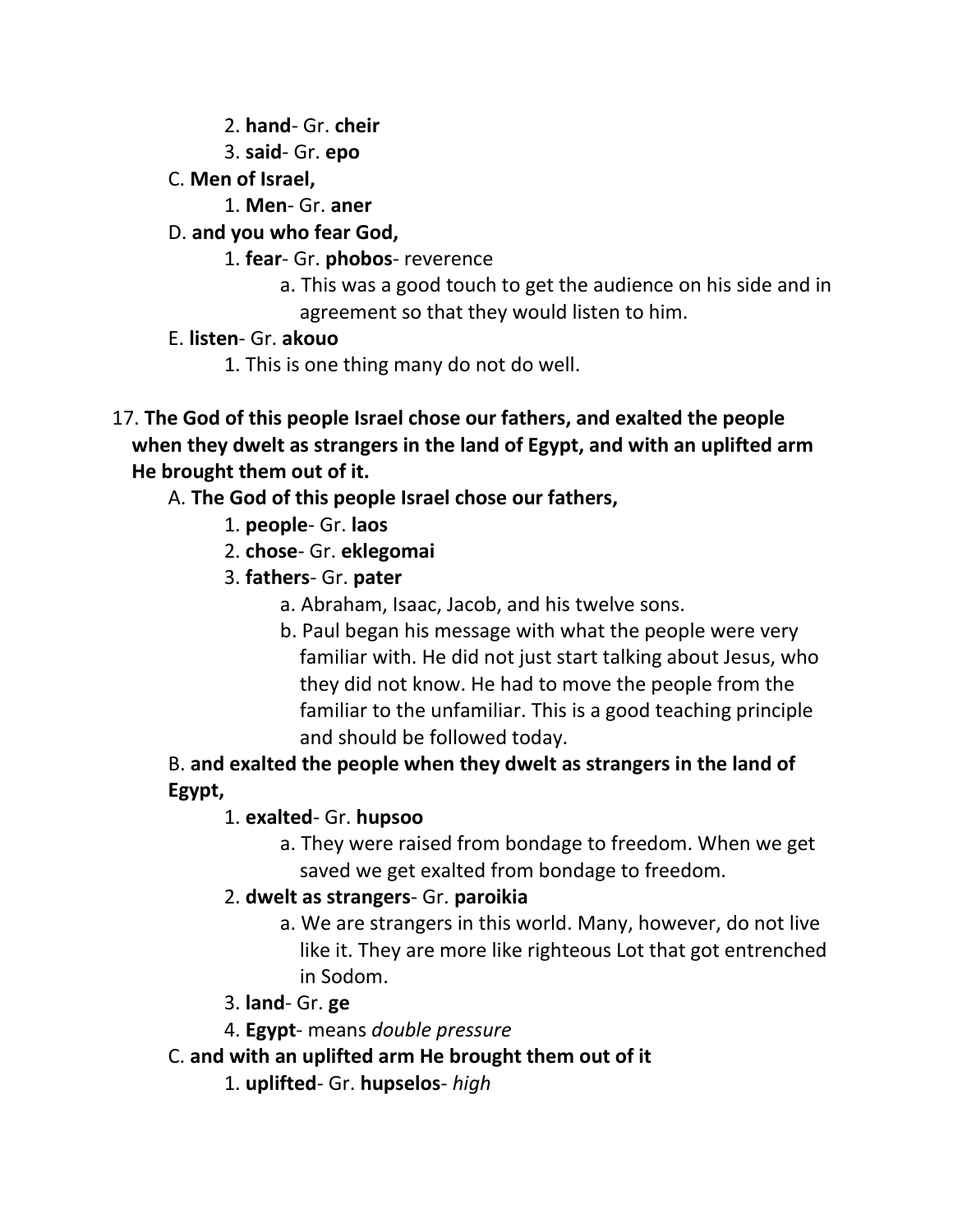- 2. **hand** Gr. **cheir**
- 3. **said** Gr. **epo**
- C. **Men of Israel,**
	- 1. **Men** Gr. **aner**
- D. **and you who fear God,**
	- 1. **fear** Gr. **phobos** reverence
		- a. This was a good touch to get the audience on his side and in agreement so that they would listen to him.
- E. **listen** Gr. **akouo**
	- 1. This is one thing many do not do well.
- 17. **The God of this people Israel chose our fathers, and exalted the people when they dwelt as strangers in the land of Egypt, and with an uplifted arm He brought them out of it.** 
	- A. **The God of this people Israel chose our fathers,**
		- 1. **people** Gr. **laos**
		- 2. **chose** Gr. **eklegomai**
		- 3. **fathers** Gr. **pater**
			- a. Abraham, Isaac, Jacob, and his twelve sons.
			- b. Paul began his message with what the people were very familiar with. He did not just start talking about Jesus, who they did not know. He had to move the people from the familiar to the unfamiliar. This is a good teaching principle and should be followed today.

B. **and exalted the people when they dwelt as strangers in the land of Egypt,**

# 1. **exalted**- Gr. **hupsoo**

a. They were raised from bondage to freedom. When we get saved we get exalted from bondage to freedom.

## 2. **dwelt as strangers**- Gr. **paroikia**

- a. We are strangers in this world. Many, however, do not live like it. They are more like righteous Lot that got entrenched in Sodom.
- 3. **land** Gr. **ge**
- 4. **Egypt** means *double pressure*
- C. **and with an uplifted arm He brought them out of it**
	- 1. **uplifted** Gr. **hupselos** *high*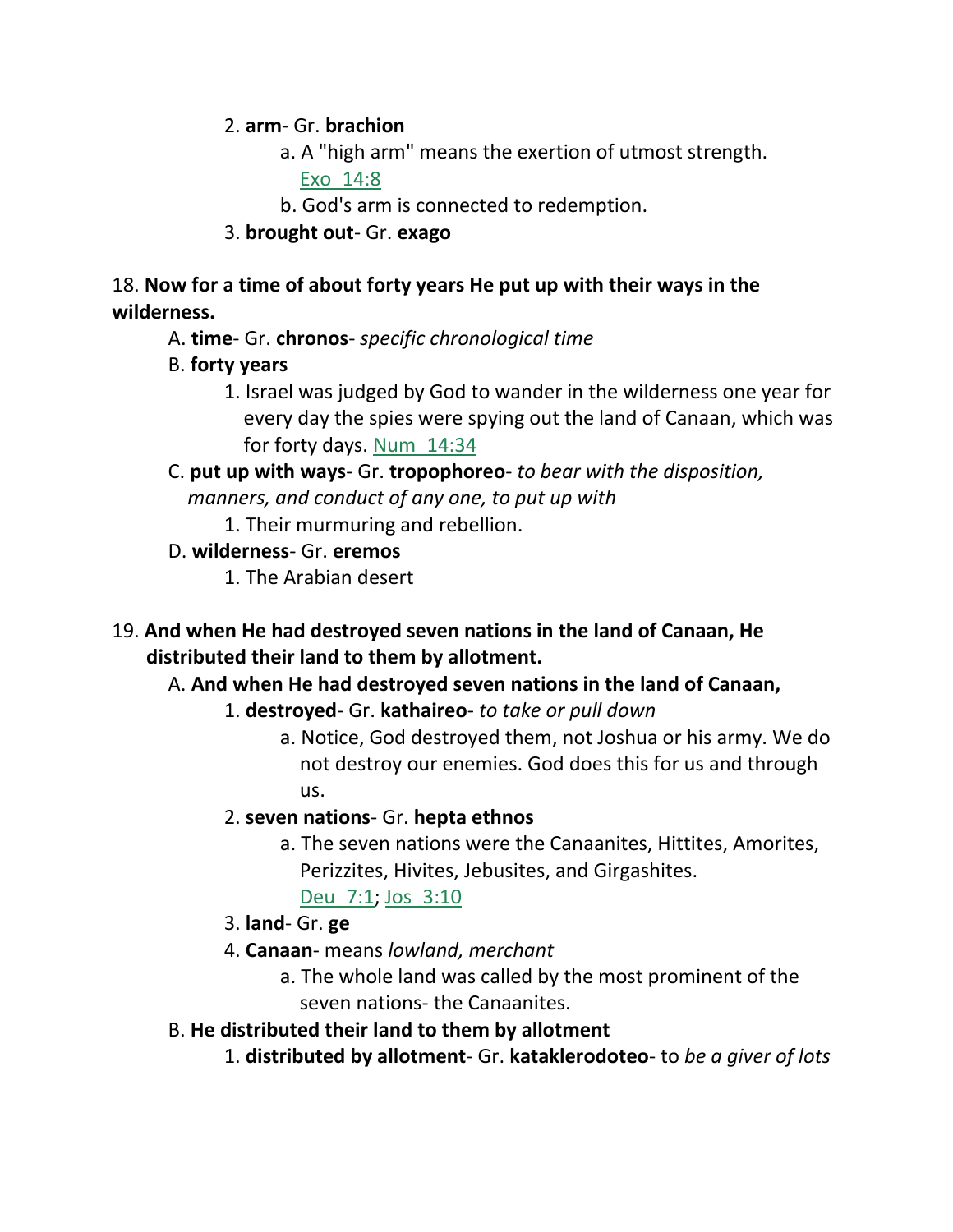2. **arm**- Gr. **brachion**

a. A "high arm" means the exertion of utmost strength. Exo\_14:8

b. God's arm is connected to redemption.

3. **brought out**- Gr. **exago**

18. **Now for a time of about forty years He put up with their ways in the wilderness.** 

- A. **time** Gr. **chronos** *specific chronological time*
- B. **forty years**
	- 1. Israel was judged by God to wander in the wilderness one year for every day the spies were spying out the land of Canaan, which was for forty days. Num\_14:34
- C. **put up with ways** Gr. **tropophoreo** *to bear with the disposition, manners, and conduct of any one, to put up with*
	- 1. Their murmuring and rebellion.
- D. **wilderness** Gr. **eremos**
	- 1. The Arabian desert
- 19. **And when He had destroyed seven nations in the land of Canaan, He distributed their land to them by allotment.**

# A. **And when He had destroyed seven nations in the land of Canaan,**

- 1. **destroyed** Gr. **kathaireo** *to take or pull down*
	- a. Notice, God destroyed them, not Joshua or his army. We do not destroy our enemies. God does this for us and through us.
- 2. **seven nations** Gr. **hepta ethnos**
	- a. The seven nations were the Canaanites, Hittites, Amorites, Perizzites, Hivites, Jebusites, and Girgashites.
		- Deu 7:1; Jos 3:10
- 3. **land** Gr. **ge**
- 4. **Canaan** means *lowland, merchant*
	- a. The whole land was called by the most prominent of the seven nations- the Canaanites.
- B. **He distributed their land to them by allotment**
	- 1. **distributed by allotment** Gr. **kataklerodoteo** to *be a giver of lots*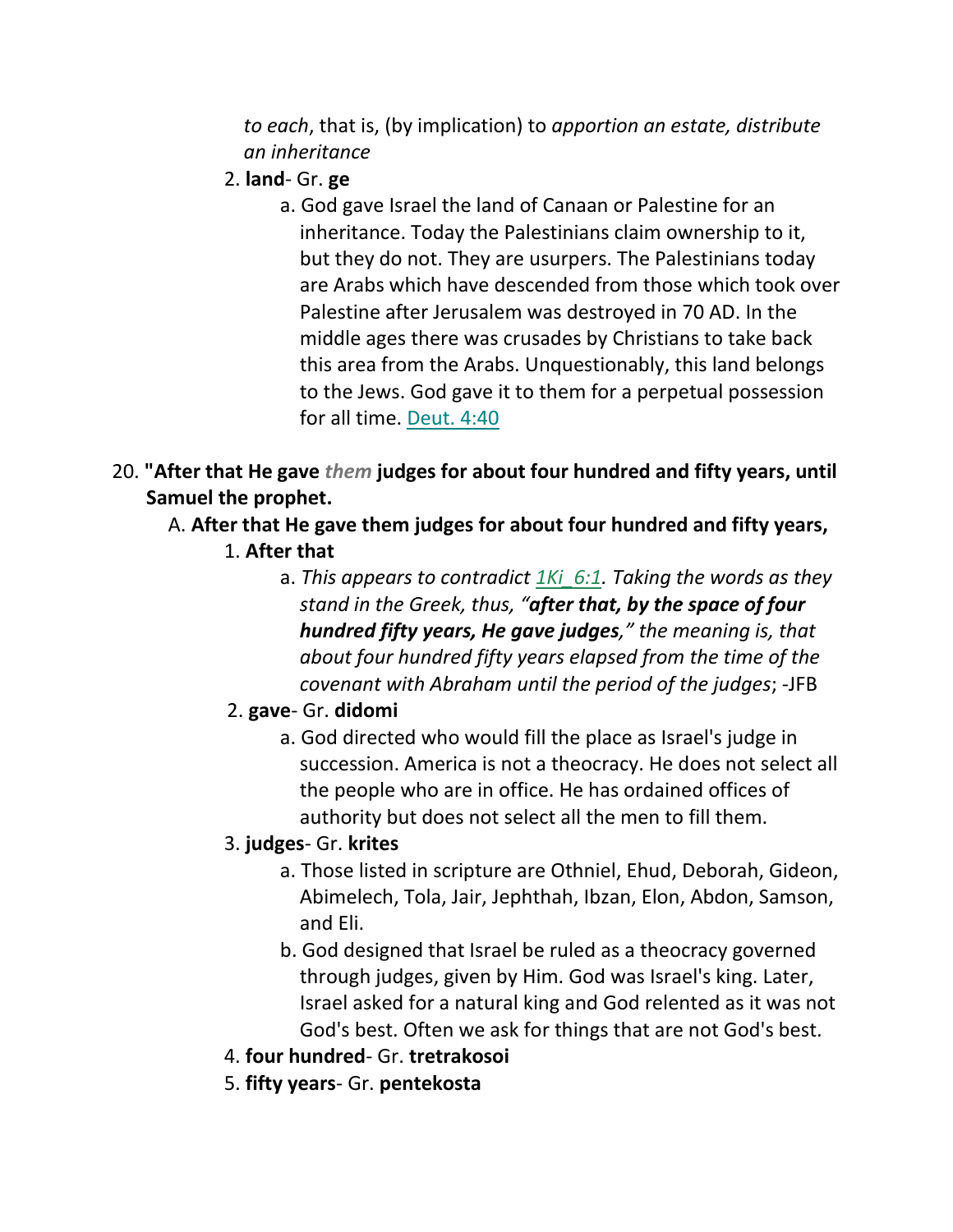*to each*, that is, (by implication) to *apportion an estate, distribute an inheritance*

- 2. **land** Gr. **ge**
	- a. God gave Israel the land of Canaan or Palestine for an inheritance. Today the Palestinians claim ownership to it, but they do not. They are usurpers. The Palestinians today are Arabs which have descended from those which took over Palestine after Jerusalem was destroyed in 70 AD. In the middle ages there was crusades by Christians to take back this area from the Arabs. Unquestionably, this land belongs to the Jews. God gave it to them for a perpetual possession for all time. Deut. 4:40
- 20. **"After that He gave** *them* **judges for about four hundred and fifty years, until Samuel the prophet.** 
	- A. **After that He gave them judges for about four hundred and fifty years,**
		- 1. **After that**
			- a. *This appears to contradict 1Ki\_6:1. Taking the words as they stand in the Greek, thus, "after that, by the space of four hundred fifty years, He gave judges," the meaning is, that about four hundred fifty years elapsed from the time of the covenant with Abraham until the period of the judges*; -JFB
		- 2. **gave** Gr. **didomi**
			- a. God directed who would fill the place as Israel's judge in succession. America is not a theocracy. He does not select all the people who are in office. He has ordained offices of authority but does not select all the men to fill them.
		- 3. **judges** Gr. **krites**
			- a. Those listed in scripture are Othniel, Ehud, Deborah, Gideon, Abimelech, Tola, Jair, Jephthah, Ibzan, Elon, Abdon, Samson, and Eli.
			- b. God designed that Israel be ruled as a theocracy governed through judges, given by Him. God was Israel's king. Later, Israel asked for a natural king and God relented as it was not God's best. Often we ask for things that are not God's best.
		- 4. **four hundred** Gr. **tretrakosoi**
		- 5. **fifty years** Gr. **pentekosta**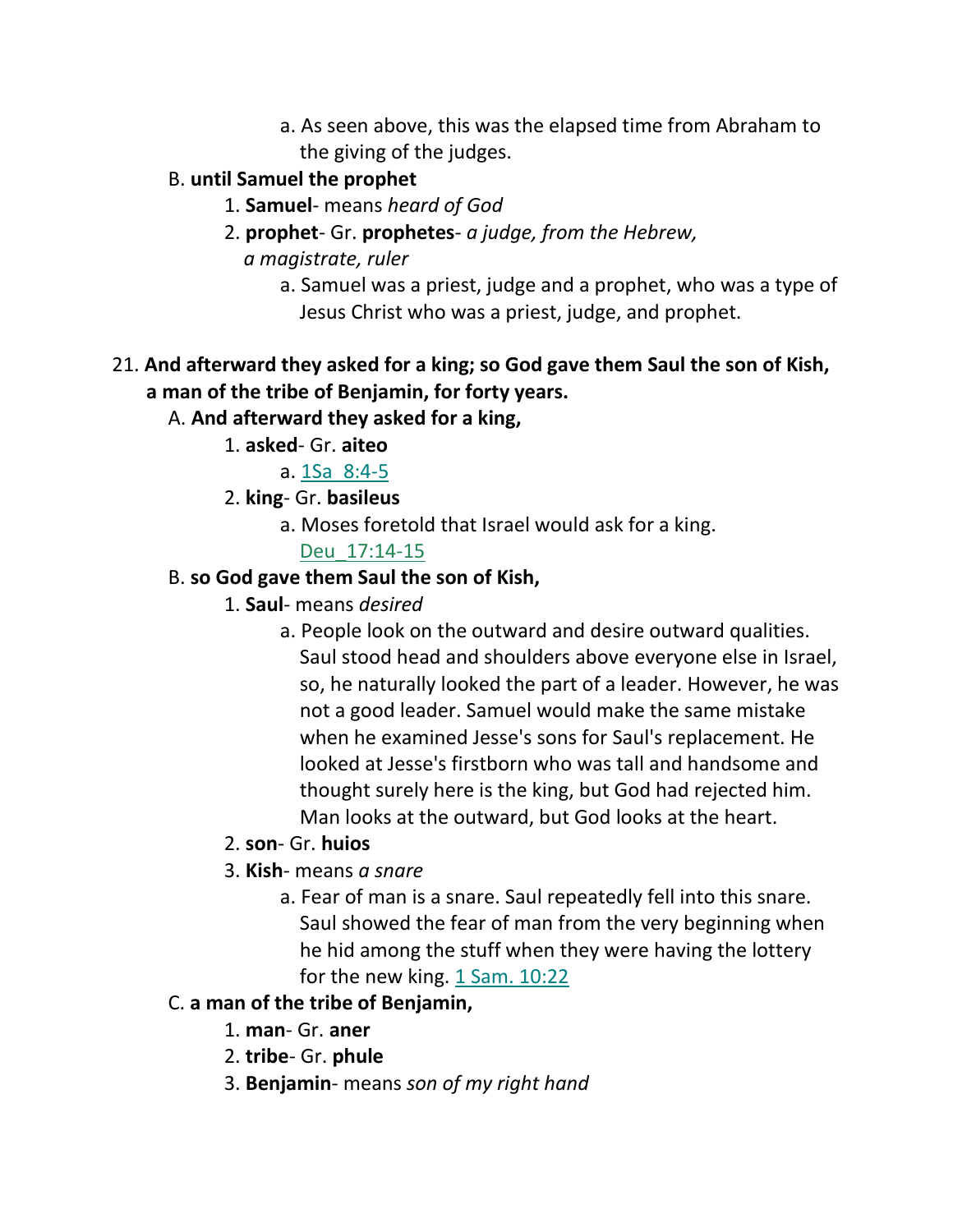a. As seen above, this was the elapsed time from Abraham to the giving of the judges.

# B. **until Samuel the prophet**

- 1. **Samuel** means *heard of God*
- 2. **prophet** Gr. **prophetes** *a judge, from the Hebrew,* 
	- *a magistrate, ruler*
		- a. Samuel was a priest, judge and a prophet, who was a type of Jesus Christ who was a priest, judge, and prophet.

# 21. **And afterward they asked for a king; so God gave them Saul the son of Kish, a man of the tribe of Benjamin, for forty years.**

- A. **And afterward they asked for a king,**
	- 1. **asked** Gr. **aiteo**
		- a. 1Sa\_8:4-5
	- 2. **king** Gr. **basileus**
		- a. Moses foretold that Israel would ask for a king.

## Deu\_17:14-15

# B. **so God gave them Saul the son of Kish,**

- 1. **Saul** means *desired*
	- a. People look on the outward and desire outward qualities. Saul stood head and shoulders above everyone else in Israel, so, he naturally looked the part of a leader. However, he was not a good leader. Samuel would make the same mistake when he examined Jesse's sons for Saul's replacement. He looked at Jesse's firstborn who was tall and handsome and thought surely here is the king, but God had rejected him. Man looks at the outward, but God looks at the heart.
- 2. **son** Gr. **huios**
- 3. **Kish** means *a snare*
	- a. Fear of man is a snare. Saul repeatedly fell into this snare. Saul showed the fear of man from the very beginning when he hid among the stuff when they were having the lottery for the new king. 1 Sam. 10:22

# C. **a man of the tribe of Benjamin,**

- 1. **man** Gr. **aner**
- 2. **tribe** Gr. **phule**
- 3. **Benjamin** means *son of my right hand*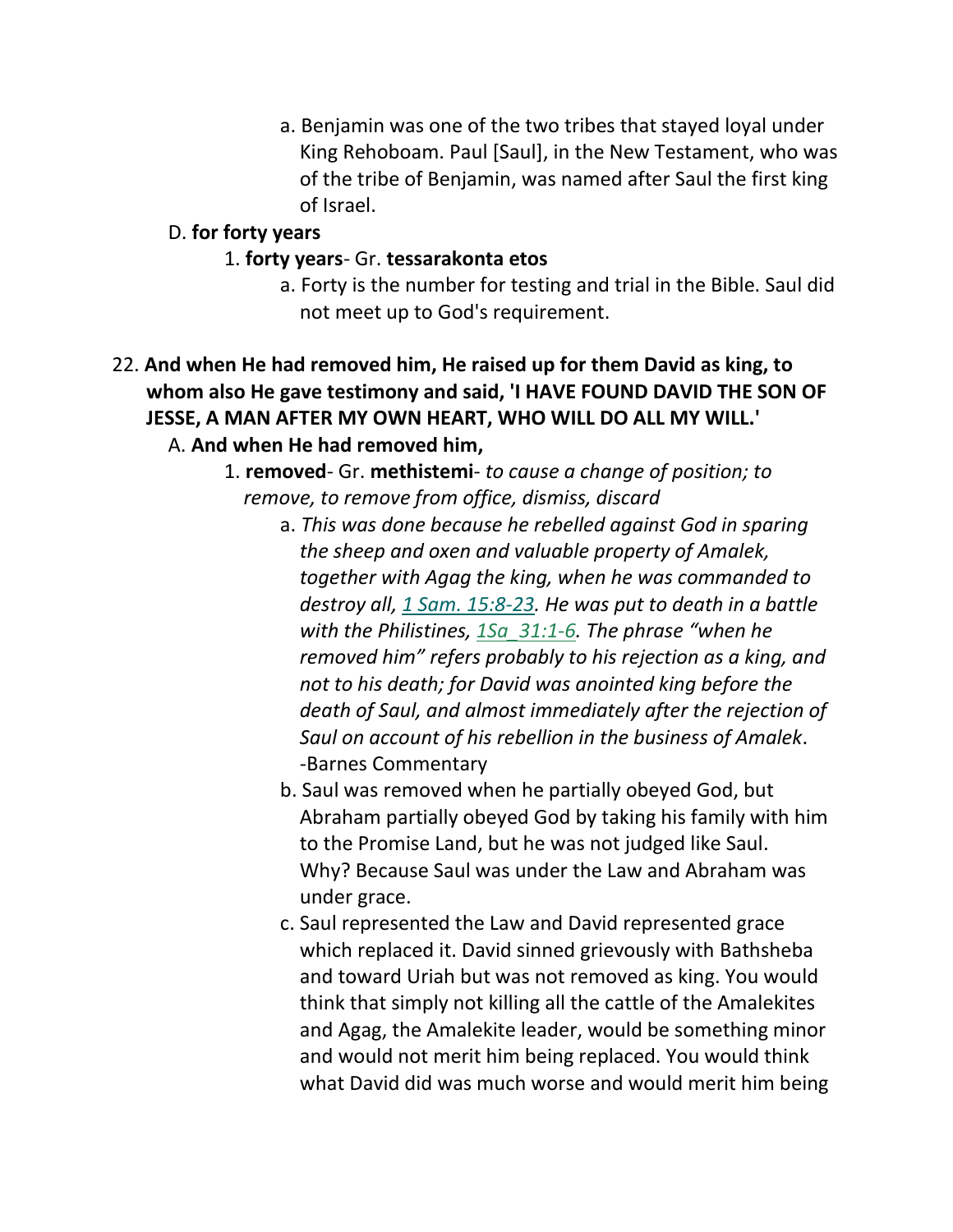a. Benjamin was one of the two tribes that stayed loyal under King Rehoboam. Paul [Saul], in the New Testament, who was of the tribe of Benjamin, was named after Saul the first king of Israel.

#### D. **for forty years**

#### 1. **forty years**- Gr. **tessarakonta etos**

- a. Forty is the number for testing and trial in the Bible. Saul did not meet up to God's requirement.
- 22. **And when He had removed him, He raised up for them David as king, to whom also He gave testimony and said, 'I HAVE FOUND DAVID THE SON OF JESSE, A MAN AFTER MY OWN HEART, WHO WILL DO ALL MY WILL.'**  A. **And when He had removed him,**
	- 1. **removed** Gr. **methistemi** *to cause a change of position; to remove, to remove from office, dismiss, discard*
		- a. *This was done because he rebelled against God in sparing the sheep and oxen and valuable property of Amalek, together with Agag the king, when he was commanded to destroy all, 1 Sam. 15:8-23. He was put to death in a battle with the Philistines, 1Sa\_31:1-6. The phrase "when he removed him" refers probably to his rejection as a king, and not to his death; for David was anointed king before the death of Saul, and almost immediately after the rejection of Saul on account of his rebellion in the business of Amalek*. -Barnes Commentary
		- b. Saul was removed when he partially obeyed God, but Abraham partially obeyed God by taking his family with him to the Promise Land, but he was not judged like Saul. Why? Because Saul was under the Law and Abraham was under grace.
		- c. Saul represented the Law and David represented grace which replaced it. David sinned grievously with Bathsheba and toward Uriah but was not removed as king. You would think that simply not killing all the cattle of the Amalekites and Agag, the Amalekite leader, would be something minor and would not merit him being replaced. You would think what David did was much worse and would merit him being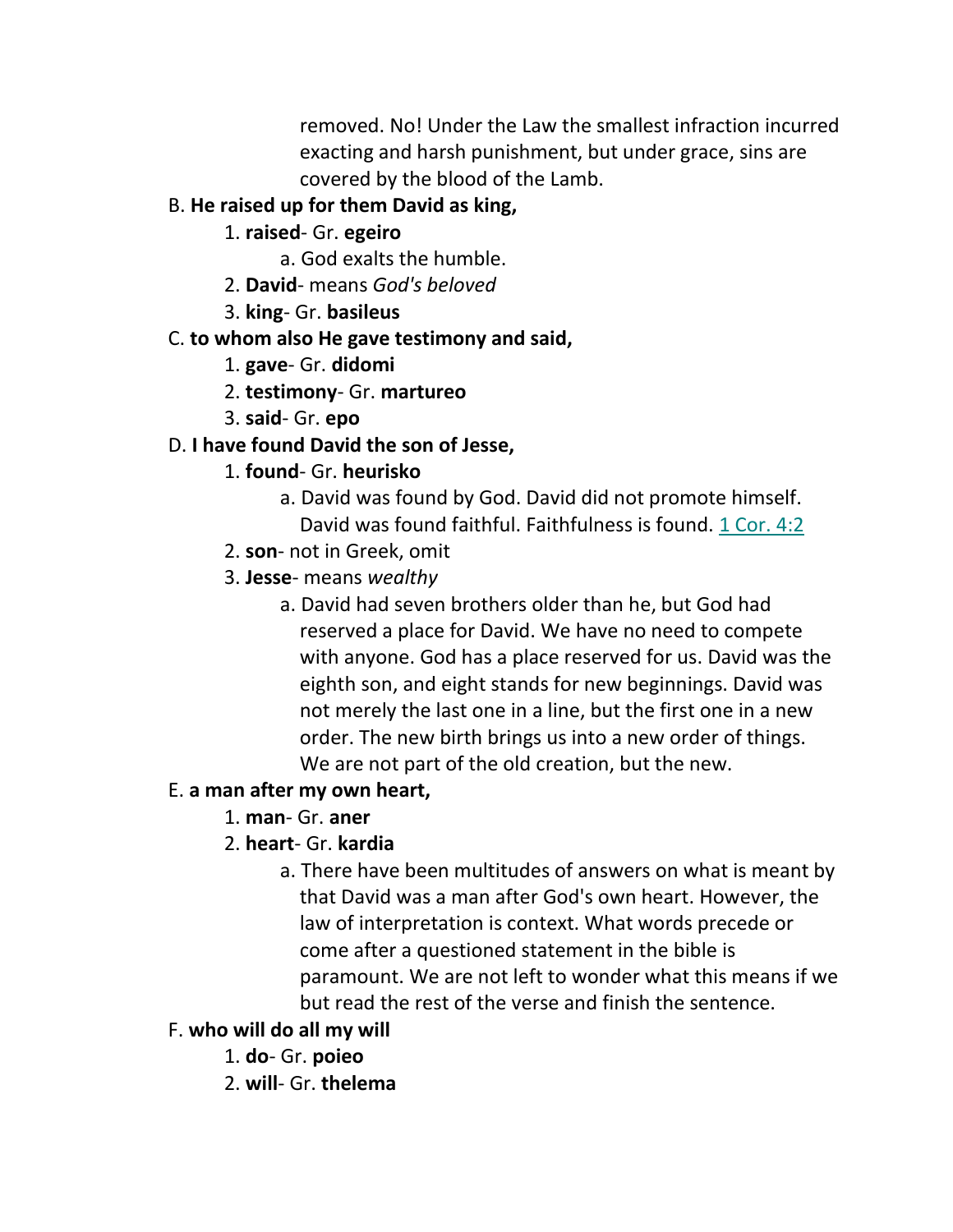removed. No! Under the Law the smallest infraction incurred exacting and harsh punishment, but under grace, sins are covered by the blood of the Lamb.

# B. **He raised up for them David as king,**

- 1. **raised** Gr. **egeiro**
	- a. God exalts the humble.
- 2. **David** means *God's beloved*
- 3. **king** Gr. **basileus**

# C. **to whom also He gave testimony and said,**

- 1. **gave** Gr. **didomi**
- 2. **testimony** Gr. **martureo**
- 3. **said** Gr. **epo**

# D. **I have found David the son of Jesse,**

# 1. **found**- Gr. **heurisko**

- a. David was found by God. David did not promote himself. David was found faithful. Faithfulness is found. 1 Cor. 4:2
- 2. **son** not in Greek, omit
- 3. **Jesse** means *wealthy*
	- a. David had seven brothers older than he, but God had reserved a place for David. We have no need to compete with anyone. God has a place reserved for us. David was the eighth son, and eight stands for new beginnings. David was not merely the last one in a line, but the first one in a new order. The new birth brings us into a new order of things. We are not part of the old creation, but the new.

# E. **a man after my own heart,**

- 1. **man** Gr. **aner**
- 2. **heart** Gr. **kardia**
	- a. There have been multitudes of answers on what is meant by that David was a man after God's own heart. However, the law of interpretation is context. What words precede or come after a questioned statement in the bible is paramount. We are not left to wonder what this means if we but read the rest of the verse and finish the sentence.

# F. **who will do all my will**

- 1. **do** Gr. **poieo**
- 2. **will** Gr. **thelema**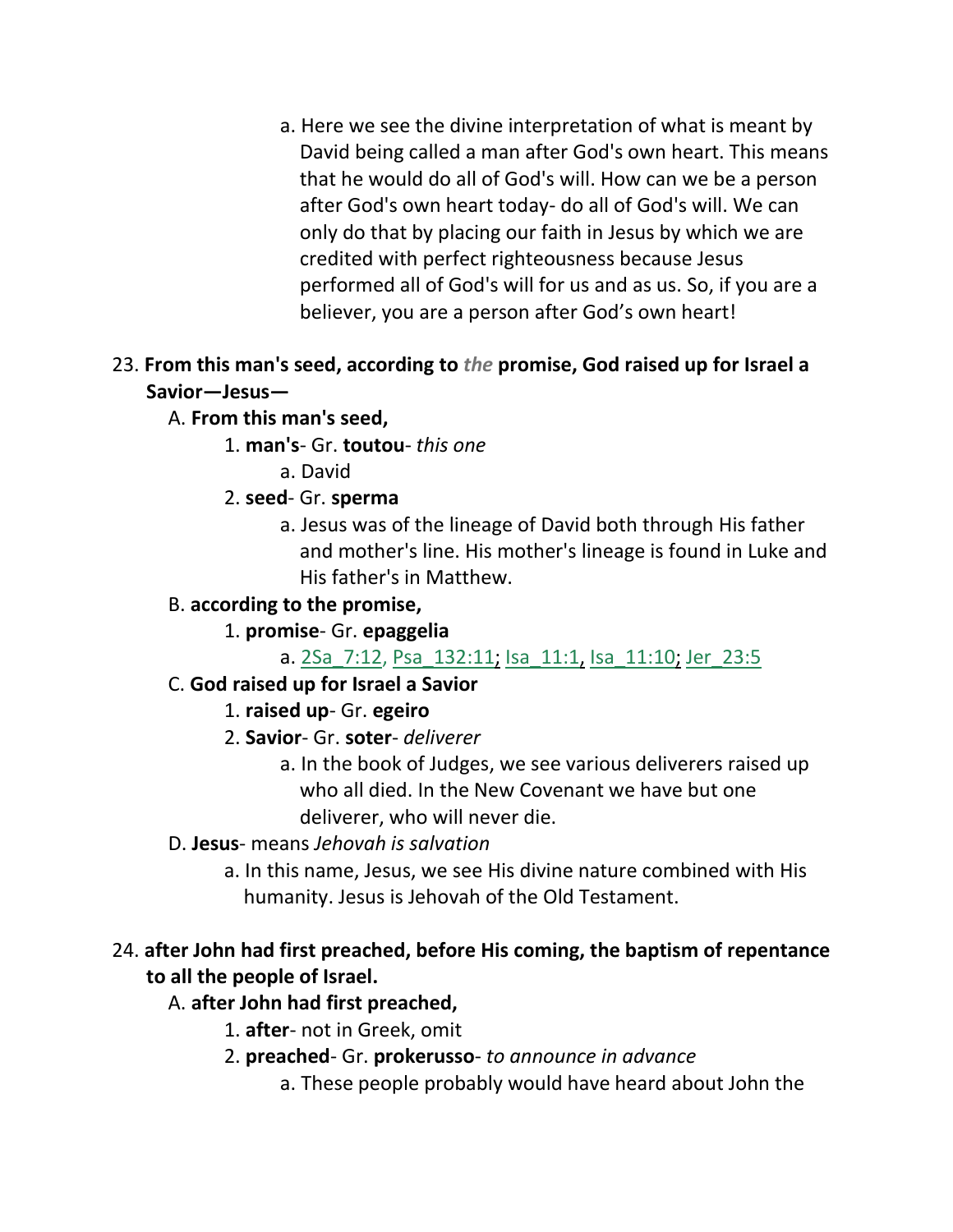a. Here we see the divine interpretation of what is meant by David being called a man after God's own heart. This means that he would do all of God's will. How can we be a person after God's own heart today- do all of God's will. We can only do that by placing our faith in Jesus by which we are credited with perfect righteousness because Jesus performed all of God's will for us and as us. So, if you are a believer, you are a person after God's own heart!

### 23. **From this man's seed, according to** *the* **promise, God raised up for Israel a Savior—Jesus—**

## A. **From this man's seed,**

### 1. **man's**- Gr. **toutou**- *this one*

a. David

## 2. **seed**- Gr. **sperma**

a. Jesus was of the lineage of David both through His father and mother's line. His mother's lineage is found in Luke and His father's in Matthew.

# B. **according to the promise,**

# 1. **promise**- Gr. **epaggelia**

## a. 2Sa\_7:12, Psa\_132:11; Isa\_11:1, Isa\_11:10; Jer\_23:5

## C. **God raised up for Israel a Savior**

# 1. **raised up**- Gr. **egeiro**

## 2. **Savior**- Gr. **soter**- *deliverer*

a. In the book of Judges, we see various deliverers raised up who all died. In the New Covenant we have but one deliverer, who will never die.

## D. **Jesus**- means *Jehovah is salvation*

a. In this name, Jesus, we see His divine nature combined with His humanity. Jesus is Jehovah of the Old Testament.

# 24. **after John had first preached, before His coming, the baptism of repentance to all the people of Israel.**

## A. **after John had first preached,**

- 1. **after** not in Greek, omit
- 2. **preached** Gr. **prokerusso** *to announce in advance*
	- a. These people probably would have heard about John the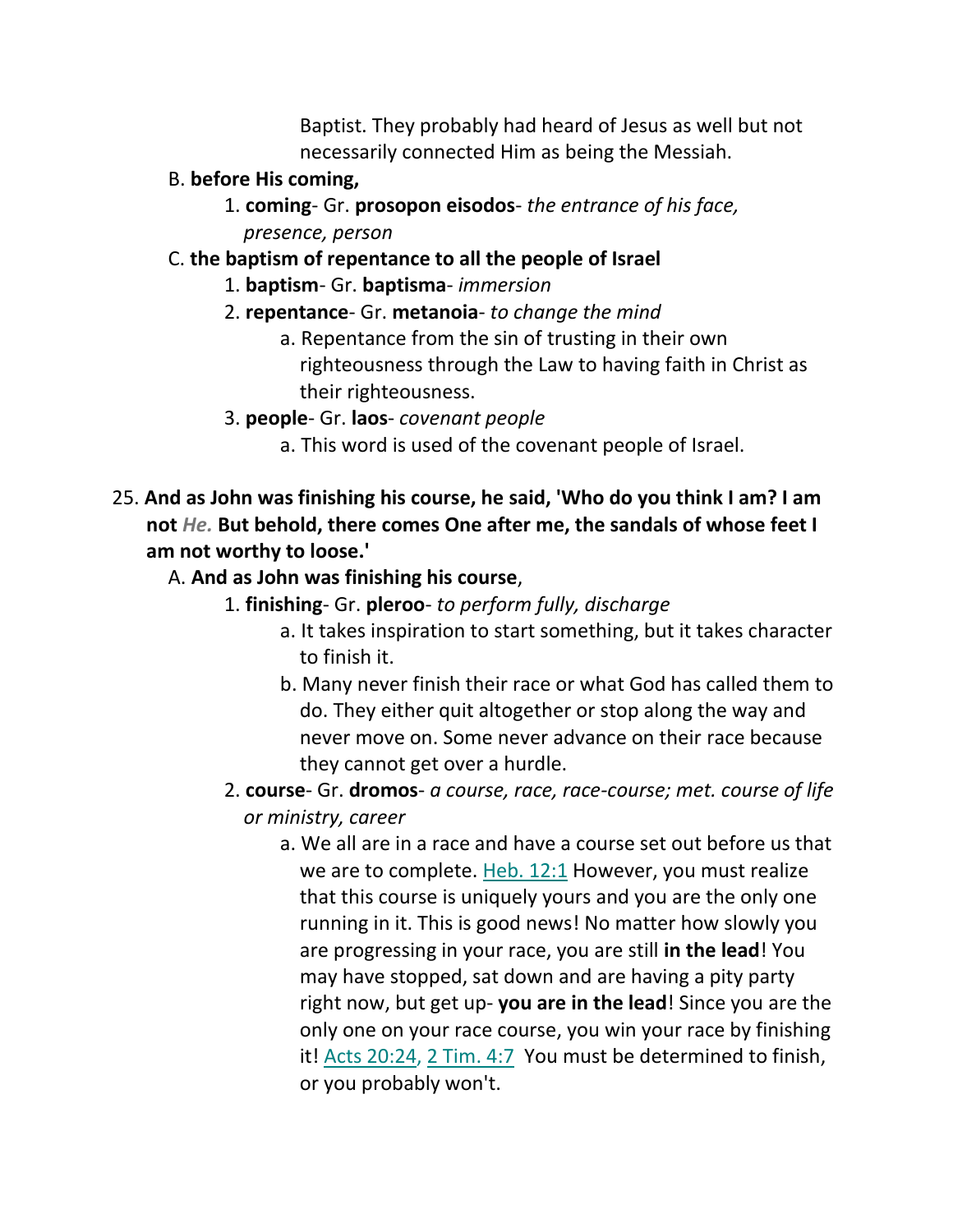Baptist. They probably had heard of Jesus as well but not necessarily connected Him as being the Messiah.

- B. **before His coming,**
	- 1. **coming** Gr. **prosopon eisodos** *the entrance of his face, presence, person*

### C. **the baptism of repentance to all the people of Israel**

- 1. **baptism** Gr. **baptisma** *immersion*
- 2. **repentance** Gr. **metanoia** *to change the mind*
	- a. Repentance from the sin of trusting in their own righteousness through the Law to having faith in Christ as their righteousness.
- 3. **people** Gr. **laos** *covenant people*
	- a. This word is used of the covenant people of Israel.
- 25. **And as John was finishing his course, he said, 'Who do you think I am? I am not** *He.* **But behold, there comes One after me, the sandals of whose feet I am not worthy to loose.'**
	- A. **And as John was finishing his course**,
		- 1. **finishing** Gr. **pleroo** *to perform fully, discharge*
			- a. It takes inspiration to start something, but it takes character to finish it.
			- b. Many never finish their race or what God has called them to do. They either quit altogether or stop along the way and never move on. Some never advance on their race because they cannot get over a hurdle.
		- 2. **course** Gr. **dromos** *a course, race, race-course; met. course of life or ministry, career*
			- a. We all are in a race and have a course set out before us that we are to complete. Heb. 12:1 However, you must realize that this course is uniquely yours and you are the only one running in it. This is good news! No matter how slowly you are progressing in your race, you are still **in the lead**! You may have stopped, sat down and are having a pity party right now, but get up- **you are in the lead**! Since you are the only one on your race course, you win your race by finishing it! Acts 20:24, 2 Tim. 4:7 You must be determined to finish, or you probably won't.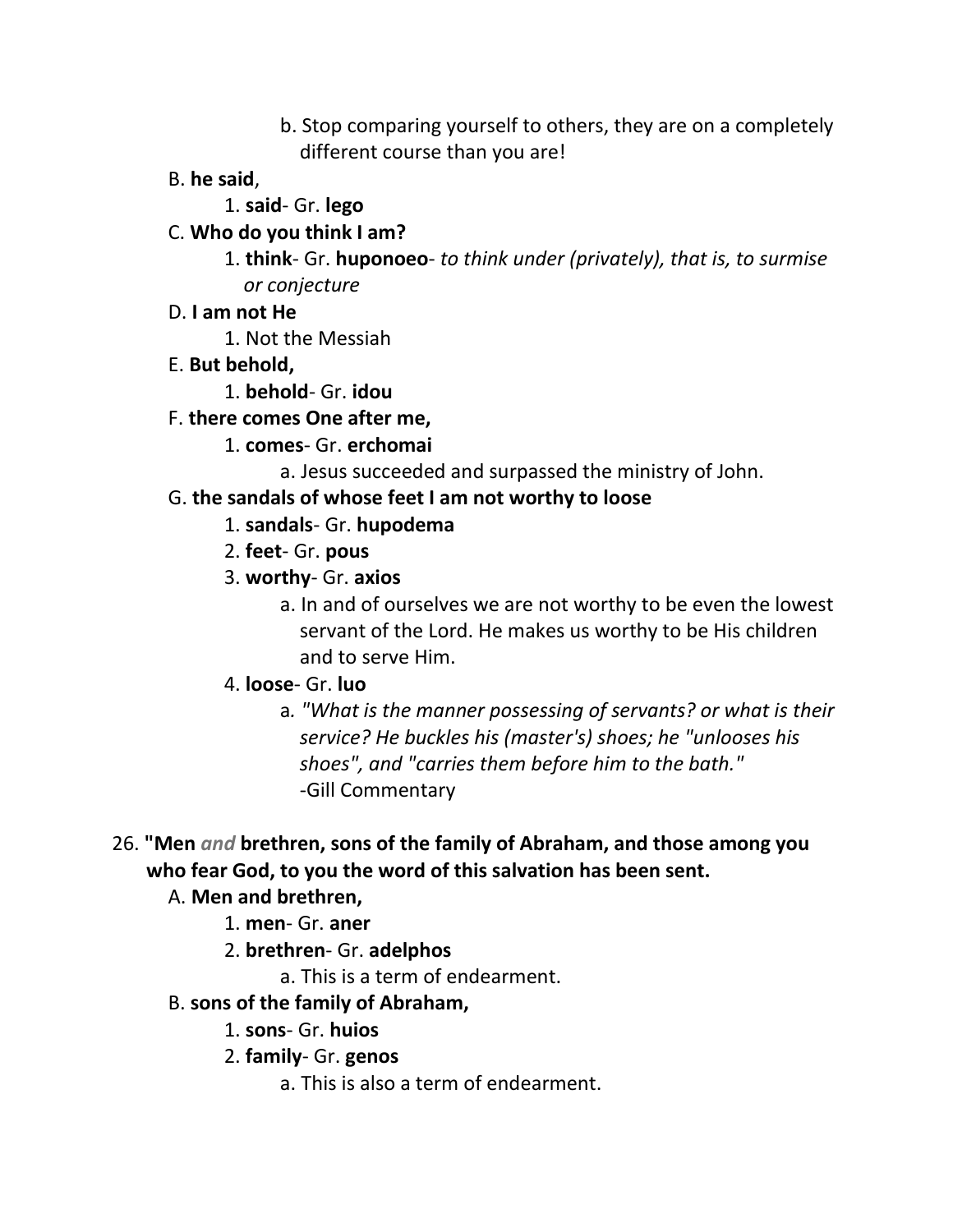- b. Stop comparing yourself to others, they are on a completely different course than you are!
- B. **he said**,
	- 1. **said** Gr. **lego**
- C. **Who do you think I am?**
	- 1. **think** Gr. **huponoeo** *to think under (privately), that is, to surmise or conjecture*
- D. **I am not He**
	- 1. Not the Messiah
- E. **But behold,**
	- 1. **behold** Gr. **idou**
- F. **there comes One after me,**
	- 1. **comes** Gr. **erchomai**
		- a. Jesus succeeded and surpassed the ministry of John.

# G. **the sandals of whose feet I am not worthy to loose**

- 1. **sandals** Gr. **hupodema**
- 2. **feet** Gr. **pous**
- 3. **worthy** Gr. **axios**
	- a. In and of ourselves we are not worthy to be even the lowest servant of the Lord. He makes us worthy to be His children and to serve Him.
- 4. **loose** Gr. **luo**
	- a*. "What is the manner possessing of servants? or what is their service? He buckles his (master's) shoes; he "unlooses his shoes", and "carries them before him to the bath."* -Gill Commentary
- 26. **"Men** *and* **brethren, sons of the family of Abraham, and those among you who fear God, to you the word of this salvation has been sent.**

## A. **Men and brethren,**

- 1. **men** Gr. **aner**
- 2. **brethren** Gr. **adelphos**
	- a. This is a term of endearment.
- B. **sons of the family of Abraham,**
	- 1. **sons** Gr. **huios**
	- 2. **family** Gr. **genos**
		- a. This is also a term of endearment.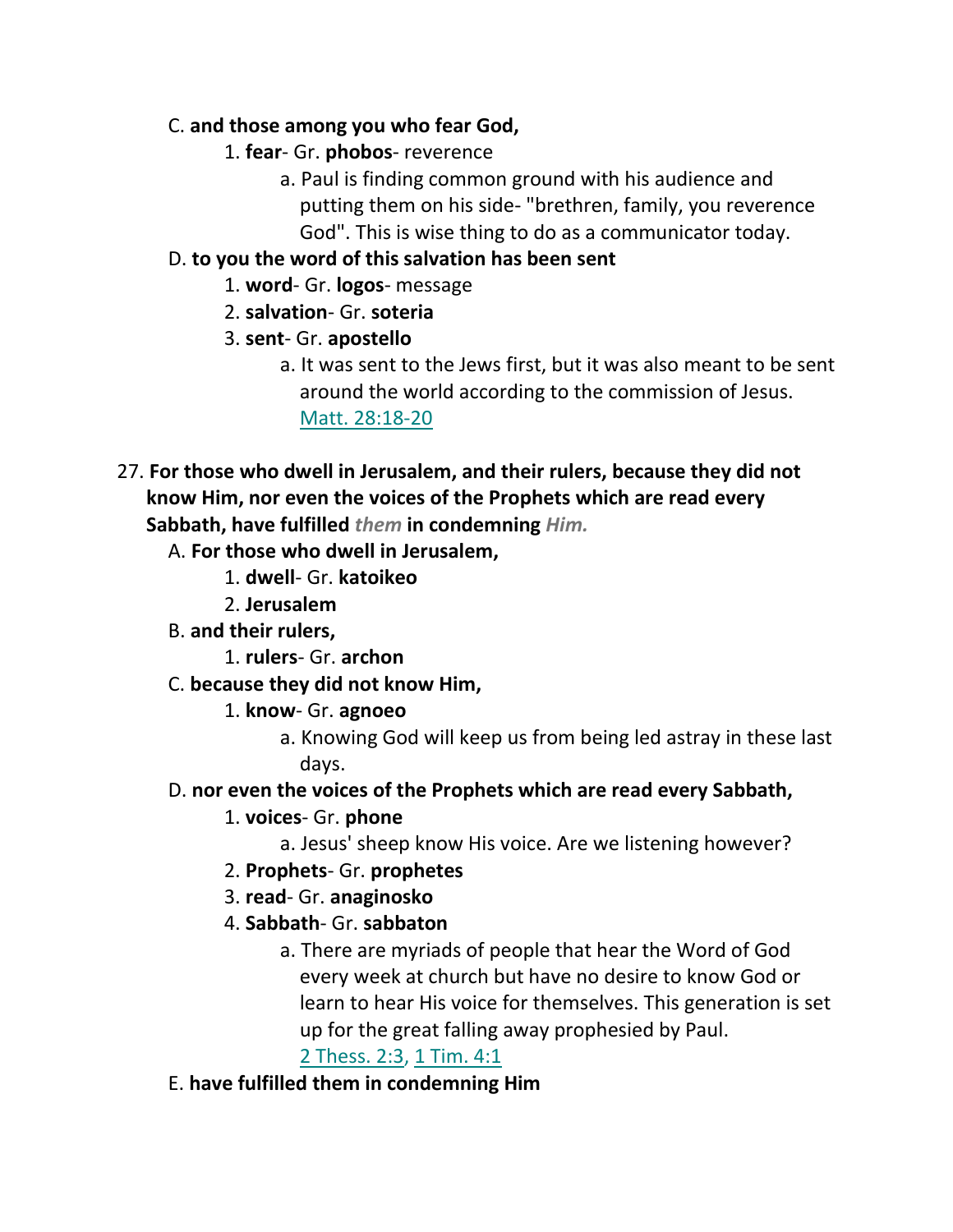## C. **and those among you who fear God,**

- 1. **fear** Gr. **phobos** reverence
	- a. Paul is finding common ground with his audience and putting them on his side- "brethren, family, you reverence God". This is wise thing to do as a communicator today.

### D. **to you the word of this salvation has been sent**

- 1. **word** Gr. **logos** message
- 2. **salvation** Gr. **soteria**
- 3. **sent** Gr. **apostello**
	- a. It was sent to the Jews first, but it was also meant to be sent around the world according to the commission of Jesus. Matt. 28:18-20
- 27. **For those who dwell in Jerusalem, and their rulers, because they did not know Him, nor even the voices of the Prophets which are read every Sabbath, have fulfilled** *them* **in condemning** *Him.*
	- A. **For those who dwell in Jerusalem,**
		- 1. **dwell** Gr. **katoikeo**
		- 2. **Jerusalem**
	- B. **and their rulers,**
		- 1. **rulers** Gr. **archon**
	- C. **because they did not know Him,**
		- 1. **know** Gr. **agnoeo**
			- a. Knowing God will keep us from being led astray in these last days.
	- D. **nor even the voices of the Prophets which are read every Sabbath,**
		- 1. **voices** Gr. **phone**
			- a. Jesus' sheep know His voice. Are we listening however?
		- 2. **Prophets** Gr. **prophetes**
		- 3. **read** Gr. **anaginosko**
		- 4. **Sabbath** Gr. **sabbaton**
			- a. There are myriads of people that hear the Word of God every week at church but have no desire to know God or learn to hear His voice for themselves. This generation is set up for the great falling away prophesied by Paul. 2 Thess. 2:3, 1 Tim. 4:1
		-
	- E. **have fulfilled them in condemning Him**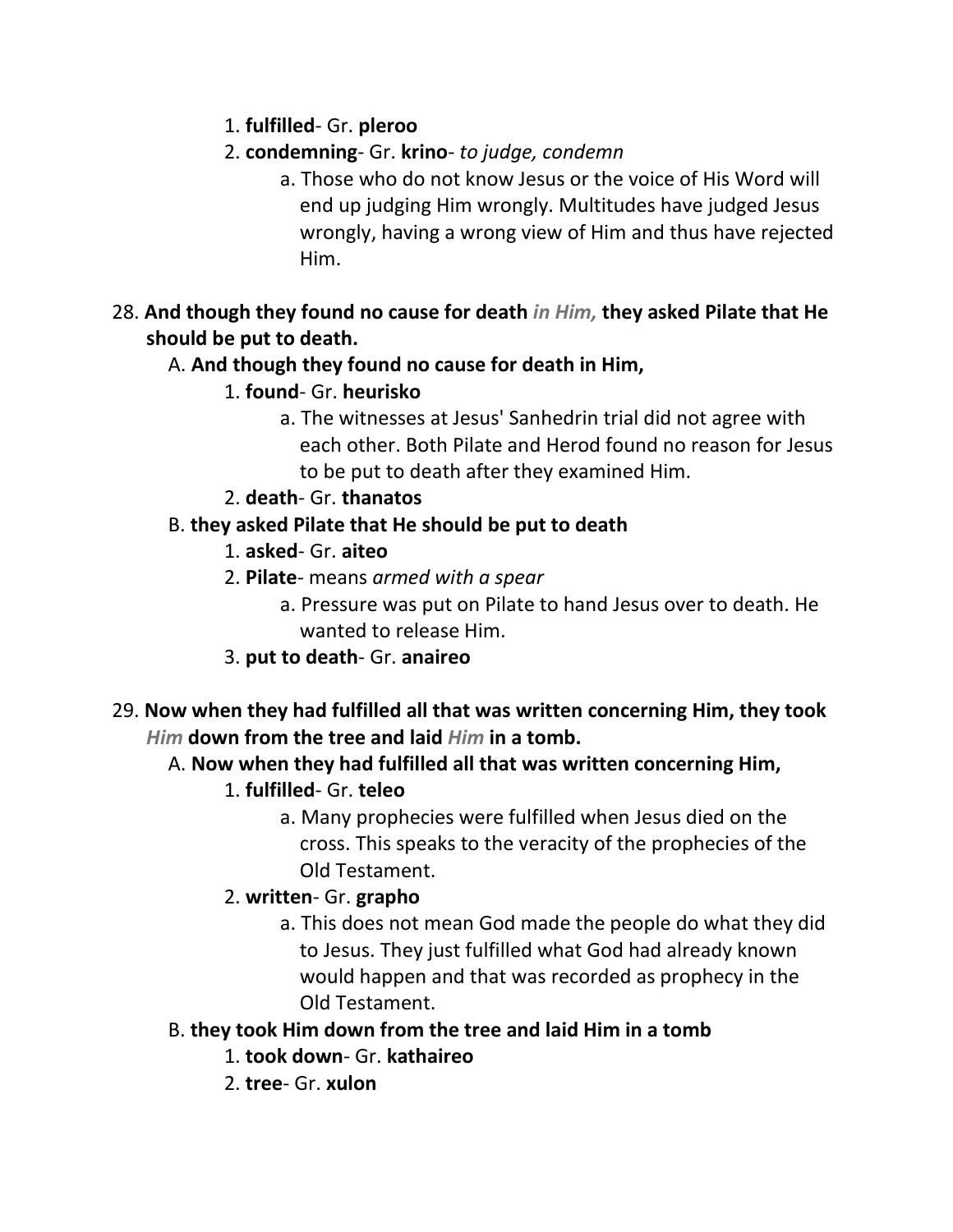- 1. **fulfilled** Gr. **pleroo**
- 2. **condemning** Gr. **krino** *to judge, condemn*
	- a. Those who do not know Jesus or the voice of His Word will end up judging Him wrongly. Multitudes have judged Jesus wrongly, having a wrong view of Him and thus have rejected Him.
- 28. **And though they found no cause for death** *in Him,* **they asked Pilate that He should be put to death.**

# A. **And though they found no cause for death in Him,**

- 1. **found** Gr. **heurisko**
	- a. The witnesses at Jesus' Sanhedrin trial did not agree with each other. Both Pilate and Herod found no reason for Jesus to be put to death after they examined Him.
- 2. **death** Gr. **thanatos**

# B. **they asked Pilate that He should be put to death**

- 1. **asked** Gr. **aiteo**
- 2. **Pilate** means *armed with a spear*
	- a. Pressure was put on Pilate to hand Jesus over to death. He wanted to release Him.
- 3. **put to death** Gr. **anaireo**
- 29. **Now when they had fulfilled all that was written concerning Him, they took**  *Him* **down from the tree and laid** *Him* **in a tomb.**

# A. **Now when they had fulfilled all that was written concerning Him,**

- 1. **fulfilled** Gr. **teleo**
	- a. Many prophecies were fulfilled when Jesus died on the cross. This speaks to the veracity of the prophecies of the Old Testament.

# 2. **written**- Gr. **grapho**

a. This does not mean God made the people do what they did to Jesus. They just fulfilled what God had already known would happen and that was recorded as prophecy in the Old Testament.

# B. **they took Him down from the tree and laid Him in a tomb**

- 1. **took down** Gr. **kathaireo**
- 2. **tree** Gr. **xulon**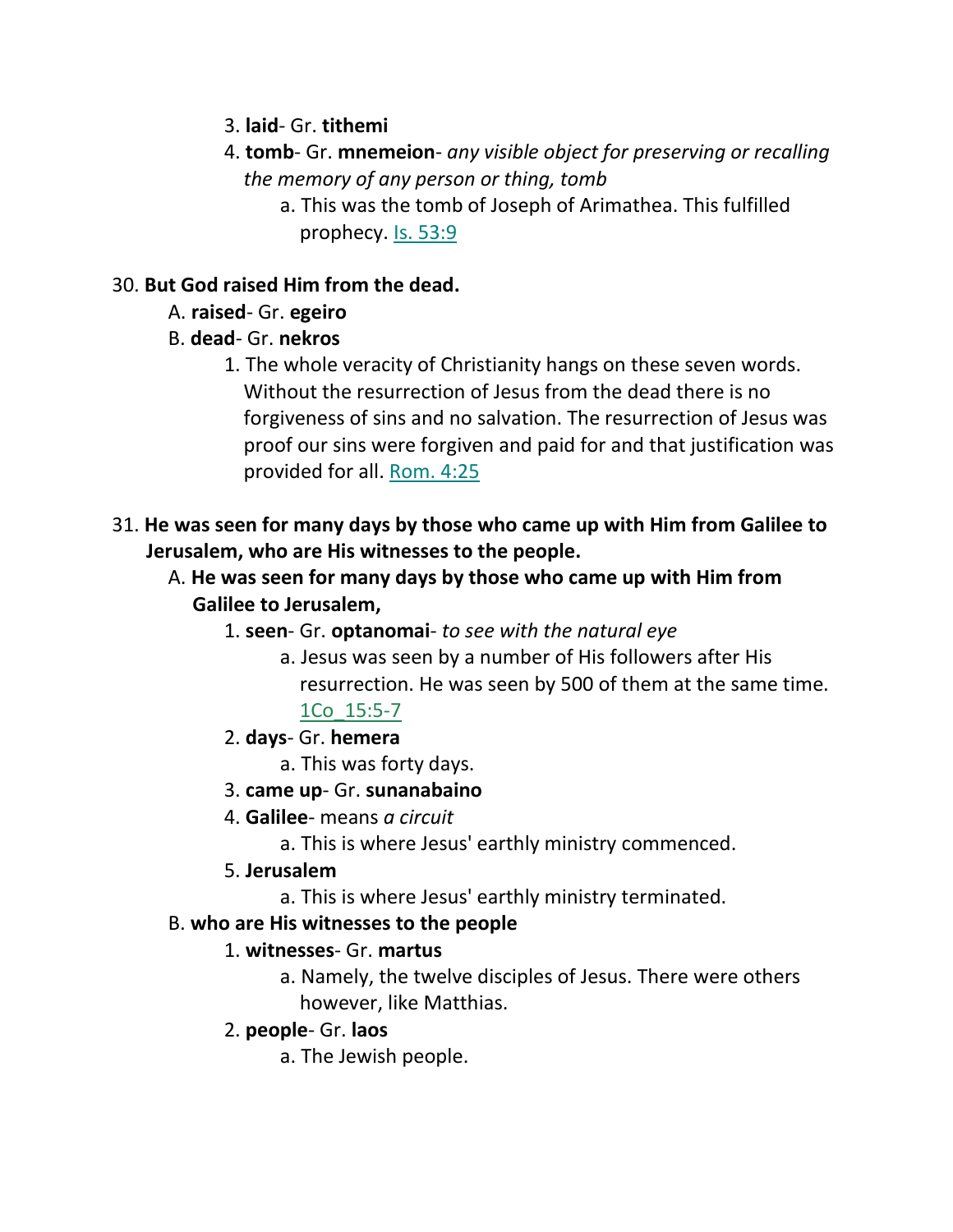- 3. **laid** Gr. **tithemi**
- 4. **tomb** Gr. **mnemeion** *any visible object for preserving or recalling the memory of any person or thing, tomb*
	- a. This was the tomb of Joseph of Arimathea. This fulfilled prophecy. Is. 53:9

# 30. **But God raised Him from the dead.**

- A. **raised** Gr. **egeiro**
- B. **dead** Gr. **nekros**
	- 1. The whole veracity of Christianity hangs on these seven words. Without the resurrection of Jesus from the dead there is no forgiveness of sins and no salvation. The resurrection of Jesus was proof our sins were forgiven and paid for and that justification was provided for all. Rom. 4:25
- 31. **He was seen for many days by those who came up with Him from Galilee to Jerusalem, who are His witnesses to the people.** 
	- A. **He was seen for many days by those who came up with Him from Galilee to Jerusalem,**
		- 1. **seen** Gr. **optanomai** *to see with the natural eye*
			- a. Jesus was seen by a number of His followers after His resurrection. He was seen by 500 of them at the same time. 1Co\_15:5-7
		- 2. **days** Gr. **hemera**
			- a. This was forty days.
		- 3. **came up** Gr. **sunanabaino**
		- 4. **Galilee** means *a circuit*
			- a. This is where Jesus' earthly ministry commenced.
		- 5. **Jerusalem**
			- a. This is where Jesus' earthly ministry terminated.

## B. **who are His witnesses to the people**

## 1. **witnesses**- Gr. **martus**

- a. Namely, the twelve disciples of Jesus. There were others however, like Matthias.
- 2. **people** Gr. **laos**
	- a. The Jewish people.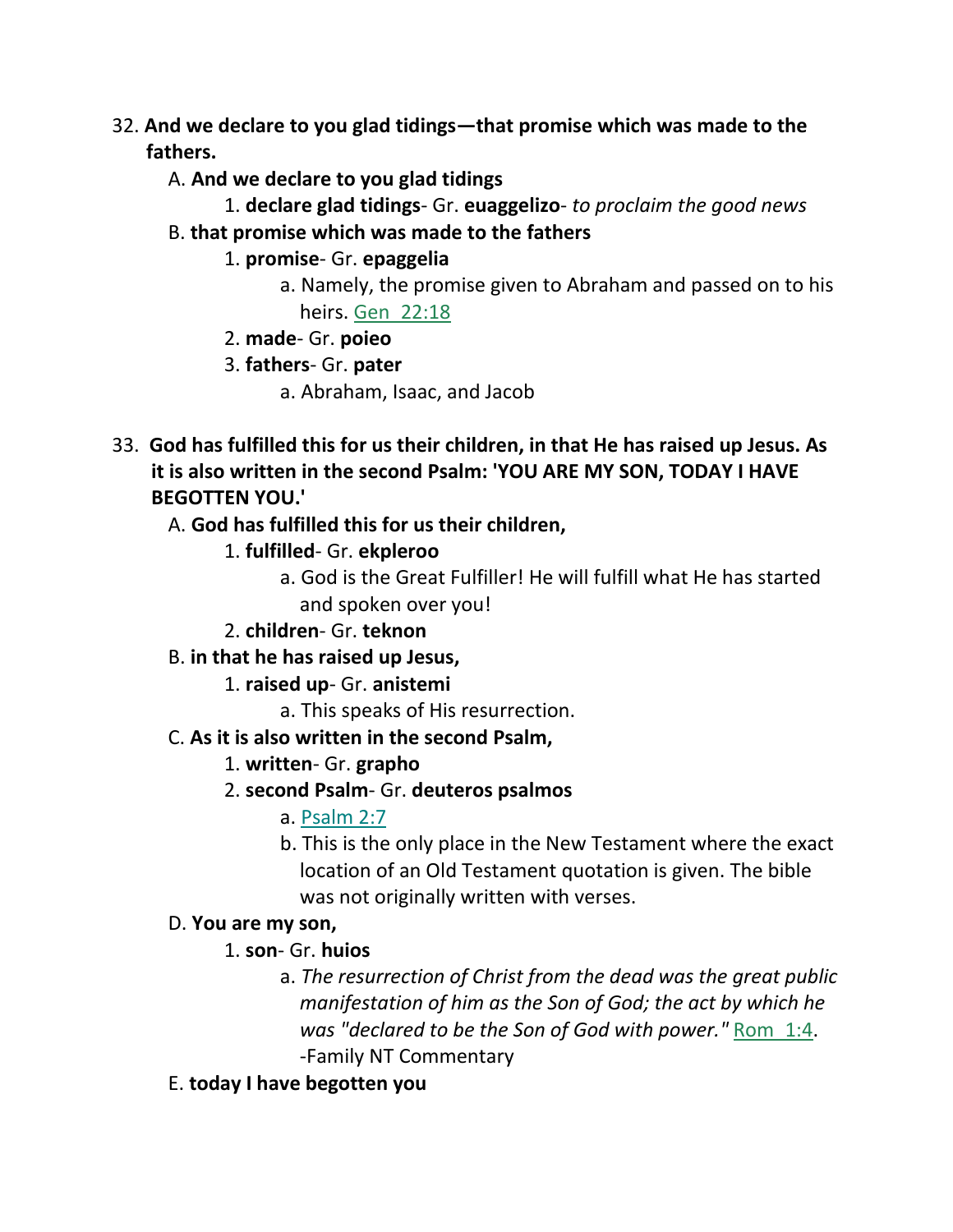- 32. **And we declare to you glad tidings—that promise which was made to the fathers.**
	- A. **And we declare to you glad tidings**
		- 1. **declare glad tidings** Gr. **euaggelizo** *to proclaim the good news*
	- B. **that promise which was made to the fathers**
		- 1. **promise** Gr. **epaggelia**
			- a. Namely, the promise given to Abraham and passed on to his heirs. Gen\_22:18
		- 2. **made** Gr. **poieo**
		- 3. **fathers** Gr. **pater**
			- a. Abraham, Isaac, and Jacob
- 33. **God has fulfilled this for us their children, in that He has raised up Jesus. As it is also written in the second Psalm: 'YOU ARE MY SON, TODAY I HAVE BEGOTTEN YOU.'** 
	- A. **God has fulfilled this for us their children,**
		- 1. **fulfilled** Gr. **ekpleroo**
			- a. God is the Great Fulfiller! He will fulfill what He has started and spoken over you!
		- 2. **children** Gr. **teknon**
	- B. **in that he has raised up Jesus,**
		- 1. **raised up** Gr. **anistemi**
			- a. This speaks of His resurrection.
	- C. **As it is also written in the second Psalm,**
		- 1. **written** Gr. **grapho**
		- 2. **second Psalm** Gr. **deuteros psalmos**
			- a. Psalm 2:7
			- b. This is the only place in the New Testament where the exact location of an Old Testament quotation is given. The bible was not originally written with verses.

## D. **You are my son,**

- 1. **son** Gr. **huios**
	- a. *The resurrection of Christ from the dead was the great public manifestation of him as the Son of God; the act by which he was "declared to be the Son of God with power."* Rom\_1:4. -Family NT Commentary
- E. **today I have begotten you**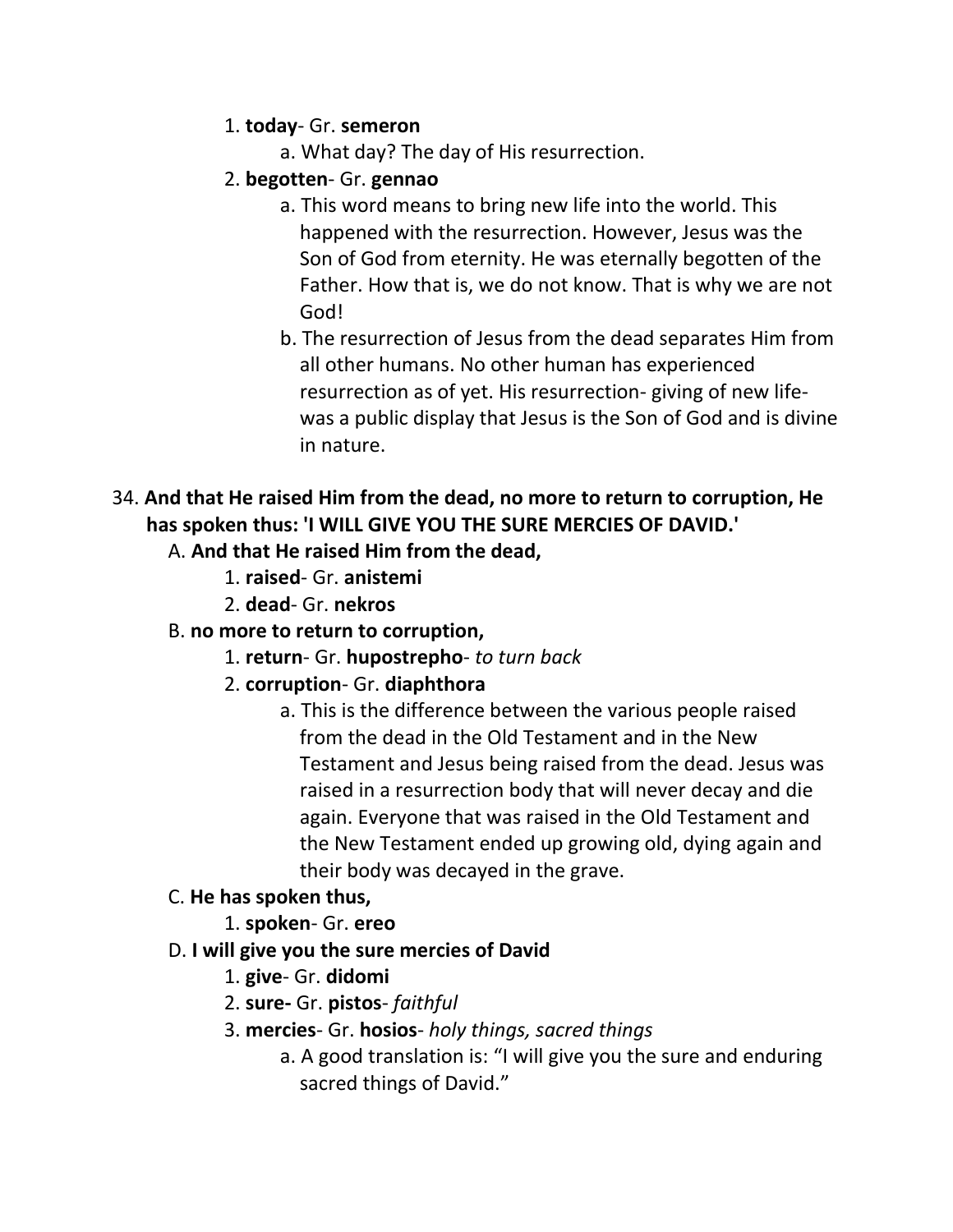### 1. **today**- Gr. **semeron**

a. What day? The day of His resurrection.

## 2. **begotten**- Gr. **gennao**

- a. This word means to bring new life into the world. This happened with the resurrection. However, Jesus was the Son of God from eternity. He was eternally begotten of the Father. How that is, we do not know. That is why we are not God!
- b. The resurrection of Jesus from the dead separates Him from all other humans. No other human has experienced resurrection as of yet. His resurrection- giving of new life was a public display that Jesus is the Son of God and is divine in nature.

# 34. **And that He raised Him from the dead, no more to return to corruption, He has spoken thus: 'I WILL GIVE YOU THE SURE MERCIES OF DAVID.'**

# A. **And that He raised Him from the dead,**

- 1. **raised** Gr. **anistemi**
- 2. **dead** Gr. **nekros**

# B. **no more to return to corruption,**

- 1. **return** Gr. **hupostrepho** *to turn back*
- 2. **corruption** Gr. **diaphthora**
	- a. This is the difference between the various people raised from the dead in the Old Testament and in the New Testament and Jesus being raised from the dead. Jesus was raised in a resurrection body that will never decay and die again. Everyone that was raised in the Old Testament and the New Testament ended up growing old, dying again and their body was decayed in the grave.

## C. **He has spoken thus,**

- 1. **spoken** Gr. **ereo**
- D. **I will give you the sure mercies of David**
	- 1. **give** Gr. **didomi**
	- 2. **sure-** Gr. **pistos** *faithful*
	- 3. **mercies** Gr. **hosios** *holy things, sacred things*
		- a. A good translation is: "I will give you the sure and enduring sacred things of David."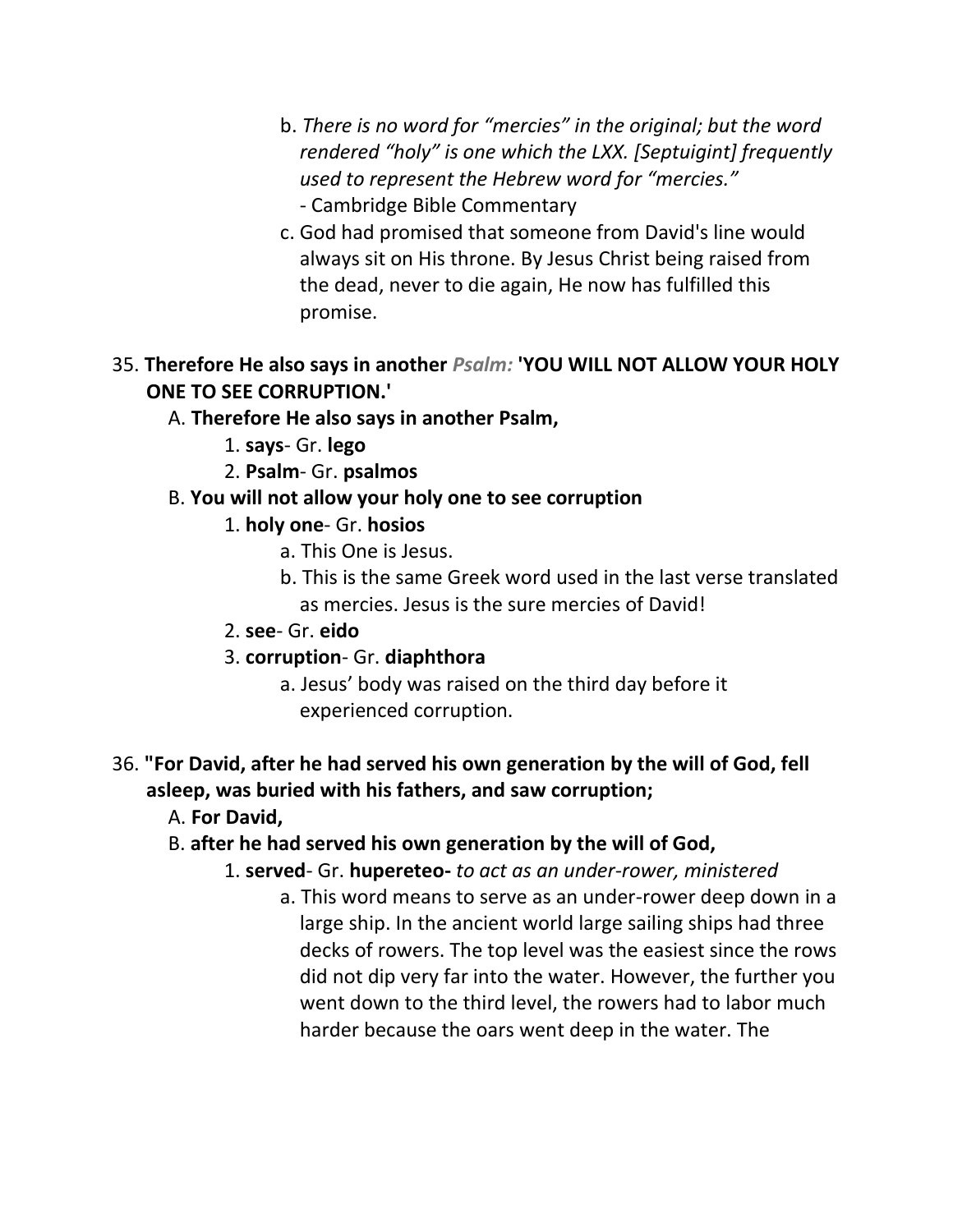- b. *There is no word for "mercies" in the original; but the word rendered "holy" is one which the LXX. [Septuigint] frequently used to represent the Hebrew word for "mercies."* - Cambridge Bible Commentary
- c. God had promised that someone from David's line would always sit on His throne. By Jesus Christ being raised from the dead, never to die again, He now has fulfilled this promise.

## 35. **Therefore He also says in another** *Psalm:* **'YOU WILL NOT ALLOW YOUR HOLY ONE TO SEE CORRUPTION.'**

### A. **Therefore He also says in another Psalm,**

- 1. **says** Gr. **lego**
- 2. **Psalm** Gr. **psalmos**

## B. **You will not allow your holy one to see corruption**

### 1. **holy one**- Gr. **hosios**

- a. This One is Jesus.
- b. This is the same Greek word used in the last verse translated as mercies. Jesus is the sure mercies of David!
- 2. **see** Gr. **eido**
- 3. **corruption** Gr. **diaphthora**
	- a. Jesus' body was raised on the third day before it experienced corruption.

## 36. **"For David, after he had served his own generation by the will of God, fell asleep, was buried with his fathers, and saw corruption;**

- A. **For David,**
- B. **after he had served his own generation by the will of God,**
	- 1. **served** Gr. **hupereteo-** *to act as an under-rower, ministered*
		- a. This word means to serve as an under-rower deep down in a large ship. In the ancient world large sailing ships had three decks of rowers. The top level was the easiest since the rows did not dip very far into the water. However, the further you went down to the third level, the rowers had to labor much harder because the oars went deep in the water. The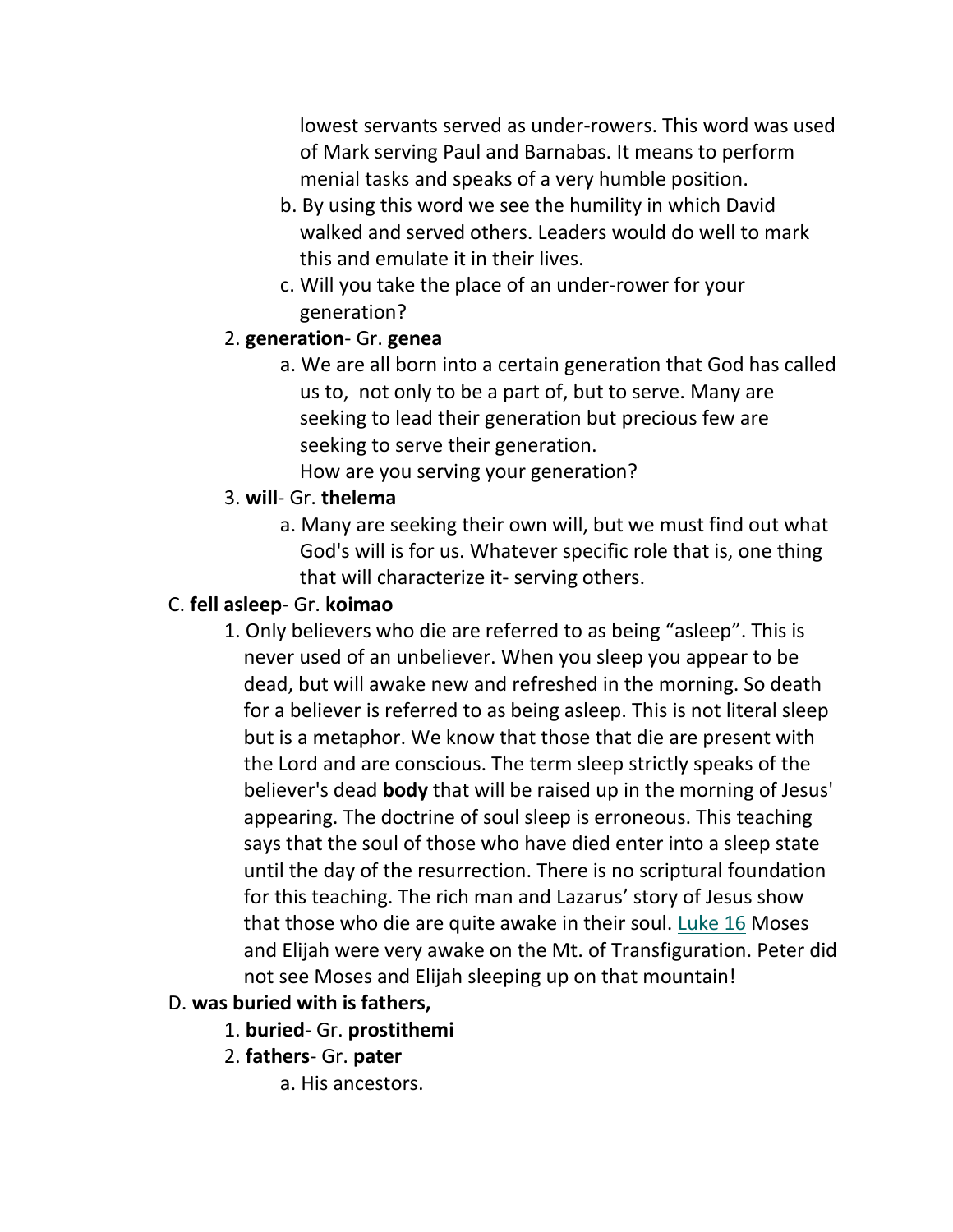lowest servants served as under-rowers. This word was used of Mark serving Paul and Barnabas. It means to perform menial tasks and speaks of a very humble position.

- b. By using this word we see the humility in which David walked and served others. Leaders would do well to mark this and emulate it in their lives.
- c. Will you take the place of an under-rower for your generation?

### 2. **generation**- Gr. **genea**

a. We are all born into a certain generation that God has called us to, not only to be a part of, but to serve. Many are seeking to lead their generation but precious few are seeking to serve their generation. How are you serving your generation?

## 3. **will**- Gr. **thelema**

a. Many are seeking their own will, but we must find out what God's will is for us. Whatever specific role that is, one thing that will characterize it- serving others.

### C. **fell asleep**- Gr. **koimao**

1. Only believers who die are referred to as being "asleep". This is never used of an unbeliever. When you sleep you appear to be dead, but will awake new and refreshed in the morning. So death for a believer is referred to as being asleep. This is not literal sleep but is a metaphor. We know that those that die are present with the Lord and are conscious. The term sleep strictly speaks of the believer's dead **body** that will be raised up in the morning of Jesus' appearing. The doctrine of soul sleep is erroneous. This teaching says that the soul of those who have died enter into a sleep state until the day of the resurrection. There is no scriptural foundation for this teaching. The rich man and Lazarus' story of Jesus show that those who die are quite awake in their soul. Luke 16 Moses and Elijah were very awake on the Mt. of Transfiguration. Peter did not see Moses and Elijah sleeping up on that mountain!

#### D. **was buried with is fathers,**

- 1. **buried** Gr. **prostithemi**
- 2. **fathers** Gr. **pater**
	- a. His ancestors.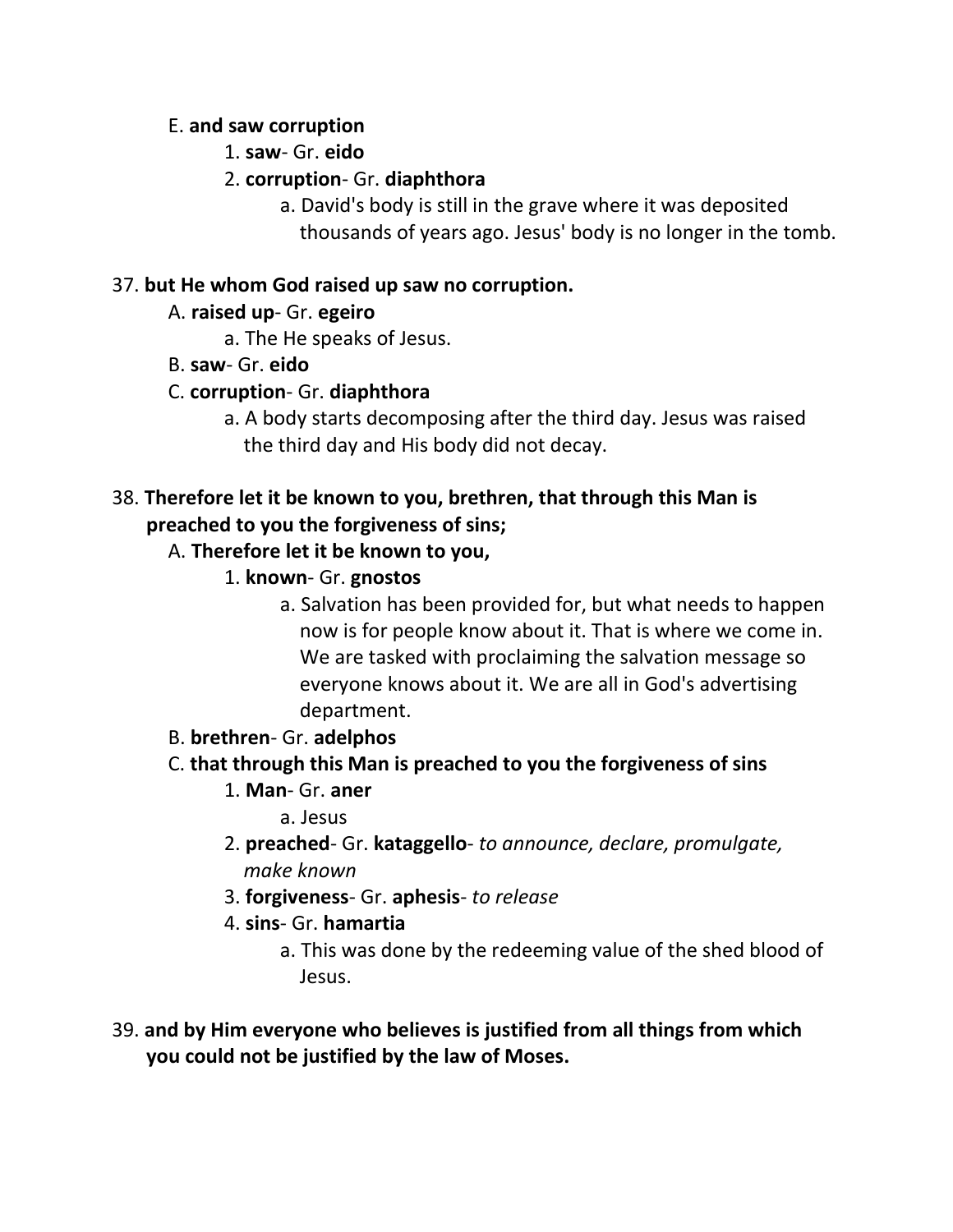#### E. **and saw corruption**

- 1. **saw** Gr. **eido**
- 2. **corruption** Gr. **diaphthora**
	- a. David's body is still in the grave where it was deposited thousands of years ago. Jesus' body is no longer in the tomb.

## 37. **but He whom God raised up saw no corruption.**

- A. **raised up** Gr. **egeiro**
	- a. The He speaks of Jesus.
- B. **saw** Gr. **eido**

# C. **corruption**- Gr. **diaphthora**

a. A body starts decomposing after the third day. Jesus was raised the third day and His body did not decay.

# 38. **Therefore let it be known to you, brethren, that through this Man is preached to you the forgiveness of sins;**

# A. **Therefore let it be known to you,**

- 1. **known** Gr. **gnostos**
	- a. Salvation has been provided for, but what needs to happen now is for people know about it. That is where we come in. We are tasked with proclaiming the salvation message so everyone knows about it. We are all in God's advertising department.
- B. **brethren** Gr. **adelphos**

# C. **that through this Man is preached to you the forgiveness of sins**

- 1. **Man** Gr. **aner**
	- a. Jesus
- 2. **preached** Gr. **kataggello** *to announce, declare, promulgate, make known*
- 3. **forgiveness** Gr. **aphesis** *to release*
- 4. **sins** Gr. **hamartia**
	- a. This was done by the redeeming value of the shed blood of Jesus.
- 39. **and by Him everyone who believes is justified from all things from which you could not be justified by the law of Moses.**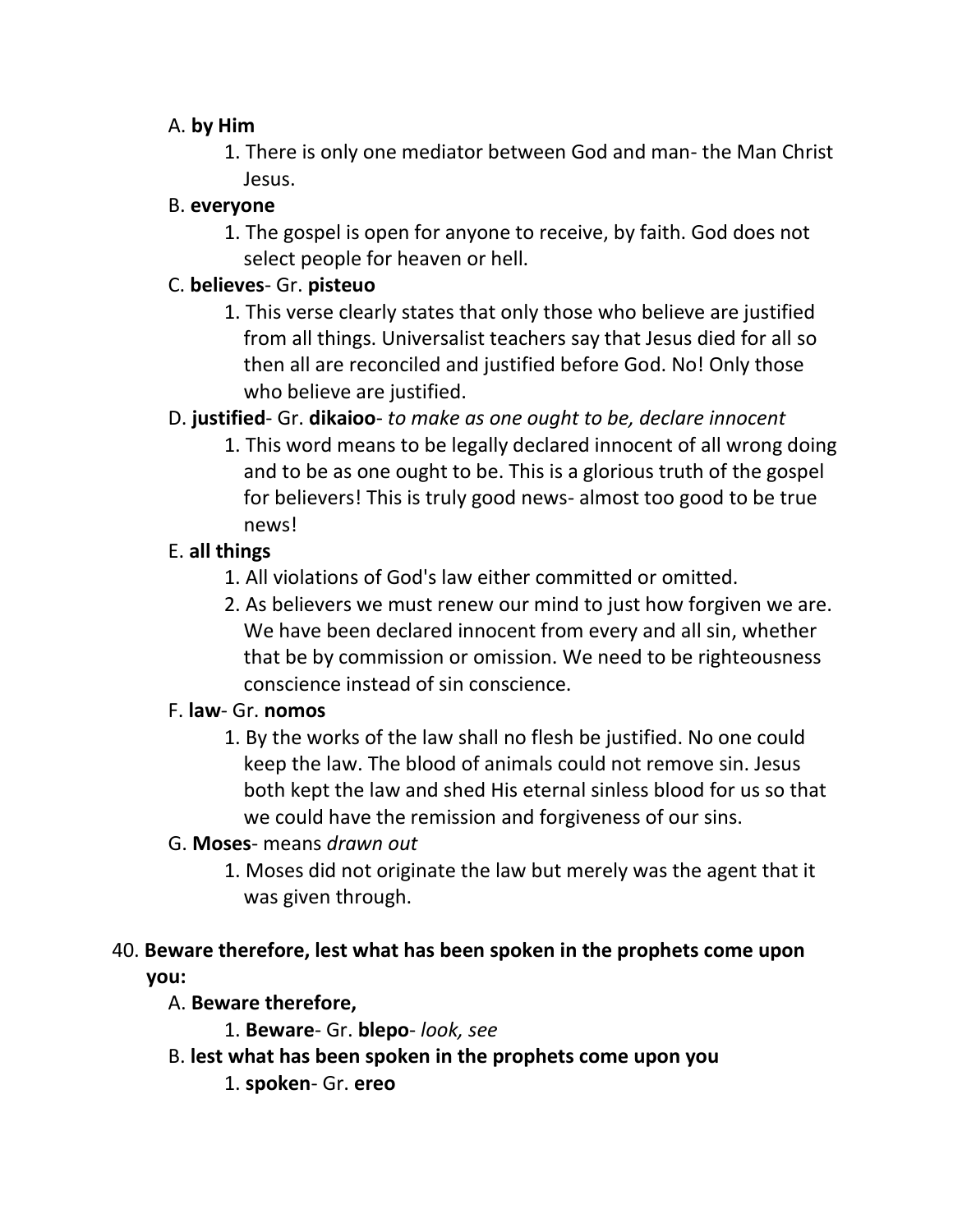## A. **by Him**

1. There is only one mediator between God and man- the Man Christ Jesus.

## B. **everyone**

1. The gospel is open for anyone to receive, by faith. God does not select people for heaven or hell.

## C. **believes**- Gr. **pisteuo**

1. This verse clearly states that only those who believe are justified from all things. Universalist teachers say that Jesus died for all so then all are reconciled and justified before God. No! Only those who believe are justified.

# D. **justified**- Gr. **dikaioo**- *to make as one ought to be, declare innocent*

1. This word means to be legally declared innocent of all wrong doing and to be as one ought to be. This is a glorious truth of the gospel for believers! This is truly good news- almost too good to be true news!

# E. **all things**

- 1. All violations of God's law either committed or omitted.
- 2. As believers we must renew our mind to just how forgiven we are. We have been declared innocent from every and all sin, whether that be by commission or omission. We need to be righteousness conscience instead of sin conscience.

## F. **law**- Gr. **nomos**

1. By the works of the law shall no flesh be justified. No one could keep the law. The blood of animals could not remove sin. Jesus both kept the law and shed His eternal sinless blood for us so that we could have the remission and forgiveness of our sins.

## G. **Moses**- means *drawn out*

1. Moses did not originate the law but merely was the agent that it was given through.

# 40. **Beware therefore, lest what has been spoken in the prophets come upon you:**

## A. **Beware therefore,**

- 1. **Beware** Gr. **blepo** *look, see*
- B. **lest what has been spoken in the prophets come upon you**
	- 1. **spoken** Gr. **ereo**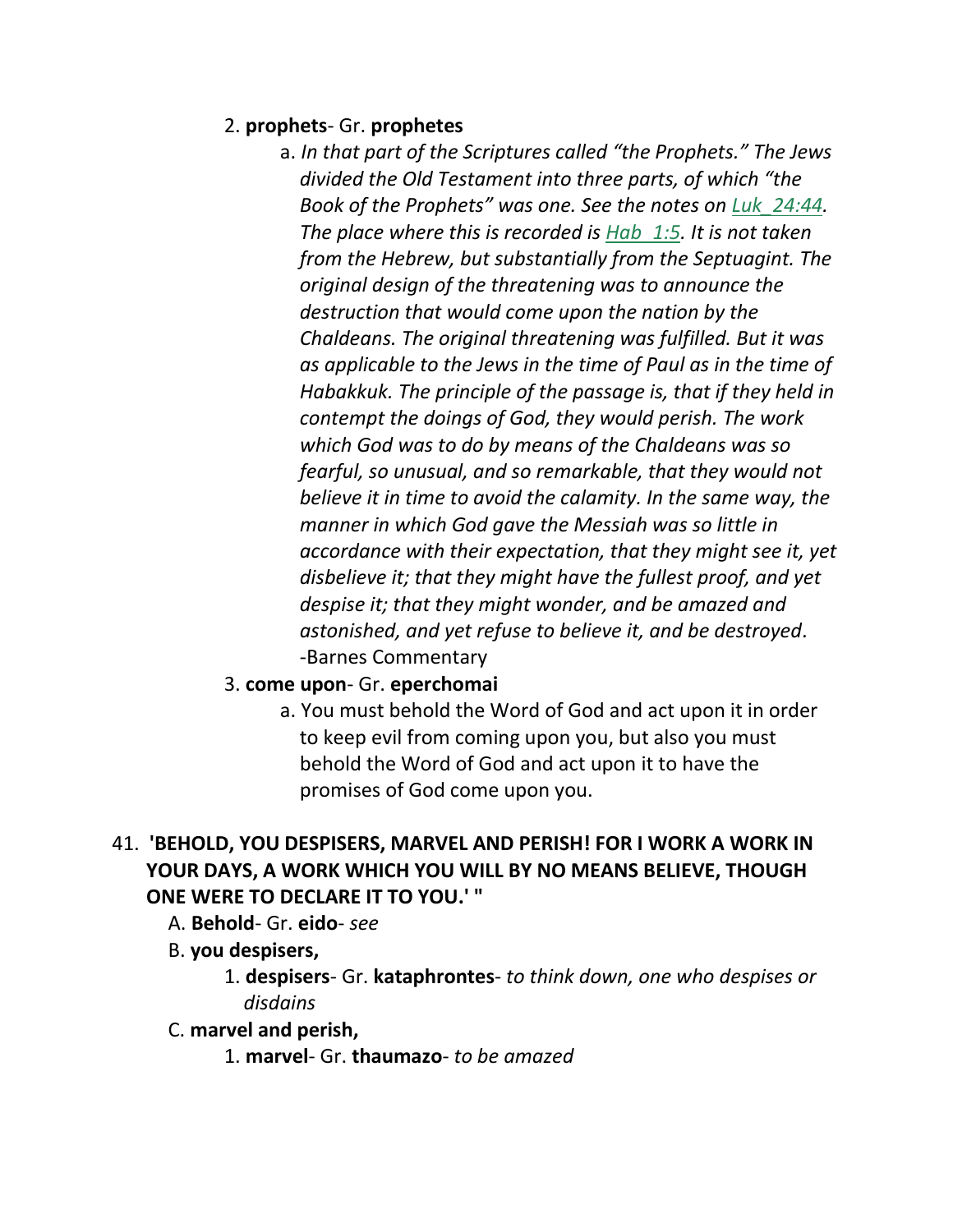## 2. **prophets**- Gr. **prophetes**

- a. *In that part of the Scriptures called "the Prophets." The Jews divided the Old Testament into three parts, of which "the Book of the Prophets" was one. See the notes on Luk\_24:44. The place where this is recorded is Hab\_1:5. It is not taken from the Hebrew, but substantially from the Septuagint. The original design of the threatening was to announce the destruction that would come upon the nation by the Chaldeans. The original threatening was fulfilled. But it was as applicable to the Jews in the time of Paul as in the time of Habakkuk. The principle of the passage is, that if they held in contempt the doings of God, they would perish. The work which God was to do by means of the Chaldeans was so fearful, so unusual, and so remarkable, that they would not believe it in time to avoid the calamity. In the same way, the manner in which God gave the Messiah was so little in accordance with their expectation, that they might see it, yet disbelieve it; that they might have the fullest proof, and yet despise it; that they might wonder, and be amazed and astonished, and yet refuse to believe it, and be destroyed*. -Barnes Commentary
- 3. **come upon** Gr. **eperchomai**
	- a. You must behold the Word of God and act upon it in order to keep evil from coming upon you, but also you must behold the Word of God and act upon it to have the promises of God come upon you.
- 41. **'BEHOLD, YOU DESPISERS, MARVEL AND PERISH! FOR I WORK A WORK IN YOUR DAYS, A WORK WHICH YOU WILL BY NO MEANS BELIEVE, THOUGH ONE WERE TO DECLARE IT TO YOU.' "** 
	- A. **Behold** Gr. **eido** *see*
	- B. **you despisers,**
		- 1. **despisers** Gr. **kataphrontes** *to think down, one who despises or disdains*
	- C. **marvel and perish,**
		- 1. **marvel** Gr. **thaumazo** *to be amazed*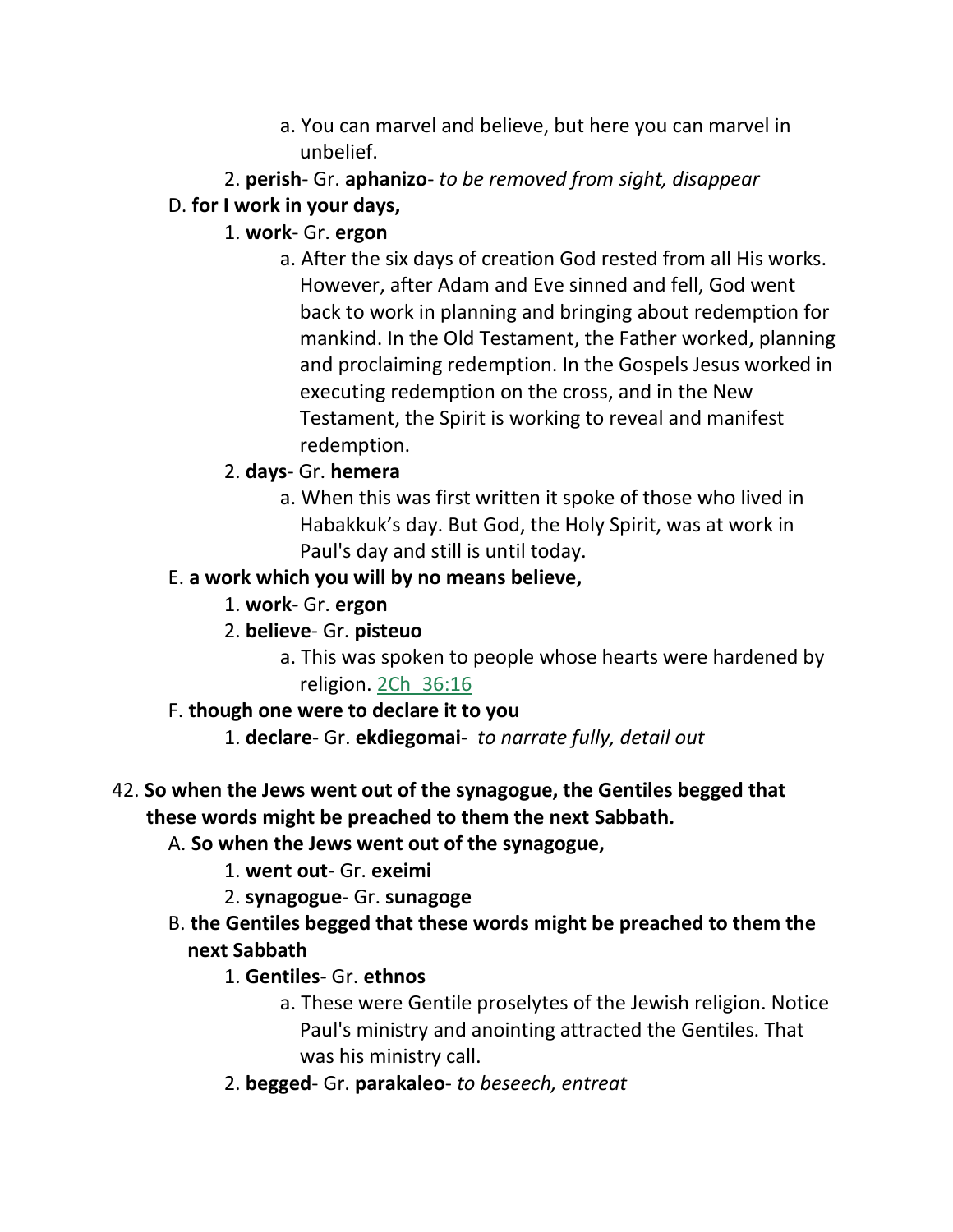- a. You can marvel and believe, but here you can marvel in unbelief.
- 2. **perish** Gr. **aphanizo** *to be removed from sight, disappear*
- D. **for I work in your days,**
	- 1. **work** Gr. **ergon**
		- a. After the six days of creation God rested from all His works. However, after Adam and Eve sinned and fell, God went back to work in planning and bringing about redemption for mankind. In the Old Testament, the Father worked, planning and proclaiming redemption. In the Gospels Jesus worked in executing redemption on the cross, and in the New Testament, the Spirit is working to reveal and manifest redemption.
	- 2. **days** Gr. **hemera**
		- a. When this was first written it spoke of those who lived in Habakkuk's day. But God, the Holy Spirit, was at work in Paul's day and still is until today.

# E. **a work which you will by no means believe,**

- 1. **work** Gr. **ergon**
- 2. **believe** Gr. **pisteuo**
	- a. This was spoken to people whose hearts were hardened by religion. 2Ch\_36:16

# F. **though one were to declare it to you**

1. **declare**- Gr. **ekdiegomai**- *to narrate fully, detail out*

# 42. **So when the Jews went out of the synagogue, the Gentiles begged that these words might be preached to them the next Sabbath.**

- A. **So when the Jews went out of the synagogue,**
	- 1. **went out** Gr. **exeimi**
	- 2. **synagogue** Gr. **sunagoge**
- B. **the Gentiles begged that these words might be preached to them the next Sabbath**
	- 1. **Gentiles** Gr. **ethnos**
		- a. These were Gentile proselytes of the Jewish religion. Notice Paul's ministry and anointing attracted the Gentiles. That was his ministry call.
	- 2. **begged** Gr. **parakaleo** *to beseech, entreat*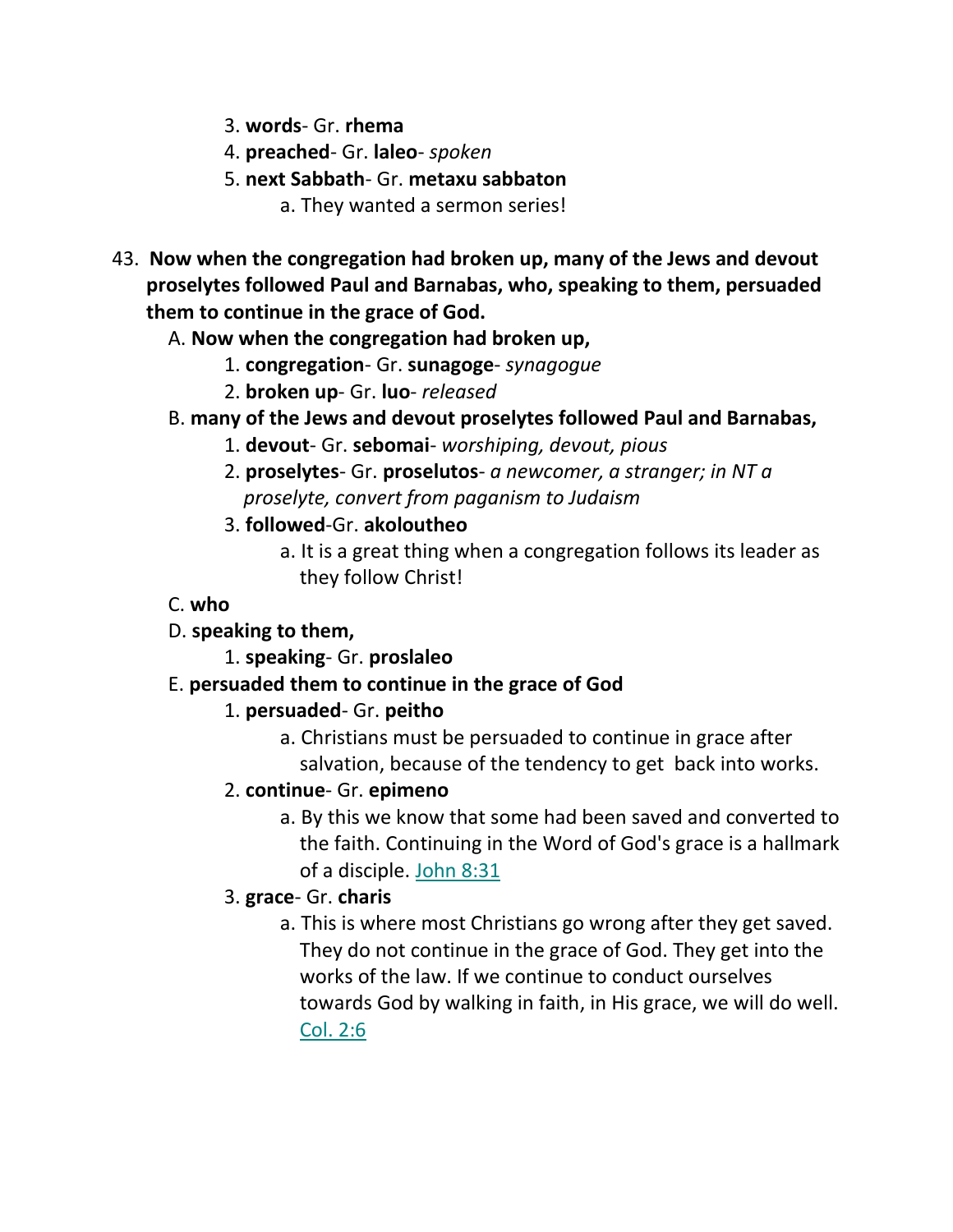- 3. **words** Gr. **rhema**
- 4. **preached** Gr. **laleo** *spoken*
- 5. **next Sabbath** Gr. **metaxu sabbaton**

a. They wanted a sermon series!

- 43. **Now when the congregation had broken up, many of the Jews and devout proselytes followed Paul and Barnabas, who, speaking to them, persuaded them to continue in the grace of God.** 
	- A. **Now when the congregation had broken up,**
		- 1. **congregation** Gr. **sunagoge** *synagogue*
		- 2. **broken up** Gr. **luo** *released*
	- B. **many of the Jews and devout proselytes followed Paul and Barnabas,**
		- 1. **devout** Gr. **sebomai** *worshiping, devout, pious*
		- 2. **proselytes** Gr. **proselutos** *a newcomer, a stranger; in NT a proselyte, convert from paganism to Judaism*
		- 3. **followed**-Gr. **akoloutheo**
			- a. It is a great thing when a congregation follows its leader as they follow Christ!
	- C. **who**
	- D. **speaking to them,**
		- 1. **speaking** Gr. **proslaleo**
	- E. **persuaded them to continue in the grace of God**
		- 1. **persuaded** Gr. **peitho**
			- a. Christians must be persuaded to continue in grace after salvation, because of the tendency to get back into works.
		- 2. **continue** Gr. **epimeno**
			- a. By this we know that some had been saved and converted to the faith. Continuing in the Word of God's grace is a hallmark of a disciple. John 8:31
		- 3. **grace** Gr. **charis**
			- a. This is where most Christians go wrong after they get saved. They do not continue in the grace of God. They get into the works of the law. If we continue to conduct ourselves towards God by walking in faith, in His grace, we will do well. Col. 2:6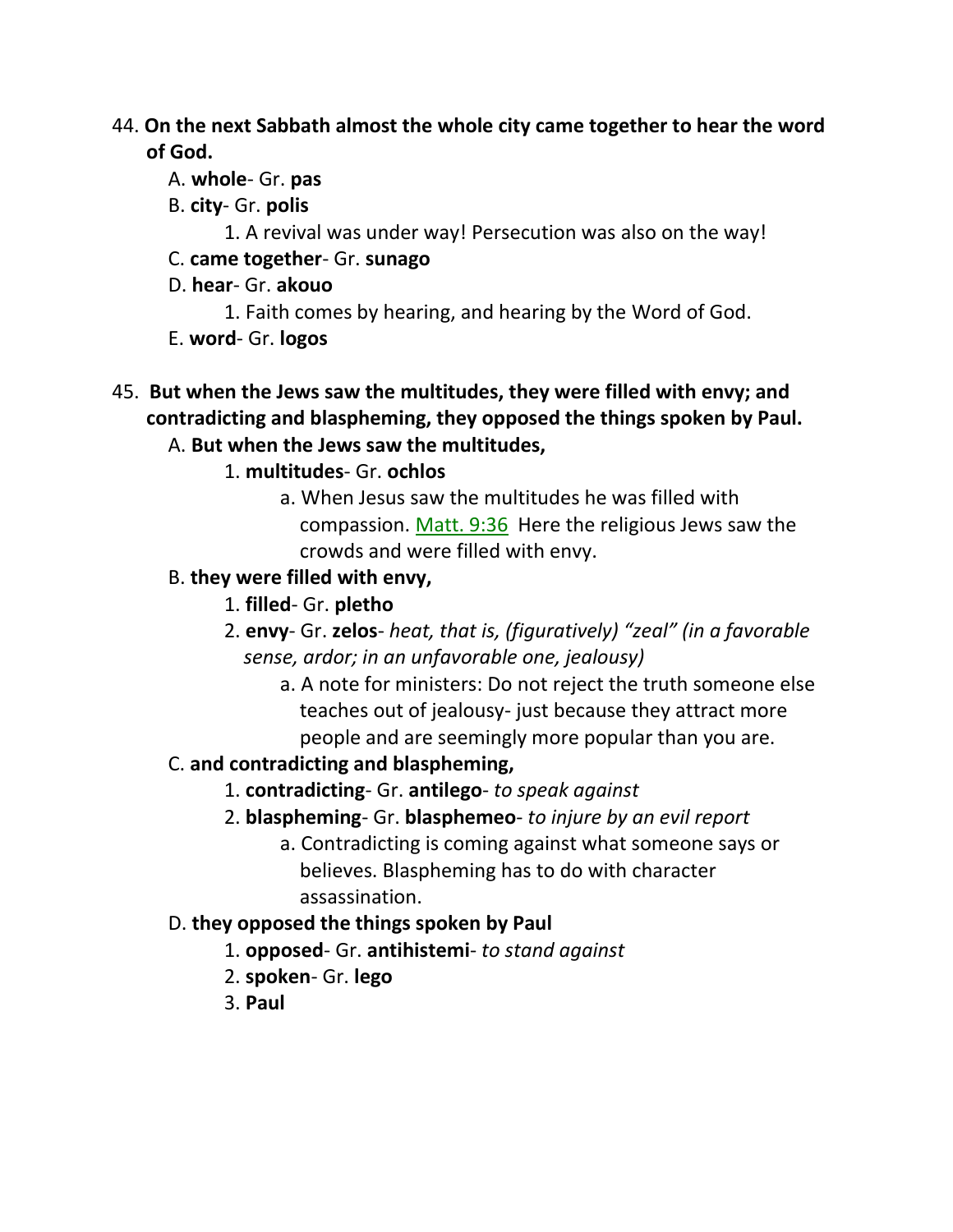- 44. **On the next Sabbath almost the whole city came together to hear the word of God.** 
	- A. **whole** Gr. **pas**
	- B. **city** Gr. **polis**
		- 1. A revival was under way! Persecution was also on the way!
	- C. **came together** Gr. **sunago**
	- D. **hear** Gr. **akouo**
		- 1. Faith comes by hearing, and hearing by the Word of God.
	- E. **word** Gr. **logos**
- 45. **But when the Jews saw the multitudes, they were filled with envy; and contradicting and blaspheming, they opposed the things spoken by Paul.** 
	- A. **But when the Jews saw the multitudes,**
		- 1. **multitudes** Gr. **ochlos**
			- a. When Jesus saw the multitudes he was filled with compassion. Matt. 9:36 Here the religious Jews saw the crowds and were filled with envy.
	- B. **they were filled with envy,**
		- 1. **filled** Gr. **pletho**
		- 2. **envy** Gr. **zelos** *heat, that is, (figuratively) "zeal" (in a favorable sense, ardor; in an unfavorable one, jealousy)*
			- a. A note for ministers: Do not reject the truth someone else teaches out of jealousy- just because they attract more people and are seemingly more popular than you are.

# C. **and contradicting and blaspheming,**

- 1. **contradicting** Gr. **antilego** *to speak against*
- 2. **blaspheming** Gr. **blasphemeo** *to injure by an evil report*
	- a. Contradicting is coming against what someone says or believes. Blaspheming has to do with character assassination.

# D. **they opposed the things spoken by Paul**

- 1. **opposed** Gr. **antihistemi** *to stand against*
- 2. **spoken** Gr. **lego**
- 3. **Paul**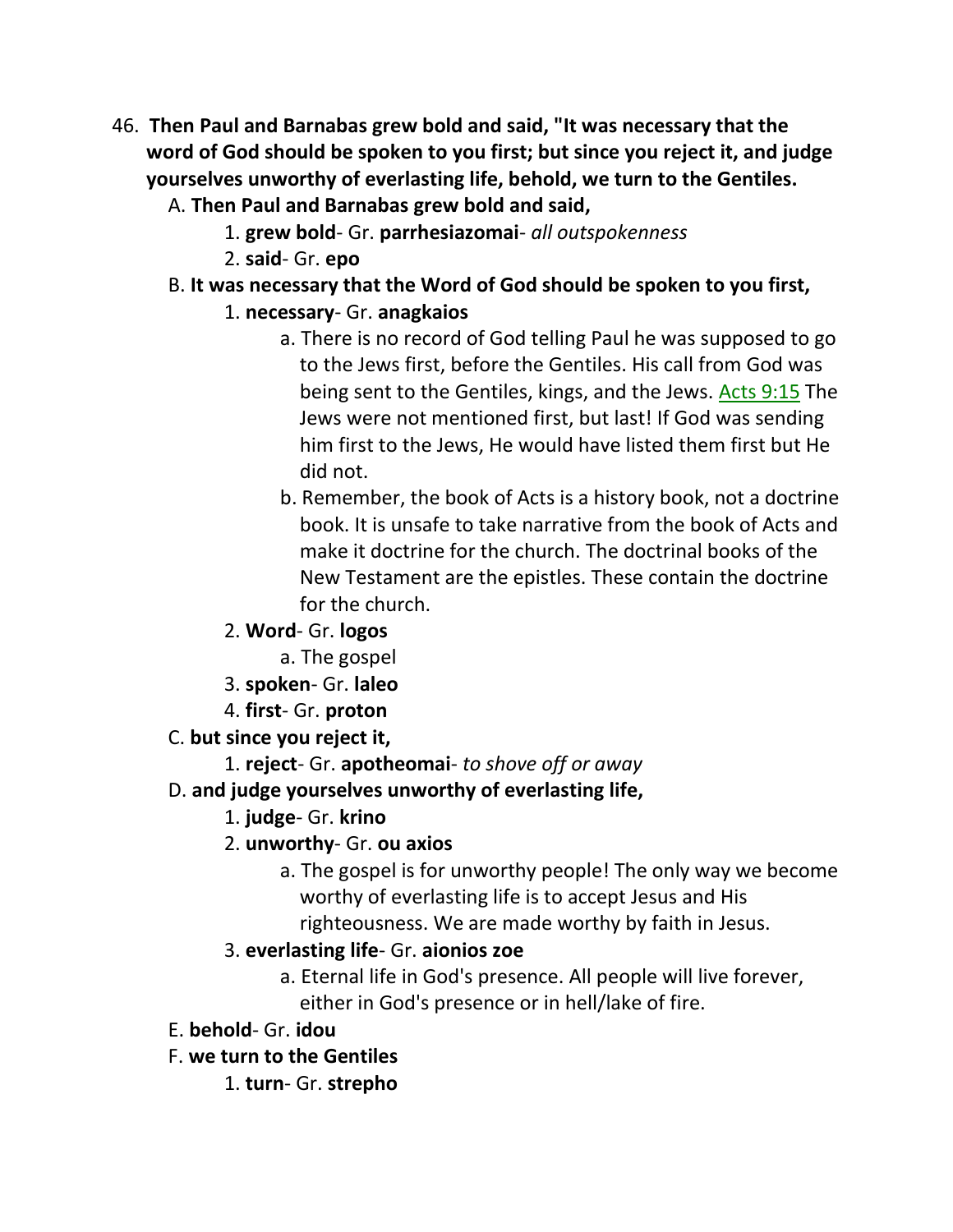- 46. **Then Paul and Barnabas grew bold and said, "It was necessary that the word of God should be spoken to you first; but since you reject it, and judge yourselves unworthy of everlasting life, behold, we turn to the Gentiles.** 
	- A. **Then Paul and Barnabas grew bold and said,**
		- 1. **grew bold** Gr. **parrhesiazomai** *all outspokenness*
		- 2. **said** Gr. **epo**
	- B. **It was necessary that the Word of God should be spoken to you first,**
		- 1. **necessary** Gr. **anagkaios**
			- a. There is no record of God telling Paul he was supposed to go to the Jews first, before the Gentiles. His call from God was being sent to the Gentiles, kings, and the Jews. Acts 9:15 The Jews were not mentioned first, but last! If God was sending him first to the Jews, He would have listed them first but He did not.
			- b. Remember, the book of Acts is a history book, not a doctrine book. It is unsafe to take narrative from the book of Acts and make it doctrine for the church. The doctrinal books of the New Testament are the epistles. These contain the doctrine for the church.
		- 2. **Word** Gr. **logos**
			- a. The gospel
		- 3. **spoken** Gr. **laleo**
		- 4. **first** Gr. **proton**
	- C. **but since you reject it,**
		- 1. **reject** Gr. **apotheomai** *to shove off or away*
	- D. **and judge yourselves unworthy of everlasting life,**
		- 1. **judge** Gr. **krino**
		- 2. **unworthy** Gr. **ou axios**
			- a. The gospel is for unworthy people! The only way we become worthy of everlasting life is to accept Jesus and His righteousness. We are made worthy by faith in Jesus.
		- 3. **everlasting life** Gr. **aionios zoe**
			- a. Eternal life in God's presence. All people will live forever, either in God's presence or in hell/lake of fire.
	- E. **behold** Gr. **idou**
	- F. **we turn to the Gentiles**
		- 1. **turn** Gr. **strepho**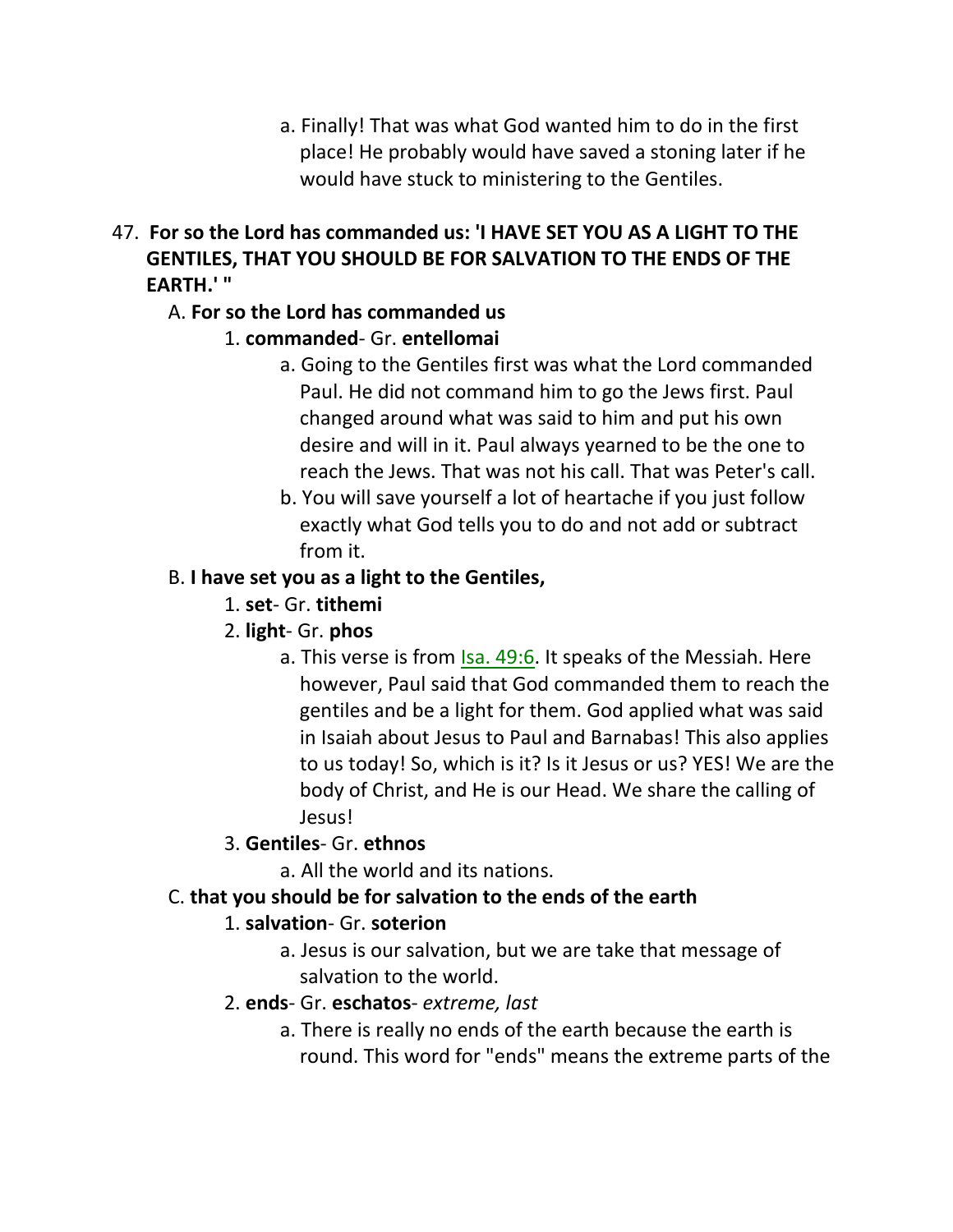- a. Finally! That was what God wanted him to do in the first place! He probably would have saved a stoning later if he would have stuck to ministering to the Gentiles.
- 47. **For so the Lord has commanded us: 'I HAVE SET YOU AS A LIGHT TO THE GENTILES, THAT YOU SHOULD BE FOR SALVATION TO THE ENDS OF THE EARTH.' "**

# A. **For so the Lord has commanded us**

# 1. **commanded**- Gr. **entellomai**

- a. Going to the Gentiles first was what the Lord commanded Paul. He did not command him to go the Jews first. Paul changed around what was said to him and put his own desire and will in it. Paul always yearned to be the one to reach the Jews. That was not his call. That was Peter's call.
- b. You will save yourself a lot of heartache if you just follow exactly what God tells you to do and not add or subtract from it.

# B. **I have set you as a light to the Gentiles,**

1. **set**- Gr. **tithemi**

# 2. **light**- Gr. **phos**

a. This verse is from **Isa. 49:6.** It speaks of the Messiah. Here however, Paul said that God commanded them to reach the gentiles and be a light for them. God applied what was said in Isaiah about Jesus to Paul and Barnabas! This also applies to us today! So, which is it? Is it Jesus or us? YES! We are the body of Christ, and He is our Head. We share the calling of Jesus!

# 3. **Gentiles**- Gr. **ethnos**

a. All the world and its nations.

# C. **that you should be for salvation to the ends of the earth**

# 1. **salvation**- Gr. **soterion**

a. Jesus is our salvation, but we are take that message of salvation to the world.

# 2. **ends**- Gr. **eschatos**- *extreme, last*

a. There is really no ends of the earth because the earth is round. This word for "ends" means the extreme parts of the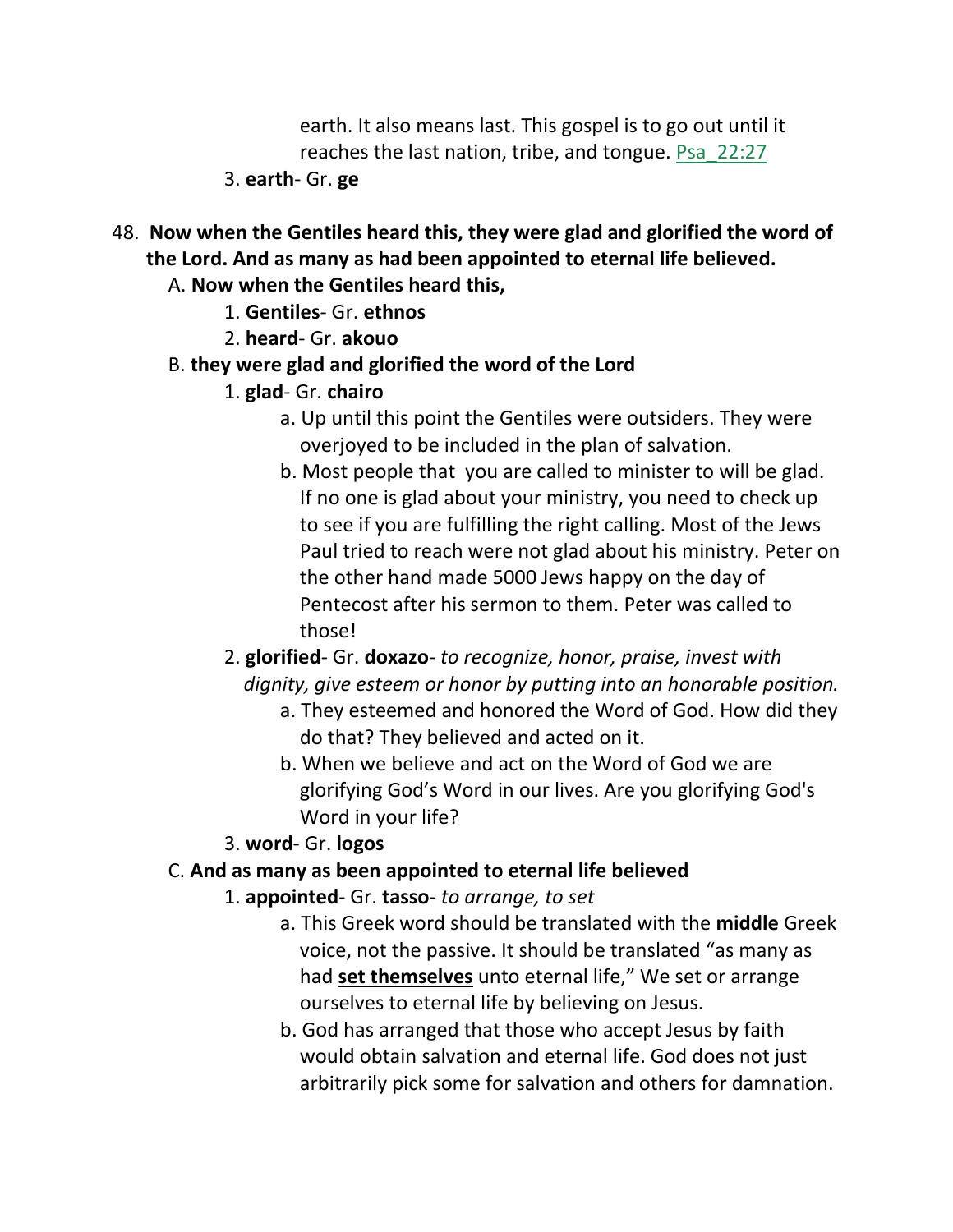earth. It also means last. This gospel is to go out until it reaches the last nation, tribe, and tongue. Psa\_22:27

- 3. **earth** Gr. **ge**
- 48. **Now when the Gentiles heard this, they were glad and glorified the word of the Lord. And as many as had been appointed to eternal life believed.**
	- A. **Now when the Gentiles heard this,**
		- 1. **Gentiles** Gr. **ethnos**
		- 2. **heard** Gr. **akouo**
	- B. **they were glad and glorified the word of the Lord**
		- 1. **glad** Gr. **chairo**
			- a. Up until this point the Gentiles were outsiders. They were overjoyed to be included in the plan of salvation.
			- b. Most people that you are called to minister to will be glad. If no one is glad about your ministry, you need to check up to see if you are fulfilling the right calling. Most of the Jews Paul tried to reach were not glad about his ministry. Peter on the other hand made 5000 Jews happy on the day of Pentecost after his sermon to them. Peter was called to those!
		- 2. **glorified** Gr. **doxazo** *to recognize, honor, praise, invest with dignity, give esteem or honor by putting into an honorable position.*
			- a. They esteemed and honored the Word of God. How did they do that? They believed and acted on it.
			- b. When we believe and act on the Word of God we are glorifying God's Word in our lives. Are you glorifying God's Word in your life?
		- 3. **word** Gr. **logos**

## C. **And as many as been appointed to eternal life believed**

- 1. **appointed** Gr. **tasso** *to arrange, to set*
	- a. This Greek word should be translated with the **middle** Greek voice, not the passive. It should be translated "as many as had **set themselves** unto eternal life," We set or arrange ourselves to eternal life by believing on Jesus.
	- b. God has arranged that those who accept Jesus by faith would obtain salvation and eternal life. God does not just arbitrarily pick some for salvation and others for damnation.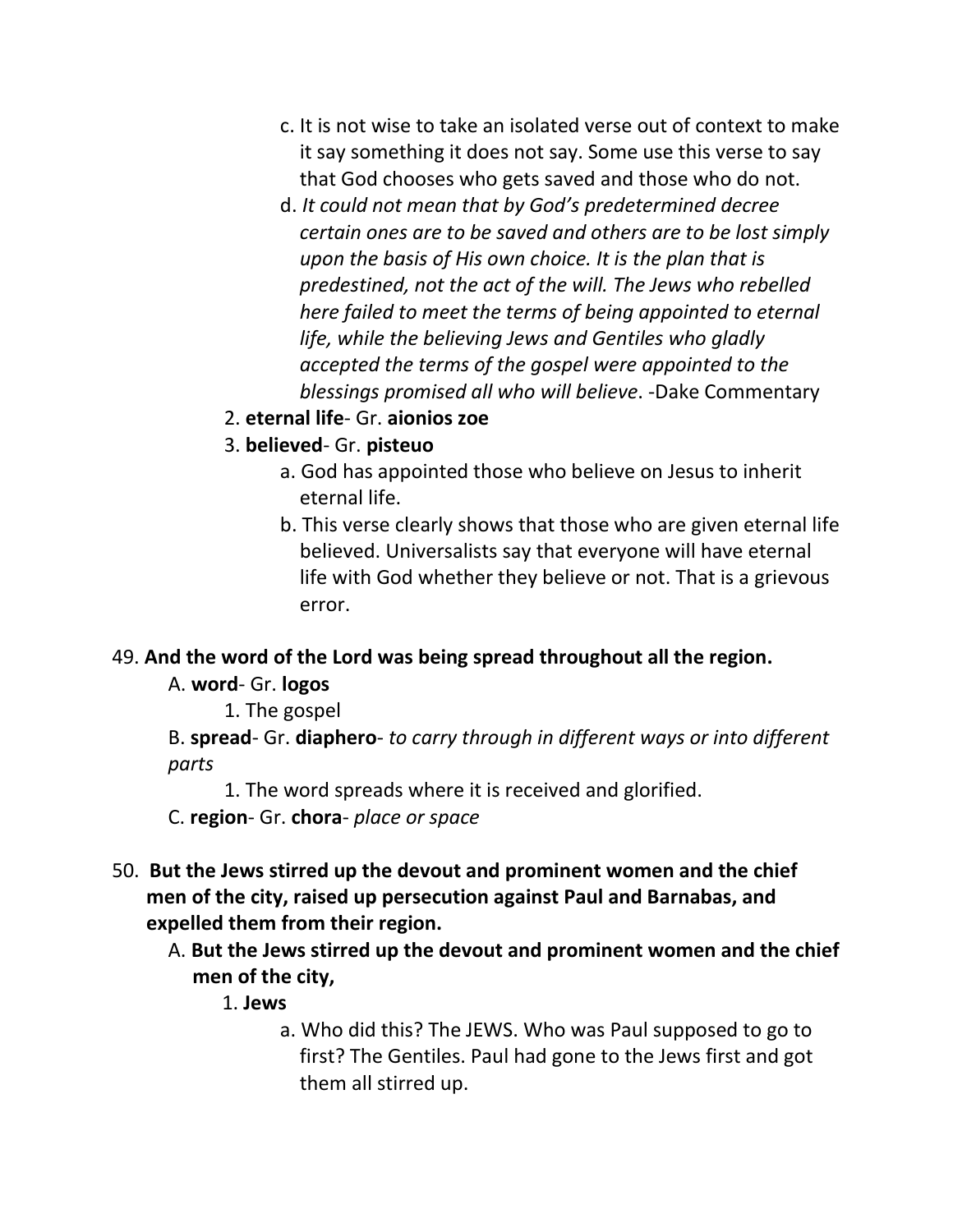- c. It is not wise to take an isolated verse out of context to make it say something it does not say. Some use this verse to say that God chooses who gets saved and those who do not.
- d. *It could not mean that by God's predetermined decree certain ones are to be saved and others are to be lost simply upon the basis of His own choice. It is the plan that is predestined, not the act of the will. The Jews who rebelled here failed to meet the terms of being appointed to eternal life, while the believing Jews and Gentiles who gladly accepted the terms of the gospel were appointed to the blessings promised all who will believe*. -Dake Commentary
- 2. **eternal life** Gr. **aionios zoe**
- 3. **believed** Gr. **pisteuo**
	- a. God has appointed those who believe on Jesus to inherit eternal life.
	- b. This verse clearly shows that those who are given eternal life believed. Universalists say that everyone will have eternal life with God whether they believe or not. That is a grievous error.

#### 49. **And the word of the Lord was being spread throughout all the region.**

A. **word**- Gr. **logos**

1. The gospel

B. **spread**- Gr. **diaphero**- *to carry through in different ways or into different parts*

1. The word spreads where it is received and glorified.

C. **region**- Gr. **chora**- *place or space*

- 50. **But the Jews stirred up the devout and prominent women and the chief men of the city, raised up persecution against Paul and Barnabas, and expelled them from their region.** 
	- A. **But the Jews stirred up the devout and prominent women and the chief men of the city,**
		- 1. **Jews**
			- a. Who did this? The JEWS. Who was Paul supposed to go to first? The Gentiles. Paul had gone to the Jews first and got them all stirred up.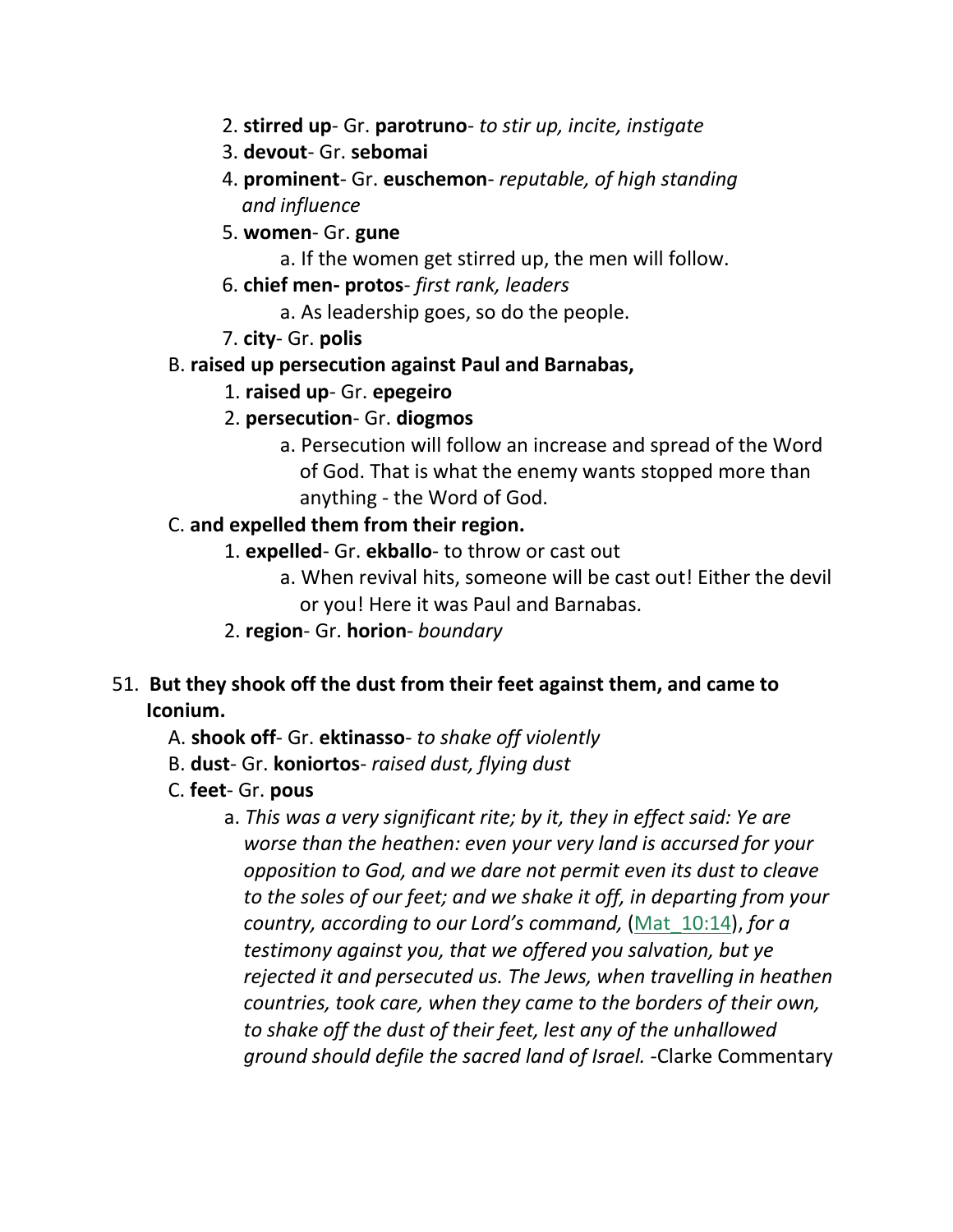- 2. **stirred up** Gr. **parotruno** *to stir up, incite, instigate*
- 3. **devout** Gr. **sebomai**
- 4. **prominent** Gr. **euschemon** *reputable, of high standing and influence*
- 5. **women** Gr. **gune**
	- a. If the women get stirred up, the men will follow.
- 6. **chief men- protos** *first rank, leaders*
	- a. As leadership goes, so do the people.
- 7. **city** Gr. **polis**

#### B. **raised up persecution against Paul and Barnabas,**

- 1. **raised up** Gr. **epegeiro**
- 2. **persecution** Gr. **diogmos**
	- a. Persecution will follow an increase and spread of the Word of God. That is what the enemy wants stopped more than anything - the Word of God.

#### C. **and expelled them from their region.**

- 1. **expelled** Gr. **ekballo** to throw or cast out
	- a. When revival hits, someone will be cast out! Either the devil or you! Here it was Paul and Barnabas.
- 2. **region** Gr. **horion** *boundary*
- 51. **But they shook off the dust from their feet against them, and came to Iconium.** 
	- A. **shook off** Gr. **ektinasso** *to shake off violently*
	- B. **dust** Gr. **koniortos** *raised dust, flying dust*
	- C. **feet** Gr. **pous**
		- a. *This was a very significant rite; by it, they in effect said: Ye are worse than the heathen: even your very land is accursed for your opposition to God, and we dare not permit even its dust to cleave to the soles of our feet; and we shake it off, in departing from your country, according to our Lord's command,* (Mat\_10:14), *for a testimony against you, that we offered you salvation, but ye rejected it and persecuted us. The Jews, when travelling in heathen countries, took care, when they came to the borders of their own, to shake off the dust of their feet, lest any of the unhallowed ground should defile the sacred land of Israel.* -Clarke Commentary